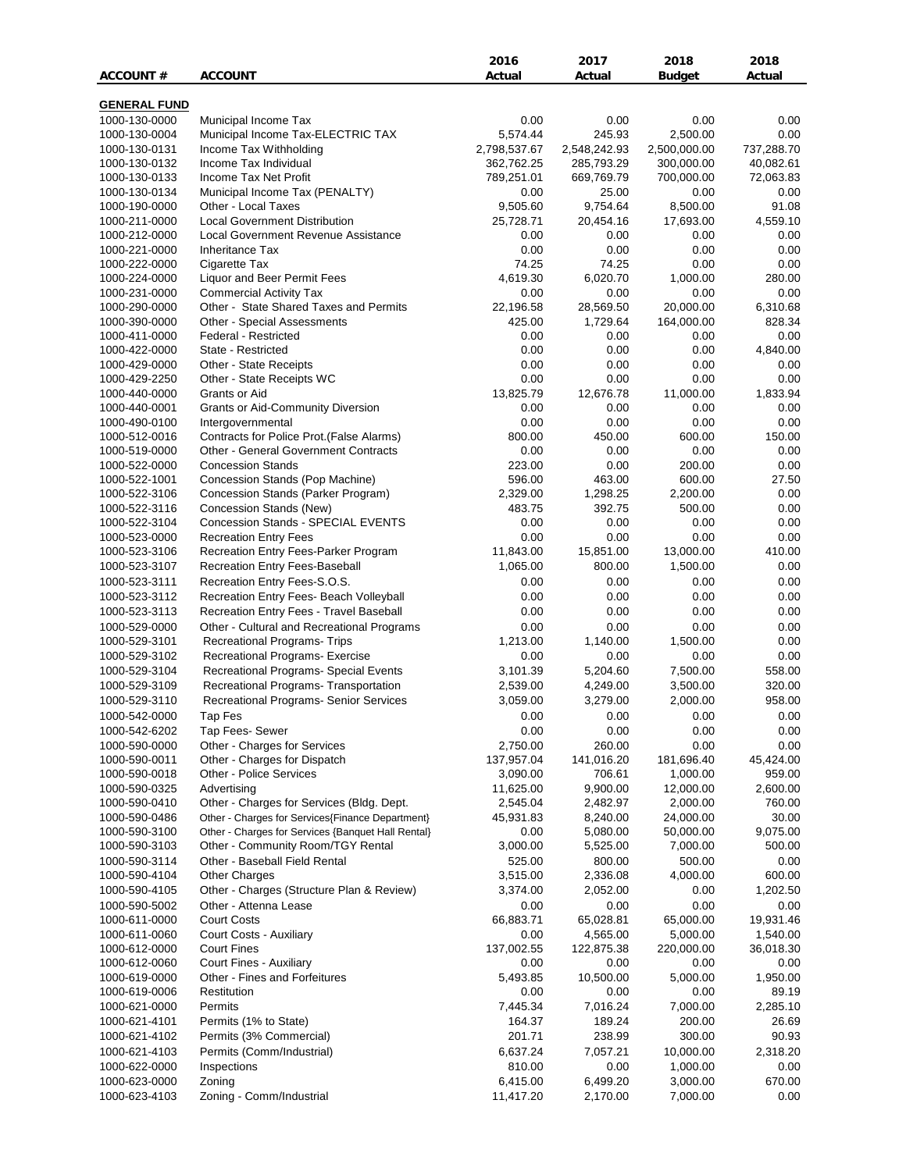|                     |                                                    | 2016         | 2017         | 2018          | 2018       |
|---------------------|----------------------------------------------------|--------------|--------------|---------------|------------|
| <b>ACCOUNT #</b>    | <b>ACCOUNT</b>                                     | Actual       | Actual       | <b>Budget</b> | Actual     |
|                     |                                                    |              |              |               |            |
| <b>GENERAL FUND</b> |                                                    |              |              |               |            |
| 1000-130-0000       | Municipal Income Tax                               | 0.00         | 0.00         | 0.00          | 0.00       |
| 1000-130-0004       | Municipal Income Tax-ELECTRIC TAX                  | 5,574.44     | 245.93       | 2,500.00      | 0.00       |
| 1000-130-0131       | Income Tax Withholding                             | 2,798,537.67 | 2,548,242.93 | 2,500,000.00  | 737,288.70 |
| 1000-130-0132       | Income Tax Individual                              | 362,762.25   | 285,793.29   | 300,000.00    | 40,082.61  |
| 1000-130-0133       | Income Tax Net Profit                              | 789,251.01   | 669,769.79   | 700,000.00    | 72,063.83  |
| 1000-130-0134       | Municipal Income Tax (PENALTY)                     | 0.00         | 25.00        | 0.00          | 0.00       |
| 1000-190-0000       | Other - Local Taxes                                | 9,505.60     | 9,754.64     | 8,500.00      | 91.08      |
| 1000-211-0000       | <b>Local Government Distribution</b>               | 25,728.71    | 20,454.16    | 17,693.00     | 4,559.10   |
| 1000-212-0000       | Local Government Revenue Assistance                | 0.00         | 0.00         | 0.00          | 0.00       |
| 1000-221-0000       | <b>Inheritance Tax</b>                             | 0.00         | 0.00         | 0.00          | 0.00       |
| 1000-222-0000       | Cigarette Tax                                      | 74.25        | 74.25        | 0.00          | 0.00       |
| 1000-224-0000       | Liquor and Beer Permit Fees                        | 4,619.30     | 6,020.70     | 1,000.00      | 280.00     |
| 1000-231-0000       | <b>Commercial Activity Tax</b>                     | 0.00         | 0.00         | 0.00          | 0.00       |
| 1000-290-0000       | Other - State Shared Taxes and Permits             | 22,196.58    | 28,569.50    | 20,000.00     | 6,310.68   |
| 1000-390-0000       | Other - Special Assessments                        | 425.00       | 1,729.64     | 164,000.00    | 828.34     |
| 1000-411-0000       | Federal - Restricted                               | 0.00         | 0.00         | 0.00          | 0.00       |
| 1000-422-0000       | State - Restricted                                 | 0.00         | 0.00         | 0.00          | 4,840.00   |
| 1000-429-0000       | Other - State Receipts                             | 0.00         | 0.00         | 0.00          | 0.00       |
| 1000-429-2250       | Other - State Receipts WC                          | 0.00         | 0.00         | 0.00          | 0.00       |
| 1000-440-0000       | Grants or Aid                                      | 13,825.79    | 12,676.78    | 11,000.00     | 1,833.94   |
| 1000-440-0001       | <b>Grants or Aid-Community Diversion</b>           | 0.00         | 0.00         | 0.00          | 0.00       |
| 1000-490-0100       | Intergovernmental                                  | 0.00         | 0.00         | 0.00          | 0.00       |
| 1000-512-0016       | Contracts for Police Prot.(False Alarms)           | 800.00       | 450.00       | 600.00        | 150.00     |
| 1000-519-0000       | <b>Other - General Government Contracts</b>        | 0.00         | 0.00         | 0.00          | 0.00       |
| 1000-522-0000       | <b>Concession Stands</b>                           | 223.00       | 0.00         | 200.00        | 0.00       |
| 1000-522-1001       | Concession Stands (Pop Machine)                    | 596.00       | 463.00       | 600.00        | 27.50      |
| 1000-522-3106       | Concession Stands (Parker Program)                 | 2,329.00     | 1,298.25     | 2,200.00      | 0.00       |
| 1000-522-3116       | Concession Stands (New)                            | 483.75       | 392.75       | 500.00        | 0.00       |
| 1000-522-3104       | Concession Stands - SPECIAL EVENTS                 | 0.00         | 0.00         | 0.00          | 0.00       |
| 1000-523-0000       | <b>Recreation Entry Fees</b>                       | 0.00         | 0.00         | 0.00          | 0.00       |
| 1000-523-3106       | Recreation Entry Fees-Parker Program               | 11,843.00    | 15,851.00    | 13,000.00     | 410.00     |
| 1000-523-3107       | <b>Recreation Entry Fees-Baseball</b>              | 1,065.00     | 800.00       | 1,500.00      | 0.00       |
| 1000-523-3111       | Recreation Entry Fees-S.O.S.                       | 0.00         | 0.00         | 0.00          | 0.00       |
| 1000-523-3112       | Recreation Entry Fees- Beach Volleyball            | 0.00         | 0.00         | 0.00          | 0.00       |
| 1000-523-3113       | Recreation Entry Fees - Travel Baseball            | 0.00         | 0.00         | 0.00          | 0.00       |
| 1000-529-0000       | Other - Cultural and Recreational Programs         | 0.00         | 0.00         | 0.00          | 0.00       |
| 1000-529-3101       | <b>Recreational Programs- Trips</b>                | 1,213.00     | 1,140.00     | 1,500.00      | 0.00       |
| 1000-529-3102       | Recreational Programs- Exercise                    | 0.00         | 0.00         | 0.00          | 0.00       |
| 1000-529-3104       | Recreational Programs- Special Events              | 3,101.39     | 5,204.60     | 7,500.00      | 558.00     |
| 1000-529-3109       | Recreational Programs- Transportation              | 2,539.00     | 4,249.00     | 3,500.00      | 320.00     |
| 1000-529-3110       | <b>Recreational Programs- Senior Services</b>      | 3,059.00     | 3,279.00     | 2,000.00      | 958.00     |
| 1000-542-0000       | Tap Fes                                            | 0.00         | 0.00         | 0.00          | 0.00       |
| 1000-542-6202       | Tap Fees- Sewer                                    | 0.00         | 0.00         | 0.00          | 0.00       |
| 1000-590-0000       | Other - Charges for Services                       | 2,750.00     | 260.00       | 0.00          | 0.00       |
| 1000-590-0011       | Other - Charges for Dispatch                       | 137,957.04   | 141,016.20   | 181,696.40    | 45,424.00  |
| 1000-590-0018       | Other - Police Services                            | 3,090.00     | 706.61       | 1,000.00      | 959.00     |
| 1000-590-0325       | Advertising                                        | 11,625.00    | 9,900.00     | 12,000.00     | 2,600.00   |
| 1000-590-0410       | Other - Charges for Services (Bldg. Dept.          | 2,545.04     | 2,482.97     | 2,000.00      | 760.00     |
| 1000-590-0486       | Other - Charges for Services{Finance Department}   | 45,931.83    | 8,240.00     | 24,000.00     | 30.00      |
| 1000-590-3100       | Other - Charges for Services {Banquet Hall Rental} | 0.00         | 5,080.00     | 50,000.00     | 9,075.00   |
| 1000-590-3103       | Other - Community Room/TGY Rental                  | 3,000.00     | 5,525.00     | 7,000.00      | 500.00     |
| 1000-590-3114       | Other - Baseball Field Rental                      | 525.00       | 800.00       | 500.00        | 0.00       |
| 1000-590-4104       | <b>Other Charges</b>                               | 3,515.00     | 2,336.08     | 4,000.00      | 600.00     |
|                     |                                                    |              |              |               |            |
| 1000-590-4105       | Other - Charges (Structure Plan & Review)          | 3,374.00     | 2,052.00     | 0.00          | 1,202.50   |
| 1000-590-5002       | Other - Attenna Lease                              | 0.00         | 0.00         | 0.00          | 0.00       |
| 1000-611-0000       | <b>Court Costs</b>                                 | 66,883.71    | 65,028.81    | 65,000.00     | 19,931.46  |
| 1000-611-0060       | Court Costs - Auxiliary                            | 0.00         | 4,565.00     | 5,000.00      | 1,540.00   |
| 1000-612-0000       | <b>Court Fines</b>                                 | 137,002.55   | 122,875.38   | 220,000.00    | 36,018.30  |
| 1000-612-0060       | Court Fines - Auxiliary                            | 0.00         | 0.00         | 0.00          | 0.00       |
| 1000-619-0000       | Other - Fines and Forfeitures                      | 5,493.85     | 10,500.00    | 5,000.00      | 1,950.00   |
| 1000-619-0006       | Restitution                                        | 0.00         | 0.00         | 0.00          | 89.19      |
| 1000-621-0000       | Permits                                            | 7,445.34     | 7,016.24     | 7,000.00      | 2,285.10   |
| 1000-621-4101       | Permits (1% to State)                              | 164.37       | 189.24       | 200.00        | 26.69      |
| 1000-621-4102       | Permits (3% Commercial)                            | 201.71       | 238.99       | 300.00        | 90.93      |
| 1000-621-4103       | Permits (Comm/Industrial)                          | 6,637.24     | 7,057.21     | 10,000.00     | 2,318.20   |
| 1000-622-0000       | Inspections                                        | 810.00       | 0.00         | 1,000.00      | 0.00       |
| 1000-623-0000       | Zoning                                             | 6,415.00     | 6,499.20     | 3,000.00      | 670.00     |
| 1000-623-4103       | Zoning - Comm/Industrial                           | 11,417.20    | 2,170.00     | 7,000.00      | 0.00       |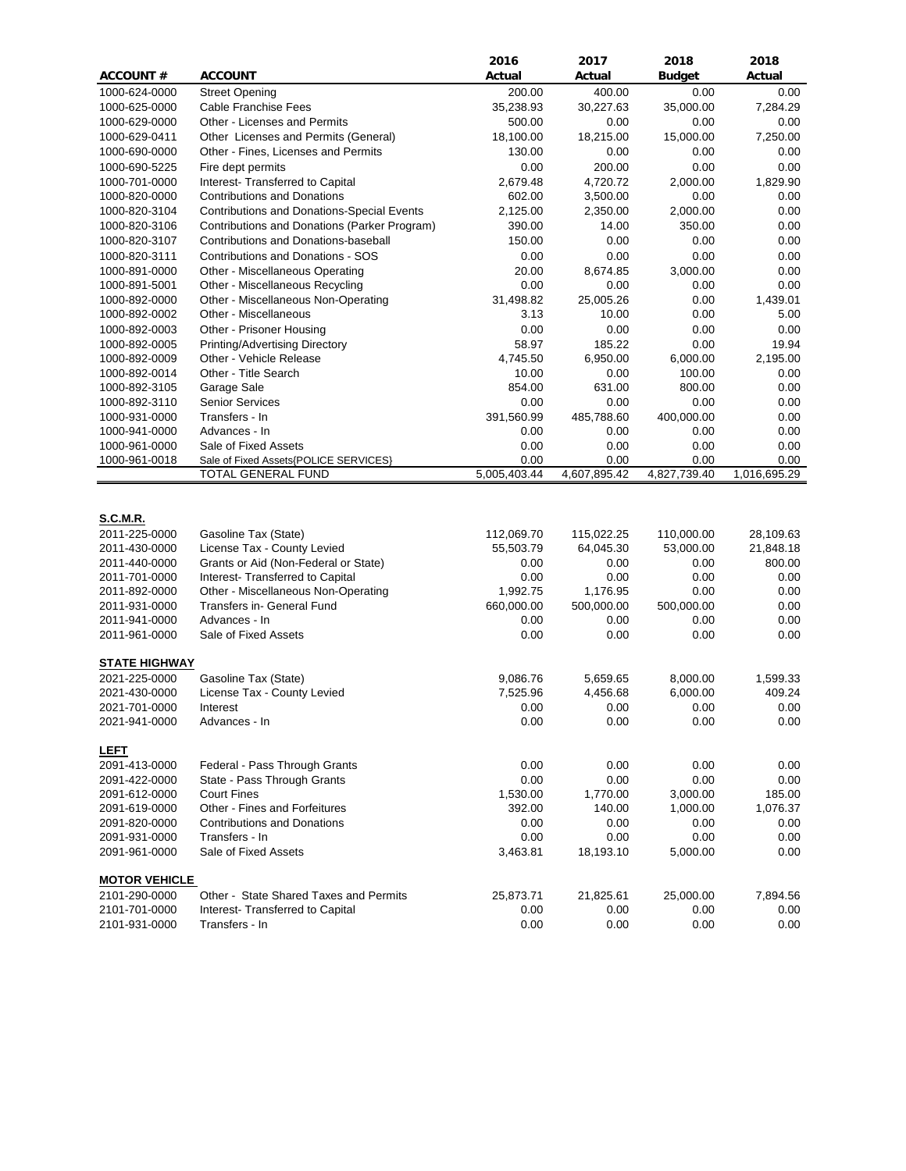|                      |                                                                     | 2016         | 2017         | 2018          | 2018         |
|----------------------|---------------------------------------------------------------------|--------------|--------------|---------------|--------------|
| <b>ACCOUNT#</b>      | <b>ACCOUNT</b>                                                      | Actual       | Actual       | <b>Budget</b> | Actual       |
| 1000-624-0000        | <b>Street Opening</b>                                               | 200.00       | 400.00       | 0.00          | 0.00         |
| 1000-625-0000        | Cable Franchise Fees                                                | 35,238.93    | 30,227.63    | 35,000.00     | 7,284.29     |
| 1000-629-0000        | Other - Licenses and Permits                                        | 500.00       | 0.00         | 0.00          | 0.00         |
| 1000-629-0411        | Other Licenses and Permits (General)                                | 18,100.00    | 18,215.00    | 15,000.00     | 7,250.00     |
| 1000-690-0000        | Other - Fines, Licenses and Permits                                 | 130.00       | 0.00         | 0.00          | 0.00         |
| 1000-690-5225        | Fire dept permits                                                   | 0.00         | 200.00       | 0.00          | 0.00         |
| 1000-701-0000        | Interest- Transferred to Capital                                    | 2,679.48     | 4,720.72     | 2,000.00      | 1,829.90     |
| 1000-820-0000        | <b>Contributions and Donations</b>                                  | 602.00       | 3,500.00     | 0.00          | 0.00         |
| 1000-820-3104        | <b>Contributions and Donations-Special Events</b>                   | 2,125.00     | 2,350.00     | 2,000.00      | 0.00         |
| 1000-820-3106        | Contributions and Donations (Parker Program)                        | 390.00       | 14.00        | 350.00        | 0.00         |
| 1000-820-3107        | Contributions and Donations-baseball                                | 150.00       | 0.00         | 0.00          | 0.00         |
| 1000-820-3111        | Contributions and Donations - SOS                                   | 0.00         | 0.00         | 0.00          | 0.00         |
| 1000-891-0000        | Other - Miscellaneous Operating                                     | 20.00        | 8,674.85     | 3,000.00      | 0.00         |
| 1000-891-5001        | Other - Miscellaneous Recycling                                     | 0.00         | 0.00         | 0.00          | 0.00         |
| 1000-892-0000        | Other - Miscellaneous Non-Operating                                 | 31,498.82    | 25,005.26    | 0.00          | 1,439.01     |
| 1000-892-0002        | Other - Miscellaneous                                               | 3.13         | 10.00        | 0.00          | 5.00         |
| 1000-892-0003        | Other - Prisoner Housing                                            | 0.00         | 0.00         | 0.00          | 0.00         |
| 1000-892-0005        | Printing/Advertising Directory                                      | 58.97        | 185.22       | 0.00          | 19.94        |
| 1000-892-0009        | Other - Vehicle Release                                             | 4.745.50     | 6,950.00     | 6,000.00      | 2,195.00     |
| 1000-892-0014        | Other - Title Search                                                | 10.00        | 0.00         | 100.00        | 0.00         |
| 1000-892-3105        | Garage Sale                                                         | 854.00       | 631.00       | 800.00        | 0.00         |
| 1000-892-3110        | <b>Senior Services</b>                                              | 0.00         | 0.00         | 0.00          | 0.00         |
| 1000-931-0000        | Transfers - In                                                      | 391,560.99   | 485,788.60   | 400,000.00    | 0.00         |
| 1000-941-0000        | Advances - In                                                       | 0.00         | 0.00         | 0.00          | 0.00         |
| 1000-961-0000        | Sale of Fixed Assets                                                | 0.00         | 0.00         | 0.00          | 0.00         |
| 1000-961-0018        | Sale of Fixed Assets{POLICE SERVICES}                               | 0.00         | 0.00         | 0.00          | 0.00         |
|                      | TOTAL GENERAL FUND                                                  | 5,005,403.44 | 4,607,895.42 | 4,827,739.40  | 1,016,695.29 |
|                      |                                                                     |              |              |               |              |
| S.C.M.R.             |                                                                     |              |              |               |              |
| 2011-225-0000        | Gasoline Tax (State)                                                | 112,069.70   | 115,022.25   | 110,000.00    | 28,109.63    |
| 2011-430-0000        | License Tax - County Levied                                         | 55,503.79    | 64,045.30    | 53,000.00     | 21,848.18    |
| 2011-440-0000        | Grants or Aid (Non-Federal or State)                                | 0.00         | 0.00         | 0.00          | 800.00       |
| 2011-701-0000        | Interest- Transferred to Capital                                    | 0.00         | 0.00         | 0.00          | 0.00         |
| 2011-892-0000        | Other - Miscellaneous Non-Operating                                 | 1,992.75     | 1,176.95     | 0.00          | 0.00         |
| 2011-931-0000        | Transfers in- General Fund                                          | 660,000.00   | 500,000.00   | 500,000.00    | 0.00         |
| 2011-941-0000        | Advances - In                                                       | 0.00         | 0.00         | 0.00          | 0.00         |
| 2011-961-0000        | Sale of Fixed Assets                                                | 0.00         | 0.00         | 0.00          | 0.00         |
|                      |                                                                     |              |              |               |              |
| <b>STATE HIGHWAY</b> |                                                                     |              |              |               |              |
| 2021-225-0000        | Gasoline Tax (State)                                                | 9,086.76     | 5,659.65     | 8,000.00      | 1,599.33     |
| 2021-430-0000        | License Tax - County Levied                                         | 7,525.96     | 4,456.68     | 6,000.00      | 409.24       |
| 2021-701-0000        | Interest                                                            | 0.00         | 0.00         | 0.00          | 0.00         |
| 2021-941-0000        | Advances - In                                                       | 0.00         | 0.00         | 0.00          | 0.00         |
|                      |                                                                     |              |              |               |              |
| <b>LEFT</b>          |                                                                     |              |              |               |              |
| 2091-413-0000        | Federal - Pass Through Grants                                       | 0.00         | 0.00         | 0.00          | 0.00         |
| 2091-422-0000        | State - Pass Through Grants                                         | 0.00         | 0.00         | 0.00          | 0.00         |
| 2091-612-0000        | <b>Court Fines</b>                                                  | 1,530.00     | 1,770.00     | 3,000.00      | 185.00       |
| 2091-619-0000        | Other - Fines and Forfeitures<br><b>Contributions and Donations</b> | 392.00       | 140.00       | 1,000.00      | 1,076.37     |
| 2091-820-0000        |                                                                     | 0.00         | 0.00         | 0.00          | $0.00\,$     |
| 2091-931-0000        | Transfers - In                                                      | 0.00         | 0.00         | 0.00          | 0.00         |
| 2091-961-0000        | Sale of Fixed Assets                                                | 3,463.81     | 18,193.10    | 5,000.00      | 0.00         |
| <b>MOTOR VEHICLE</b> |                                                                     |              |              |               |              |
| 2101-290-0000        | Other - State Shared Taxes and Permits                              | 25,873.71    | 21,825.61    | 25,000.00     | 7,894.56     |
| 2101-701-0000        | Interest- Transferred to Capital                                    | 0.00         | 0.00         | 0.00          | 0.00         |
| 2101-931-0000        | Transfers - In                                                      | 0.00         | 0.00         | 0.00          | 0.00         |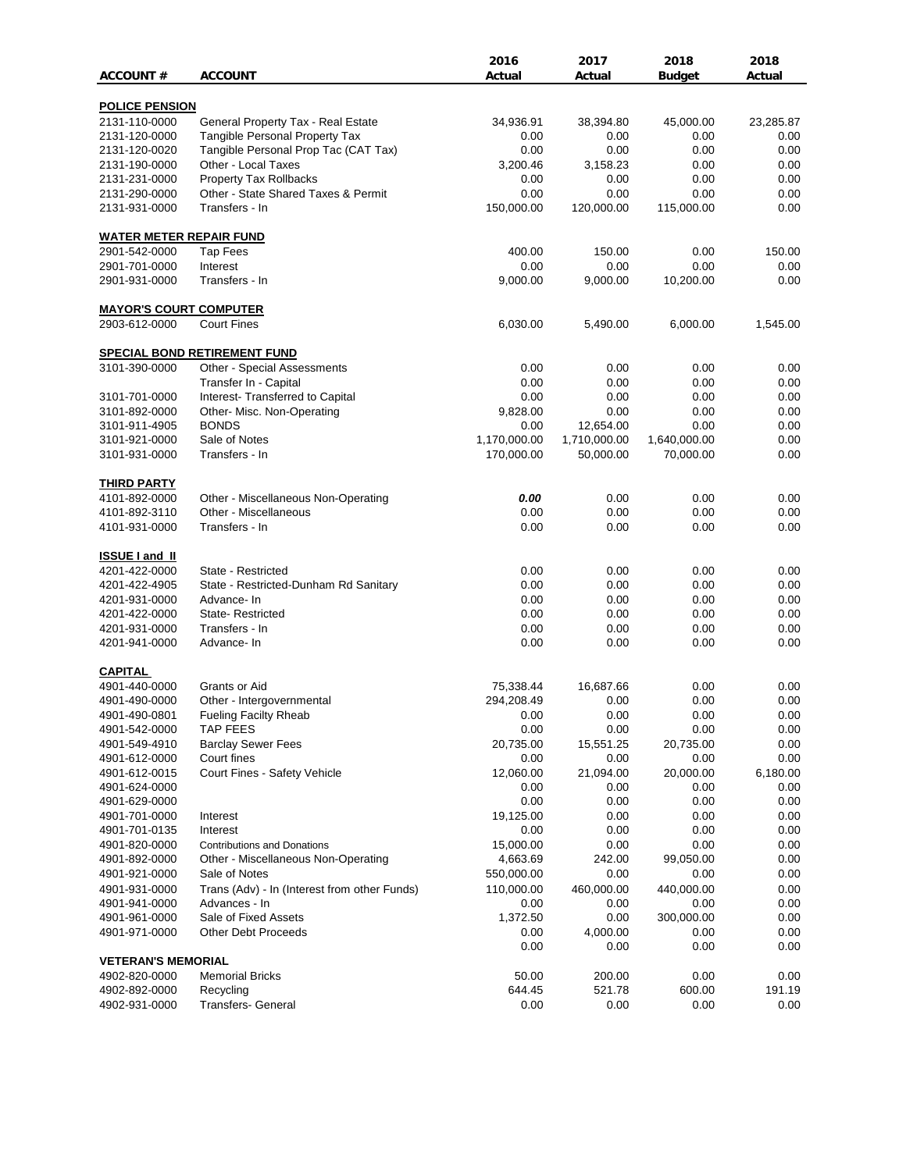|                                |                                                                    | 2016         | 2017         | 2018          | 2018      |
|--------------------------------|--------------------------------------------------------------------|--------------|--------------|---------------|-----------|
| <b>ACCOUNT#</b>                | <b>ACCOUNT</b>                                                     | Actual       | Actual       | <b>Budget</b> | Actual    |
|                                |                                                                    |              |              |               |           |
| <b>POLICE PENSION</b>          |                                                                    |              |              |               |           |
| 2131-110-0000                  | General Property Tax - Real Estate                                 | 34,936.91    | 38,394.80    | 45,000.00     | 23,285.87 |
| 2131-120-0000                  | Tangible Personal Property Tax                                     | 0.00         | 0.00         | 0.00          | 0.00      |
| 2131-120-0020                  | Tangible Personal Prop Tac (CAT Tax)                               | 0.00         | 0.00         | 0.00          | 0.00      |
| 2131-190-0000                  | Other - Local Taxes                                                | 3,200.46     | 3,158.23     | 0.00          | 0.00      |
| 2131-231-0000                  | <b>Property Tax Rollbacks</b>                                      | 0.00         | 0.00         | 0.00          | 0.00      |
| 2131-290-0000                  | Other - State Shared Taxes & Permit                                | 0.00         | 0.00         | 0.00          | 0.00      |
| 2131-931-0000                  | Transfers - In                                                     | 150,000.00   | 120,000.00   | 115,000.00    | 0.00      |
| <b>WATER METER REPAIR FUND</b> |                                                                    |              |              |               |           |
| 2901-542-0000                  | <b>Tap Fees</b>                                                    | 400.00       | 150.00       | 0.00          | 150.00    |
| 2901-701-0000                  | Interest                                                           | 0.00         | 0.00         | 0.00          | 0.00      |
| 2901-931-0000                  | Transfers - In                                                     | 9,000.00     | 9,000.00     | 10,200.00     | 0.00      |
| <u>MAYOR'S COURT COMPUTER</u>  |                                                                    |              |              |               |           |
| 2903-612-0000                  | <b>Court Fines</b>                                                 | 6,030.00     | 5,490.00     | 6,000.00      | 1,545.00  |
|                                |                                                                    |              |              |               |           |
| 3101-390-0000                  | <b>SPECIAL BOND RETIREMENT FUND</b><br>Other - Special Assessments | 0.00         | 0.00         | 0.00          | 0.00      |
|                                |                                                                    |              |              |               |           |
|                                | Transfer In - Capital<br>Interest- Transferred to Capital          | 0.00         | 0.00         | 0.00          | 0.00      |
| 3101-701-0000                  |                                                                    | 0.00         | 0.00         | 0.00          | 0.00      |
| 3101-892-0000                  | Other- Misc. Non-Operating                                         | 9,828.00     | 0.00         | 0.00          | 0.00      |
| 3101-911-4905                  | <b>BONDS</b>                                                       | 0.00         | 12,654.00    | 0.00          | 0.00      |
| 3101-921-0000                  | Sale of Notes                                                      | 1,170,000.00 | 1,710,000.00 | 1,640,000.00  | 0.00      |
| 3101-931-0000                  | Transfers - In                                                     | 170,000.00   | 50,000.00    | 70,000.00     | 0.00      |
| <b>THIRD PARTY</b>             |                                                                    |              |              |               |           |
| 4101-892-0000                  | Other - Miscellaneous Non-Operating                                | 0.00         | 0.00         | 0.00          | 0.00      |
| 4101-892-3110                  | Other - Miscellaneous                                              | 0.00         | 0.00         | 0.00          | 0.00      |
| 4101-931-0000                  | Transfers - In                                                     | 0.00         | 0.00         | 0.00          | 0.00      |
| <b>ISSUE I and II</b>          |                                                                    |              |              |               |           |
| 4201-422-0000                  | State - Restricted                                                 | 0.00         | 0.00         | 0.00          | 0.00      |
| 4201-422-4905                  | State - Restricted-Dunham Rd Sanitary                              | 0.00         | 0.00         | 0.00          | 0.00      |
| 4201-931-0000                  | Advance-In                                                         | 0.00         | 0.00         | 0.00          | 0.00      |
| 4201-422-0000                  | State-Restricted                                                   | 0.00         | 0.00         | 0.00          | 0.00      |
| 4201-931-0000                  | Transfers - In                                                     | 0.00         | 0.00         | 0.00          | 0.00      |
|                                | Advance- In                                                        |              | 0.00         | 0.00          | 0.00      |
| 4201-941-0000                  |                                                                    | 0.00         |              |               |           |
| <b>CAPITAL</b>                 |                                                                    |              |              |               |           |
| 4901-440-0000                  | Grants or Aid                                                      | 75,338.44    | 16,687.66    | 0.00          | 0.00      |
| 4901-490-0000                  | Other - Intergovernmental                                          | 294,208.49   | 0.00         | 0.00          | 0.00      |
| 4901-490-0801                  | Fueling Facilty Rheab                                              | 0.00         | 0.00         | 0.00          | 0.00      |
| 4901-542-0000                  | <b>TAP FEES</b>                                                    | 0.00         | 0.00         | 0.00          | 0.00      |
| 4901-549-4910                  | <b>Barclay Sewer Fees</b>                                          | 20,735.00    | 15,551.25    | 20,735.00     | 0.00      |
| 4901-612-0000                  | Court fines                                                        | 0.00         | 0.00         | 0.00          | 0.00      |
| 4901-612-0015                  | Court Fines - Safety Vehicle                                       | 12,060.00    | 21,094.00    | 20,000.00     | 6,180.00  |
| 4901-624-0000                  |                                                                    | 0.00         | 0.00         | 0.00          | 0.00      |
| 4901-629-0000                  |                                                                    | 0.00         | 0.00         | 0.00          | 0.00      |
| 4901-701-0000                  | Interest                                                           | 19,125.00    | 0.00         | 0.00          | 0.00      |
| 4901-701-0135                  | Interest                                                           | 0.00         | 0.00         | 0.00          | 0.00      |
| 4901-820-0000                  | <b>Contributions and Donations</b>                                 | 15,000.00    | 0.00         | 0.00          | 0.00      |
| 4901-892-0000                  | Other - Miscellaneous Non-Operating                                | 4,663.69     | 242.00       | 99,050.00     | 0.00      |
| 4901-921-0000                  | Sale of Notes                                                      | 550,000.00   | 0.00         | 0.00          | 0.00      |
| 4901-931-0000                  | Trans (Adv) - In (Interest from other Funds)                       | 110,000.00   | 460,000.00   | 440,000.00    | 0.00      |
| 4901-941-0000                  | Advances - In                                                      | 0.00         | 0.00         | 0.00          | 0.00      |
| 4901-961-0000                  | Sale of Fixed Assets                                               | 1,372.50     | 0.00         | 300,000.00    | 0.00      |
| 4901-971-0000                  | <b>Other Debt Proceeds</b>                                         | 0.00         | 4,000.00     | 0.00          | 0.00      |
|                                |                                                                    | 0.00         | 0.00         | 0.00          | 0.00      |
| <b>VETERAN'S MEMORIAL</b>      |                                                                    |              |              |               |           |
| 4902-820-0000                  | <b>Memorial Bricks</b>                                             | 50.00        | 200.00       | 0.00          | 0.00      |
| 4902-892-0000                  | Recycling                                                          | 644.45       | 521.78       | 600.00        | 191.19    |
| 4902-931-0000                  | Transfers- General                                                 | 0.00         | 0.00         | 0.00          | 0.00      |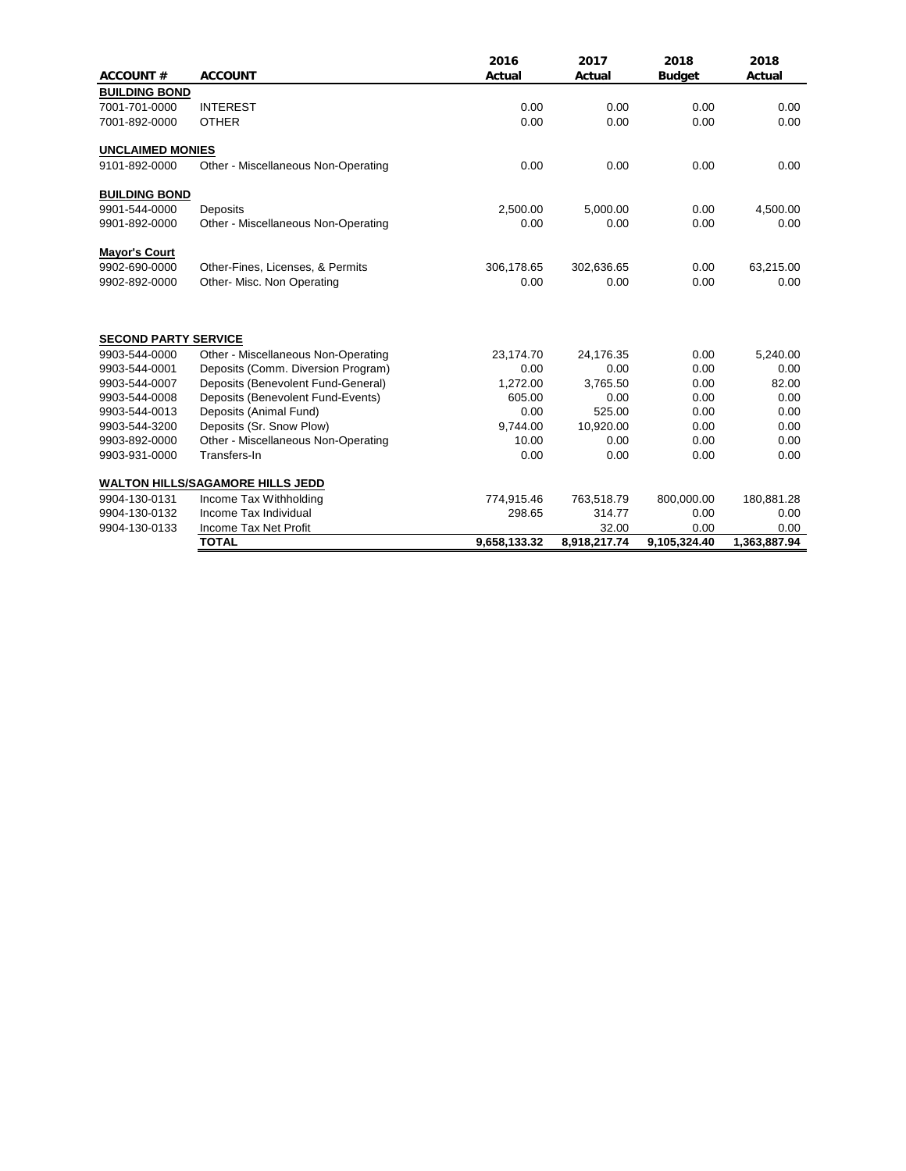|                             |                                         | 2016         | 2017         | 2018          | 2018         |
|-----------------------------|-----------------------------------------|--------------|--------------|---------------|--------------|
| <b>ACCOUNT#</b>             | <b>ACCOUNT</b>                          | Actual       | Actual       | <b>Budget</b> | Actual       |
| <b>BUILDING BOND</b>        |                                         |              |              |               |              |
| 7001-701-0000               | <b>INTEREST</b>                         | 0.00         | 0.00         | 0.00          | 0.00         |
| 7001-892-0000               | <b>OTHER</b>                            | 0.00         | 0.00         | 0.00          | 0.00         |
| <b>UNCLAIMED MONIES</b>     |                                         |              |              |               |              |
| 9101-892-0000               | Other - Miscellaneous Non-Operating     | 0.00         | 0.00         | 0.00          | 0.00         |
| <b>BUILDING BOND</b>        |                                         |              |              |               |              |
| 9901-544-0000               | Deposits                                | 2,500.00     | 5,000.00     | 0.00          | 4,500.00     |
| 9901-892-0000               | Other - Miscellaneous Non-Operating     | 0.00         | 0.00         | 0.00          | 0.00         |
| <b>Mayor's Court</b>        |                                         |              |              |               |              |
| 9902-690-0000               | Other-Fines, Licenses, & Permits        | 306,178.65   | 302,636.65   | 0.00          | 63,215.00    |
| 9902-892-0000               | Other- Misc. Non Operating              | 0.00         | 0.00         | 0.00          | 0.00         |
| <b>SECOND PARTY SERVICE</b> |                                         |              |              |               |              |
| 9903-544-0000               | Other - Miscellaneous Non-Operating     | 23,174.70    | 24,176.35    | 0.00          | 5,240.00     |
| 9903-544-0001               | Deposits (Comm. Diversion Program)      | 0.00         | 0.00         | 0.00          | 0.00         |
| 9903-544-0007               | Deposits (Benevolent Fund-General)      | 1,272.00     | 3,765.50     | 0.00          | 82.00        |
| 9903-544-0008               | Deposits (Benevolent Fund-Events)       | 605.00       | 0.00         | 0.00          | 0.00         |
| 9903-544-0013               | Deposits (Animal Fund)                  | 0.00         | 525.00       | 0.00          | 0.00         |
| 9903-544-3200               | Deposits (Sr. Snow Plow)                | 9.744.00     | 10,920.00    | 0.00          | 0.00         |
| 9903-892-0000               | Other - Miscellaneous Non-Operating     | 10.00        | 0.00         | 0.00          | 0.00         |
| 9903-931-0000               | Transfers-In                            | 0.00         | 0.00         | 0.00          | 0.00         |
|                             | <b>WALTON HILLS/SAGAMORE HILLS JEDD</b> |              |              |               |              |
| 9904-130-0131               | Income Tax Withholding                  | 774,915.46   | 763,518.79   | 800,000.00    | 180,881.28   |
| 9904-130-0132               | Income Tax Individual                   | 298.65       | 314.77       | 0.00          | 0.00         |
| 9904-130-0133               | Income Tax Net Profit                   |              | 32.00        | 0.00          | 0.00         |
|                             | <b>TOTAL</b>                            | 9,658,133.32 | 8,918,217.74 | 9,105,324.40  | 1,363,887.94 |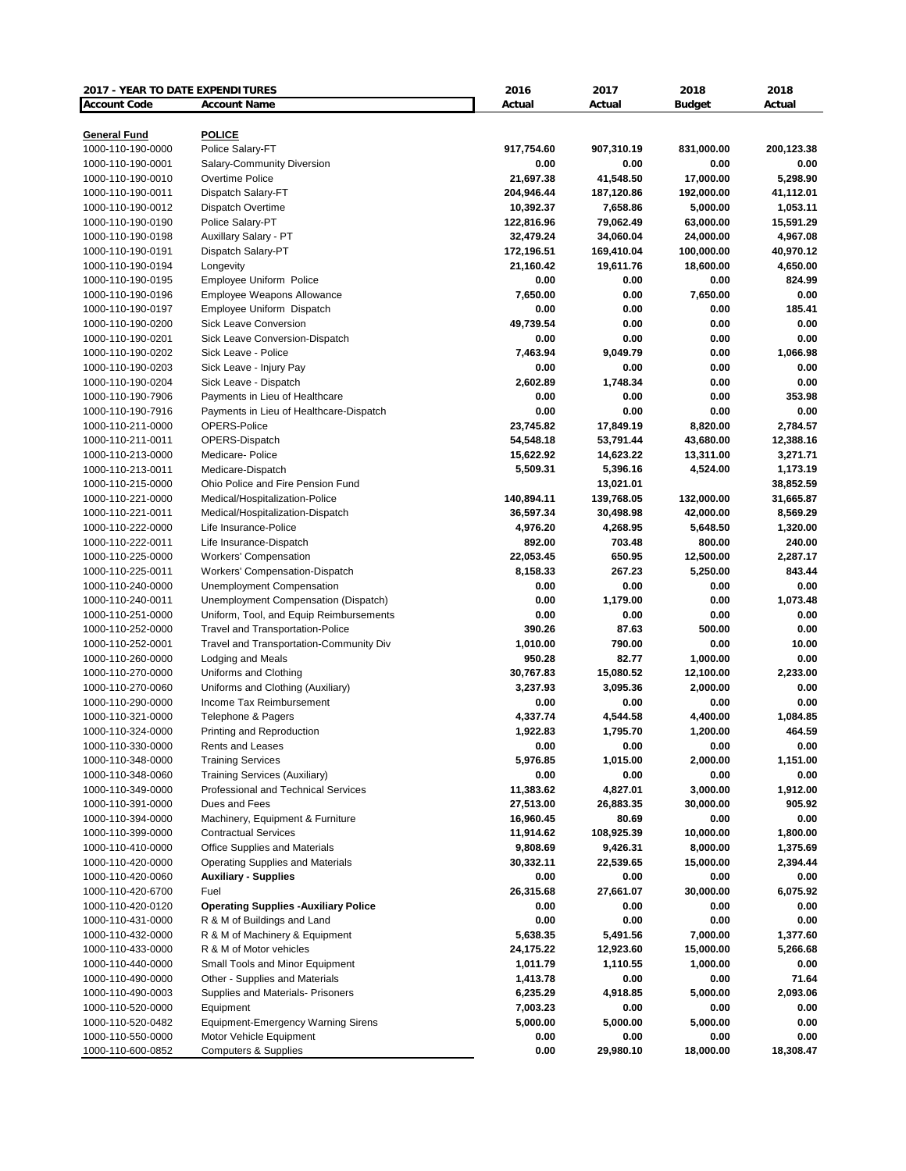| 2017 - YEAR TO DATE EXPENDITURES |                                             | 2016       | 2017       | 2018          | 2018       |
|----------------------------------|---------------------------------------------|------------|------------|---------------|------------|
| <b>Account Code</b>              | <b>Account Name</b>                         | Actual     | Actual     | <b>Budget</b> | Actual     |
|                                  |                                             |            |            |               |            |
| <b>General Fund</b>              | <b>POLICE</b>                               |            |            |               |            |
| 1000-110-190-0000                | Police Salary-FT                            | 917,754.60 | 907,310.19 | 831,000.00    | 200,123.38 |
| 1000-110-190-0001                | Salary-Community Diversion                  | 0.00       | 0.00       | 0.00          | 0.00       |
| 1000-110-190-0010                | Overtime Police                             | 21,697.38  | 41,548.50  | 17,000.00     | 5,298.90   |
| 1000-110-190-0011                | Dispatch Salary-FT                          | 204,946.44 | 187,120.86 | 192,000.00    | 41,112.01  |
| 1000-110-190-0012                | Dispatch Overtime                           | 10,392.37  | 7,658.86   | 5,000.00      | 1,053.11   |
| 1000-110-190-0190                | Police Salary-PT                            | 122,816.96 | 79,062.49  | 63,000.00     | 15,591.29  |
| 1000-110-190-0198                | Auxillary Salary - PT                       | 32,479.24  | 34,060.04  | 24,000.00     | 4,967.08   |
| 1000-110-190-0191                | Dispatch Salary-PT                          | 172,196.51 | 169,410.04 | 100,000.00    | 40,970.12  |
| 1000-110-190-0194                | Longevity                                   | 21,160.42  | 19,611.76  | 18,600.00     | 4,650.00   |
| 1000-110-190-0195                | Employee Uniform Police                     | 0.00       | 0.00       | 0.00          | 824.99     |
| 1000-110-190-0196                | Employee Weapons Allowance                  | 7,650.00   | 0.00       | 7,650.00      | 0.00       |
| 1000-110-190-0197                | Employee Uniform Dispatch                   | 0.00       | 0.00       | 0.00          | 185.41     |
| 1000-110-190-0200                | <b>Sick Leave Conversion</b>                | 49,739.54  | 0.00       | 0.00          | 0.00       |
| 1000-110-190-0201                | Sick Leave Conversion-Dispatch              | 0.00       | 0.00       | 0.00          | 0.00       |
| 1000-110-190-0202                | Sick Leave - Police                         | 7,463.94   | 9,049.79   | 0.00          | 1,066.98   |
| 1000-110-190-0203                | Sick Leave - Injury Pay                     | 0.00       | 0.00       | 0.00          | 0.00       |
| 1000-110-190-0204                | Sick Leave - Dispatch                       | 2,602.89   | 1,748.34   | 0.00          | 0.00       |
| 1000-110-190-7906                | Payments in Lieu of Healthcare              | 0.00       | 0.00       | 0.00          | 353.98     |
| 1000-110-190-7916                | Payments in Lieu of Healthcare-Dispatch     | 0.00       | 0.00       | 0.00          | 0.00       |
| 1000-110-211-0000                | OPERS-Police                                | 23,745.82  | 17,849.19  | 8,820.00      | 2,784.57   |
| 1000-110-211-0011                | OPERS-Dispatch                              | 54,548.18  | 53,791.44  | 43,680.00     | 12,388.16  |
| 1000-110-213-0000                | Medicare- Police                            | 15,622.92  | 14,623.22  | 13,311.00     | 3,271.71   |
| 1000-110-213-0011                | Medicare-Dispatch                           | 5,509.31   | 5,396.16   | 4,524.00      | 1,173.19   |
| 1000-110-215-0000                | Ohio Police and Fire Pension Fund           |            | 13,021.01  |               | 38,852.59  |
| 1000-110-221-0000                | Medical/Hospitalization-Police              | 140,894.11 | 139,768.05 | 132,000.00    | 31,665.87  |
| 1000-110-221-0011                | Medical/Hospitalization-Dispatch            | 36,597.34  | 30,498.98  |               | 8,569.29   |
|                                  |                                             |            |            | 42,000.00     |            |
| 1000-110-222-0000                | Life Insurance-Police                       | 4,976.20   | 4,268.95   | 5,648.50      | 1,320.00   |
| 1000-110-222-0011                | Life Insurance-Dispatch                     | 892.00     | 703.48     | 800.00        | 240.00     |
| 1000-110-225-0000                | <b>Workers' Compensation</b>                | 22,053.45  | 650.95     | 12,500.00     | 2,287.17   |
| 1000-110-225-0011                | Workers' Compensation-Dispatch              | 8,158.33   | 267.23     | 5,250.00      | 843.44     |
| 1000-110-240-0000                | <b>Unemployment Compensation</b>            | 0.00       | 0.00       | 0.00          | 0.00       |
| 1000-110-240-0011                | Unemployment Compensation (Dispatch)        | 0.00       | 1,179.00   | 0.00          | 1,073.48   |
| 1000-110-251-0000                | Uniform, Tool, and Equip Reimbursements     | 0.00       | 0.00       | 0.00          | 0.00       |
| 1000-110-252-0000                | <b>Travel and Transportation-Police</b>     | 390.26     | 87.63      | 500.00        | 0.00       |
| 1000-110-252-0001                | Travel and Transportation-Community Div     | 1,010.00   | 790.00     | 0.00          | 10.00      |
| 1000-110-260-0000                | <b>Lodging and Meals</b>                    | 950.28     | 82.77      | 1,000.00      | 0.00       |
| 1000-110-270-0000                | Uniforms and Clothing                       | 30,767.83  | 15,080.52  | 12,100.00     | 2,233.00   |
| 1000-110-270-0060                | Uniforms and Clothing (Auxiliary)           | 3,237.93   | 3,095.36   | 2,000.00      | 0.00       |
| 1000-110-290-0000                | Income Tax Reimbursement                    | 0.00       | 0.00       | 0.00          | 0.00       |
| 1000-110-321-0000                | Telephone & Pagers                          | 4,337.74   | 4,544.58   | 4,400.00      | 1,084.85   |
| 1000-110-324-0000                | Printing and Reproduction                   | 1,922.83   | 1,795.70   | 1,200.00      | 464.59     |
| 1000-110-330-0000                | Rents and Leases                            | 0.00       | 0.00       | 0.00          | 0.00       |
| 1000-110-348-0000                | <b>Training Services</b>                    | 5,976.85   | 1,015.00   | 2,000.00      | 1,151.00   |
| 1000-110-348-0060                | <b>Training Services (Auxiliary)</b>        | 0.00       | 0.00       | 0.00          | 0.00       |
| 1000-110-349-0000                | Professional and Technical Services         | 11,383.62  | 4,827.01   | 3,000.00      | 1,912.00   |
| 1000-110-391-0000                | Dues and Fees                               | 27,513.00  | 26,883.35  | 30,000.00     | 905.92     |
| 1000-110-394-0000                | Machinery, Equipment & Furniture            | 16,960.45  | 80.69      | 0.00          | 0.00       |
| 1000-110-399-0000                | <b>Contractual Services</b>                 | 11,914.62  | 108,925.39 | 10,000.00     | 1,800.00   |
| 1000-110-410-0000                | Office Supplies and Materials               | 9,808.69   | 9,426.31   | 8,000.00      | 1,375.69   |
| 1000-110-420-0000                | Operating Supplies and Materials            | 30,332.11  | 22,539.65  | 15,000.00     | 2,394.44   |
| 1000-110-420-0060                | <b>Auxiliary - Supplies</b>                 | 0.00       | 0.00       | 0.00          | 0.00       |
| 1000-110-420-6700                | Fuel                                        | 26,315.68  | 27,661.07  | 30,000.00     | 6,075.92   |
| 1000-110-420-0120                | <b>Operating Supplies -Auxiliary Police</b> | 0.00       | 0.00       | 0.00          | 0.00       |
| 1000-110-431-0000                | R & M of Buildings and Land                 | 0.00       | 0.00       | 0.00          | 0.00       |
| 1000-110-432-0000                | R & M of Machinery & Equipment              | 5,638.35   | 5,491.56   | 7,000.00      | 1,377.60   |
| 1000-110-433-0000                | R & M of Motor vehicles                     | 24,175.22  | 12,923.60  | 15,000.00     | 5,266.68   |
|                                  | Small Tools and Minor Equipment             |            |            |               |            |
| 1000-110-440-0000                |                                             | 1,011.79   | 1,110.55   | 1,000.00      | 0.00       |
| 1000-110-490-0000                | Other - Supplies and Materials              | 1,413.78   | 0.00       | 0.00          | 71.64      |
| 1000-110-490-0003                | Supplies and Materials- Prisoners           | 6,235.29   | 4,918.85   | 5,000.00      | 2,093.06   |
| 1000-110-520-0000                | Equipment                                   | 7,003.23   | 0.00       | 0.00          | 0.00       |
| 1000-110-520-0482                | <b>Equipment-Emergency Warning Sirens</b>   | 5,000.00   | 5,000.00   | 5,000.00      | 0.00       |
| 1000-110-550-0000                | Motor Vehicle Equipment                     | 0.00       | 0.00       | 0.00          | 0.00       |
| 1000-110-600-0852                | <b>Computers &amp; Supplies</b>             | 0.00       | 29,980.10  | 18,000.00     | 18,308.47  |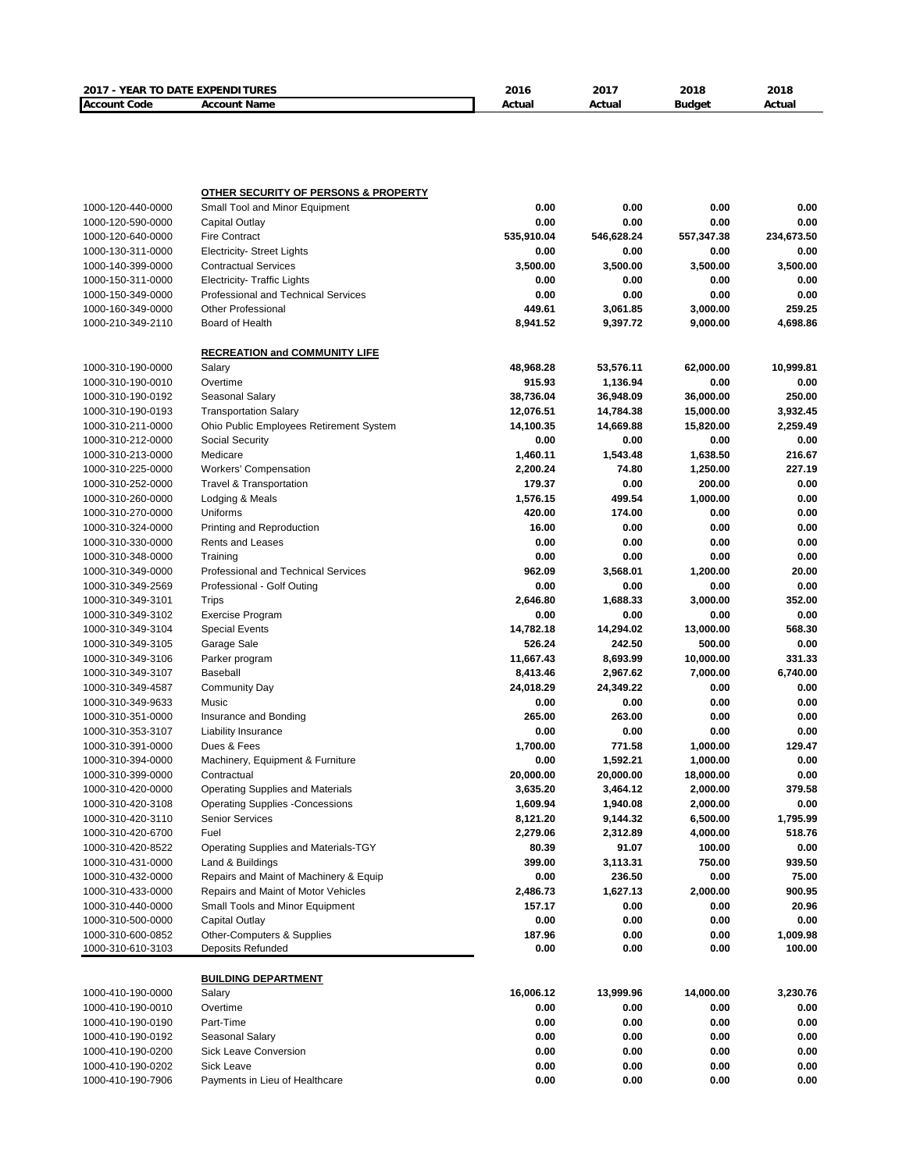| 2017 - YEAR TO DATE EXPENDITURES |                                                                                   | 2016       | 2017       | 2018          | 2018       |
|----------------------------------|-----------------------------------------------------------------------------------|------------|------------|---------------|------------|
| <b>Account Code</b>              | <b>Account Name</b>                                                               | Actual     | Actual     | <b>Budget</b> | Actual     |
|                                  |                                                                                   |            |            |               |            |
|                                  |                                                                                   |            |            |               |            |
|                                  |                                                                                   |            |            |               |            |
|                                  |                                                                                   |            |            |               |            |
| 1000-120-440-0000                | <b>OTHER SECURITY OF PERSONS &amp; PROPERTY</b><br>Small Tool and Minor Equipment | 0.00       | 0.00       | 0.00          | 0.00       |
| 1000-120-590-0000                | Capital Outlay                                                                    | 0.00       | 0.00       | 0.00          | 0.00       |
| 1000-120-640-0000                | <b>Fire Contract</b>                                                              | 535,910.04 | 546,628.24 | 557,347.38    | 234,673.50 |
| 1000-130-311-0000                | <b>Electricity- Street Lights</b>                                                 | 0.00       | 0.00       | 0.00          | 0.00       |
| 1000-140-399-0000                | <b>Contractual Services</b>                                                       | 3,500.00   | 3,500.00   | 3,500.00      | 3,500.00   |
| 1000-150-311-0000                | <b>Electricity- Traffic Lights</b>                                                | 0.00       | 0.00       | 0.00          | 0.00       |
| 1000-150-349-0000                | Professional and Technical Services                                               | 0.00       | 0.00       | 0.00          | 0.00       |
| 1000-160-349-0000                | <b>Other Professional</b>                                                         | 449.61     | 3,061.85   | 3,000.00      | 259.25     |
| 1000-210-349-2110                | Board of Health                                                                   | 8,941.52   | 9,397.72   | 9,000.00      | 4,698.86   |
|                                  | <b>RECREATION and COMMUNITY LIFE</b>                                              |            |            |               |            |
| 1000-310-190-0000                | Salary                                                                            | 48,968.28  | 53,576.11  | 62,000.00     | 10,999.81  |
| 1000-310-190-0010                | Overtime                                                                          | 915.93     | 1,136.94   | 0.00          | 0.00       |
| 1000-310-190-0192                | Seasonal Salary                                                                   | 38,736.04  | 36,948.09  | 36,000.00     | 250.00     |
| 1000-310-190-0193                | <b>Transportation Salary</b>                                                      | 12,076.51  | 14,784.38  | 15,000.00     | 3,932.45   |
| 1000-310-211-0000                | Ohio Public Employees Retirement System                                           | 14,100.35  | 14,669.88  | 15,820.00     | 2,259.49   |
| 1000-310-212-0000                | Social Security                                                                   | 0.00       | 0.00       | 0.00          | 0.00       |
| 1000-310-213-0000                | Medicare                                                                          | 1,460.11   | 1,543.48   | 1,638.50      | 216.67     |
| 1000-310-225-0000                | <b>Workers' Compensation</b>                                                      | 2,200.24   | 74.80      | 1,250.00      | 227.19     |
| 1000-310-252-0000                | <b>Travel &amp; Transportation</b>                                                | 179.37     | 0.00       | 200.00        | 0.00       |
| 1000-310-260-0000                | Lodging & Meals                                                                   | 1,576.15   | 499.54     | 1,000.00      | 0.00       |
| 1000-310-270-0000                | Uniforms                                                                          | 420.00     | 174.00     | 0.00          | 0.00       |
| 1000-310-324-0000                | Printing and Reproduction                                                         | 16.00      | 0.00       | 0.00          | 0.00       |
| 1000-310-330-0000                | <b>Rents and Leases</b>                                                           | 0.00       | 0.00       | 0.00          | 0.00       |
| 1000-310-348-0000                | Training                                                                          | 0.00       | 0.00       | 0.00          | 0.00       |
| 1000-310-349-0000                | <b>Professional and Technical Services</b>                                        | 962.09     | 3,568.01   | 1,200.00      | 20.00      |
| 1000-310-349-2569                | Professional - Golf Outing                                                        | 0.00       | 0.00       | 0.00          | 0.00       |
| 1000-310-349-3101                | <b>Trips</b>                                                                      | 2,646.80   | 1,688.33   | 3,000.00      | 352.00     |
| 1000-310-349-3102                | <b>Exercise Program</b>                                                           | 0.00       | 0.00       | 0.00          | 0.00       |
| 1000-310-349-3104                | <b>Special Events</b>                                                             | 14,782.18  | 14,294.02  | 13,000.00     | 568.30     |
| 1000-310-349-3105                | Garage Sale                                                                       | 526.24     | 242.50     | 500.00        | 0.00       |
| 1000-310-349-3106                | Parker program                                                                    | 11,667.43  | 8,693.99   | 10,000.00     | 331.33     |
| 1000-310-349-3107                | <b>Baseball</b>                                                                   | 8,413.46   | 2,967.62   | 7,000.00      | 6,740.00   |
| 1000-310-349-4587                | <b>Community Day</b>                                                              | 24,018.29  | 24,349.22  | 0.00          | 0.00       |
| 1000-310-349-9633                | Music                                                                             | 0.00       | 0.00       | 0.00          | 0.00       |
| 1000-310-351-0000                | Insurance and Bonding                                                             | 265.00     | 263.00     | 0.00          | 0.00       |
| 1000-310-353-3107                | <b>Liability Insurance</b>                                                        | 0.00       | 0.00       | 0.00          | 0.00       |
| 1000-310-391-0000                | Dues & Fees                                                                       | 1,700.00   | 771.58     | 1,000.00      | 129.47     |
| 1000-310-394-0000                | Machinery, Equipment & Furniture                                                  | 0.00       | 1,592.21   | 1,000.00      | 0.00       |
| 1000-310-399-0000                | Contractual                                                                       | 20,000.00  | 20,000.00  | 18,000.00     | 0.00       |
| 1000-310-420-0000                | <b>Operating Supplies and Materials</b>                                           | 3,635.20   | 3,464.12   | 2,000.00      | 379.58     |
| 1000-310-420-3108                | <b>Operating Supplies -Concessions</b>                                            | 1,609.94   | 1,940.08   | 2,000.00      | 0.00       |
| 1000-310-420-3110                | <b>Senior Services</b>                                                            | 8,121.20   | 9,144.32   | 6,500.00      | 1,795.99   |
| 1000-310-420-6700                | Fuel                                                                              | 2,279.06   | 2,312.89   | 4,000.00      | 518.76     |
| 1000-310-420-8522                | Operating Supplies and Materials-TGY                                              | 80.39      | 91.07      | 100.00        | 0.00       |
| 1000-310-431-0000                | Land & Buildings                                                                  | 399.00     | 3,113.31   | 750.00        | 939.50     |
| 1000-310-432-0000                | Repairs and Maint of Machinery & Equip                                            | 0.00       | 236.50     | 0.00          | 75.00      |
| 1000-310-433-0000                | Repairs and Maint of Motor Vehicles                                               | 2,486.73   | 1,627.13   | 2,000.00      | 900.95     |
| 1000-310-440-0000                | Small Tools and Minor Equipment                                                   | 157.17     | 0.00       | 0.00          | 20.96      |
| 1000-310-500-0000                | <b>Capital Outlay</b>                                                             | 0.00       | 0.00       | 0.00          | 0.00       |
| 1000-310-600-0852                | Other-Computers & Supplies                                                        | 187.96     | 0.00       | 0.00          | 1,009.98   |
| 1000-310-610-3103                | Deposits Refunded                                                                 | 0.00       | 0.00       | 0.00          | 100.00     |
|                                  | <b>BUILDING DEPARTMENT</b>                                                        |            |            |               |            |
| 1000-410-190-0000                | Salary                                                                            | 16,006.12  | 13,999.96  | 14,000.00     | 3,230.76   |
| 1000-410-190-0010                | Overtime                                                                          | 0.00       | 0.00       | 0.00          | 0.00       |
| 1000-410-190-0190                | Part-Time                                                                         | 0.00       | 0.00       | 0.00          | 0.00       |
| 1000-410-190-0192                | Seasonal Salary                                                                   | 0.00       | 0.00       | 0.00          | 0.00       |
| 1000-410-190-0200                | Sick Leave Conversion                                                             | 0.00       | 0.00       | 0.00          | 0.00       |
| 1000-410-190-0202                | Sick Leave                                                                        | 0.00       | 0.00       | 0.00          | 0.00       |
| 1000-410-190-7906                | Payments in Lieu of Healthcare                                                    | 0.00       | 0.00       | 0.00          | 0.00       |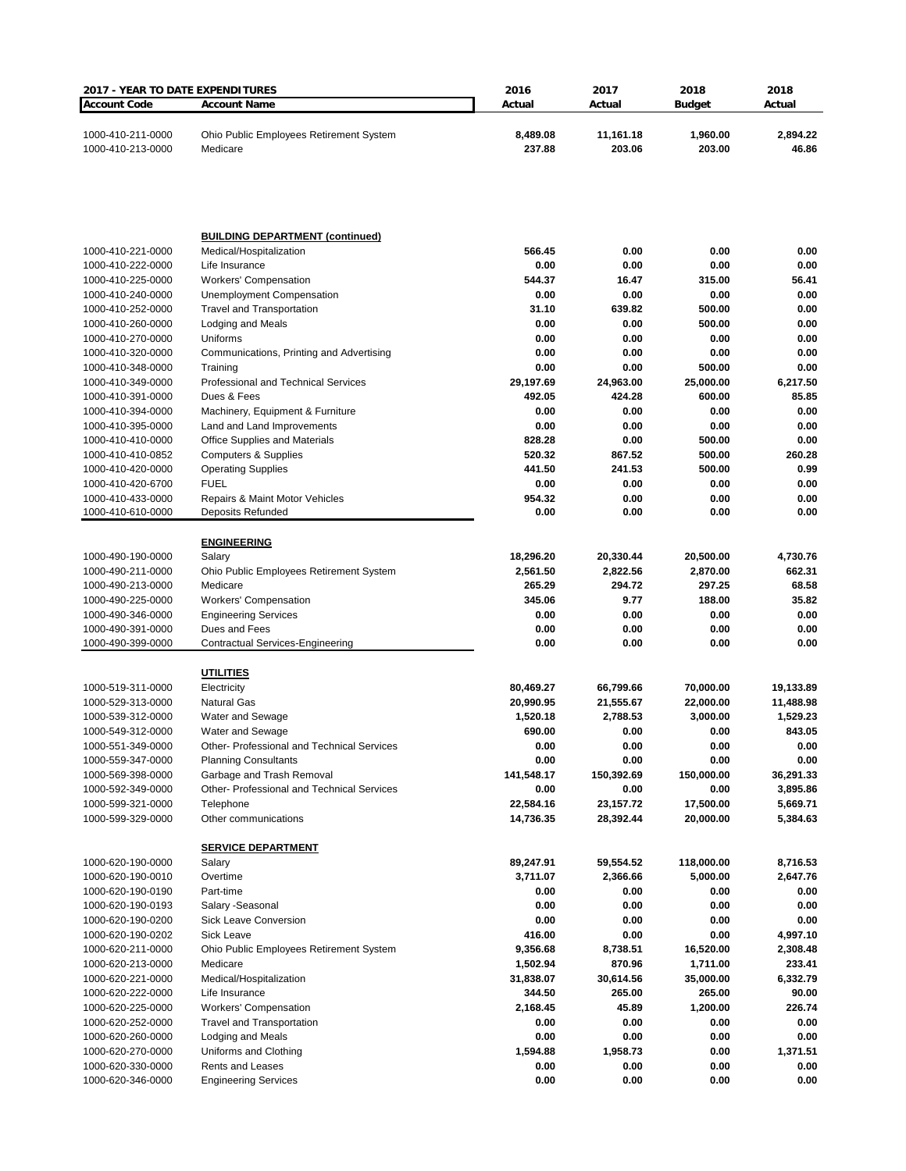| <b>2017 - YEAR TO DATE EXPENDITURES</b> |                                                                | 2016                  | 2017                  | 2018                  | 2018                  |
|-----------------------------------------|----------------------------------------------------------------|-----------------------|-----------------------|-----------------------|-----------------------|
| <b>Account Code</b>                     | <b>Account Name</b>                                            | Actual                | Actual                | <b>Budget</b>         | Actual                |
| 1000-410-211-0000<br>1000-410-213-0000  | Ohio Public Employees Retirement System<br>Medicare            | 8,489.08<br>237.88    | 11,161.18<br>203.06   | 1,960.00<br>203.00    | 2,894.22<br>46.86     |
|                                         |                                                                |                       |                       |                       |                       |
|                                         | <b>BUILDING DEPARTMENT (continued)</b>                         |                       |                       |                       |                       |
| 1000-410-221-0000                       | Medical/Hospitalization                                        | 566.45                | 0.00                  | 0.00                  | 0.00                  |
| 1000-410-222-0000<br>1000-410-225-0000  | Life Insurance                                                 | 0.00<br>544.37        | 0.00                  | 0.00                  | 0.00<br>56.41         |
| 1000-410-240-0000                       | <b>Workers' Compensation</b><br>Unemployment Compensation      | 0.00                  | 16.47<br>0.00         | 315.00<br>0.00        | 0.00                  |
| 1000-410-252-0000                       | <b>Travel and Transportation</b>                               | 31.10                 | 639.82                | 500.00                | 0.00                  |
| 1000-410-260-0000                       | Lodging and Meals                                              | 0.00                  | 0.00                  | 500.00                | 0.00                  |
| 1000-410-270-0000                       | Uniforms                                                       | 0.00                  | 0.00                  | 0.00                  | 0.00                  |
| 1000-410-320-0000                       | Communications, Printing and Advertising                       | 0.00                  | 0.00                  | 0.00                  | 0.00                  |
| 1000-410-348-0000                       | Training                                                       | 0.00                  | 0.00                  | 500.00                | 0.00                  |
| 1000-410-349-0000                       | Professional and Technical Services                            | 29,197.69             | 24,963.00             | 25,000.00             | 6,217.50              |
| 1000-410-391-0000                       | Dues & Fees                                                    | 492.05                | 424.28                | 600.00                | 85.85                 |
| 1000-410-394-0000<br>1000-410-395-0000  | Machinery, Equipment & Furniture<br>Land and Land Improvements | 0.00<br>0.00          | 0.00<br>0.00          | 0.00<br>0.00          | 0.00<br>0.00          |
| 1000-410-410-0000                       | Office Supplies and Materials                                  | 828.28                | 0.00                  | 500.00                | 0.00                  |
| 1000-410-410-0852                       | <b>Computers &amp; Supplies</b>                                | 520.32                | 867.52                | 500.00                | 260.28                |
| 1000-410-420-0000                       | <b>Operating Supplies</b>                                      | 441.50                | 241.53                | 500.00                | 0.99                  |
| 1000-410-420-6700                       | <b>FUEL</b>                                                    | 0.00                  | 0.00                  | 0.00                  | 0.00                  |
| 1000-410-433-0000                       | Repairs & Maint Motor Vehicles                                 | 954.32                | 0.00                  | 0.00                  | 0.00                  |
| 1000-410-610-0000                       | Deposits Refunded                                              | 0.00                  | 0.00                  | 0.00                  | 0.00                  |
|                                         | <b>ENGINEERING</b>                                             |                       |                       |                       |                       |
| 1000-490-190-0000                       | Salary                                                         | 18,296.20             | 20,330.44             | 20,500.00             | 4,730.76              |
| 1000-490-211-0000                       | Ohio Public Employees Retirement System                        | 2,561.50              | 2,822.56              | 2,870.00              | 662.31                |
| 1000-490-213-0000                       | Medicare                                                       | 265.29                | 294.72                | 297.25                | 68.58                 |
| 1000-490-225-0000                       | <b>Workers' Compensation</b>                                   | 345.06                | 9.77                  | 188.00                | 35.82                 |
| 1000-490-346-0000                       | <b>Engineering Services</b>                                    | 0.00                  | 0.00                  | 0.00                  | 0.00                  |
| 1000-490-391-0000<br>1000-490-399-0000  | Dues and Fees<br><b>Contractual Services-Engineering</b>       | 0.00<br>0.00          | 0.00<br>0.00          | 0.00<br>0.00          | 0.00<br>0.00          |
|                                         |                                                                |                       |                       |                       |                       |
|                                         | <u>UTILITIES</u>                                               |                       |                       |                       |                       |
| 1000-519-311-0000                       | Electricity                                                    | 80,469.27             | 66,799.66             | 70,000.00             | 19,133.89             |
| 1000-529-313-0000<br>1000-539-312-0000  | <b>Natural Gas</b>                                             | 20,990.95<br>1,520.18 | 21,555.67<br>2,788.53 | 22,000.00<br>3,000.00 | 11,488.98<br>1,529.23 |
| 1000-549-312-0000                       | Water and Sewage<br>Water and Sewage                           | 690.00                | 0.00                  | 0.00                  | 843.05                |
| 1000-551-349-0000                       | Other-Professional and Technical Services                      | 0.00                  | 0.00                  | 0.00                  | 0.00                  |
| 1000-559-347-0000                       | <b>Planning Consultants</b>                                    | 0.00                  | 0.00                  | 0.00                  | 0.00                  |
| 1000-569-398-0000                       | Garbage and Trash Removal                                      | 141,548.17            | 150,392.69            | 150,000.00            | 36,291.33             |
| 1000-592-349-0000                       | Other- Professional and Technical Services                     | 0.00                  | 0.00                  | 0.00                  | 3,895.86              |
| 1000-599-321-0000                       | Telephone                                                      | 22,584.16             | 23, 157. 72           | 17,500.00             | 5,669.71              |
| 1000-599-329-0000                       | Other communications                                           | 14,736.35             | 28,392.44             | 20,000.00             | 5,384.63              |
|                                         | <b>SERVICE DEPARTMENT</b>                                      |                       |                       |                       |                       |
| 1000-620-190-0000                       | Salary                                                         | 89,247.91             | 59,554.52             | 118,000.00            | 8,716.53              |
| 1000-620-190-0010                       | Overtime                                                       | 3,711.07              | 2,366.66              | 5,000.00              | 2,647.76              |
| 1000-620-190-0190                       | Part-time                                                      | 0.00                  | 0.00                  | 0.00                  | 0.00                  |
| 1000-620-190-0193<br>1000-620-190-0200  | Salary - Seasonal<br>Sick Leave Conversion                     | 0.00<br>0.00          | 0.00<br>0.00          | 0.00<br>0.00          | 0.00<br>0.00          |
| 1000-620-190-0202                       | Sick Leave                                                     | 416.00                | 0.00                  | 0.00                  | 4,997.10              |
| 1000-620-211-0000                       | Ohio Public Employees Retirement System                        | 9,356.68              | 8,738.51              | 16,520.00             | 2,308.48              |
| 1000-620-213-0000                       | Medicare                                                       | 1,502.94              | 870.96                | 1,711.00              | 233.41                |
| 1000-620-221-0000                       | Medical/Hospitalization                                        | 31,838.07             | 30,614.56             | 35,000.00             | 6,332.79              |
| 1000-620-222-0000                       | Life Insurance                                                 | 344.50                | 265.00                | 265.00                | 90.00                 |
| 1000-620-225-0000                       | <b>Workers' Compensation</b>                                   | 2,168.45              | 45.89                 | 1,200.00              | 226.74                |
| 1000-620-252-0000                       | <b>Travel and Transportation</b>                               | 0.00                  | 0.00                  | 0.00                  | 0.00                  |
| 1000-620-260-0000                       | Lodging and Meals                                              | 0.00                  | 0.00                  | 0.00                  | 0.00                  |
| 1000-620-270-0000                       | Uniforms and Clothing                                          | 1,594.88              | 1,958.73              | 0.00                  | 1,371.51              |
| 1000-620-330-0000<br>1000-620-346-0000  | <b>Rents and Leases</b><br><b>Engineering Services</b>         | 0.00<br>0.00          | 0.00<br>0.00          | 0.00<br>0.00          | 0.00<br>0.00          |
|                                         |                                                                |                       |                       |                       |                       |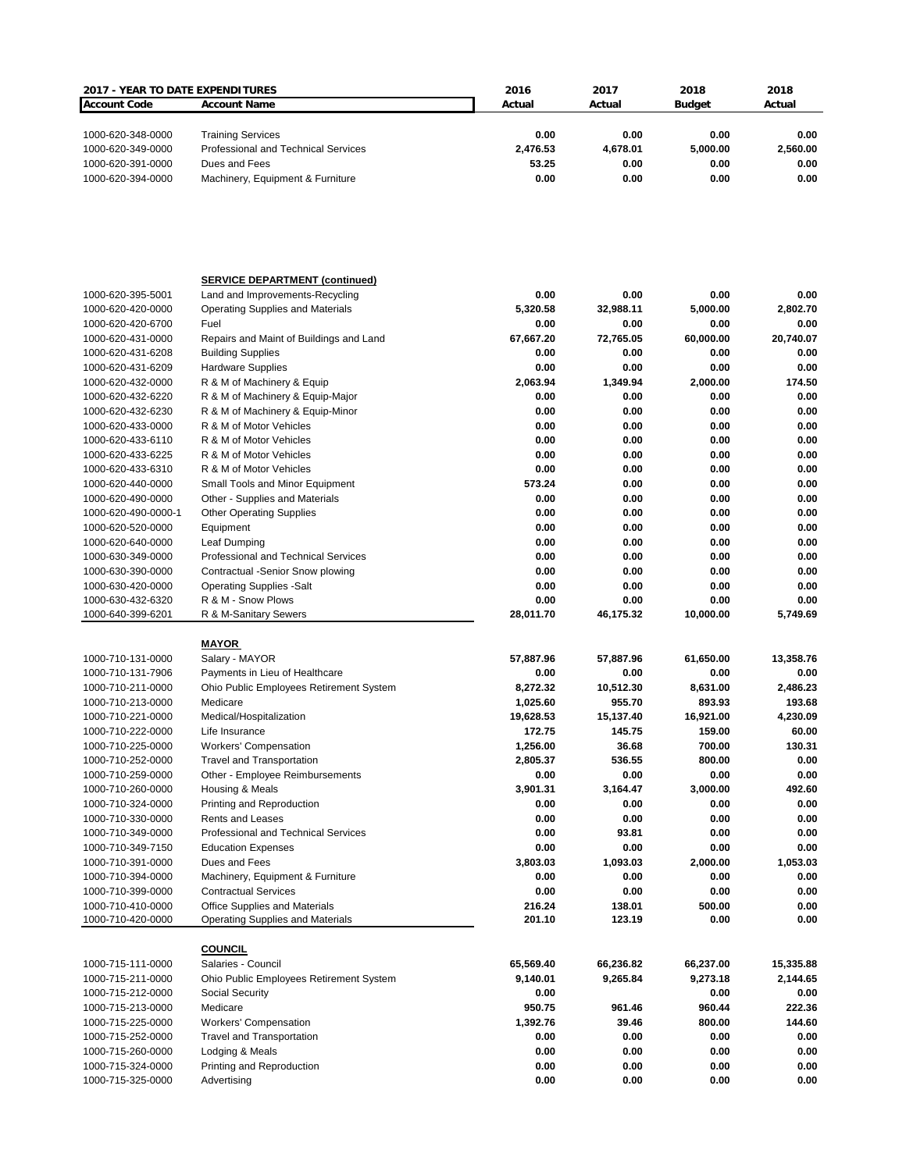| 2017 - YEAR TO DATE EXPENDITURES |                                         | 2016      | 2017      | 2018          | 2018      |
|----------------------------------|-----------------------------------------|-----------|-----------|---------------|-----------|
| <b>Account Code</b>              | <b>Account Name</b>                     | Actual    | Actual    | <b>Budget</b> | Actual    |
|                                  |                                         |           |           |               |           |
|                                  |                                         |           |           |               |           |
| 1000-620-348-0000                | <b>Training Services</b>                | 0.00      | 0.00      | 0.00          | 0.00      |
| 1000-620-349-0000                | Professional and Technical Services     | 2,476.53  | 4,678.01  | 5,000.00      | 2,560.00  |
| 1000-620-391-0000                | Dues and Fees                           | 53.25     | 0.00      | 0.00          | 0.00      |
| 1000-620-394-0000                | Machinery, Equipment & Furniture        | 0.00      | 0.00      | 0.00          | 0.00      |
|                                  |                                         |           |           |               |           |
|                                  |                                         |           |           |               |           |
|                                  |                                         |           |           |               |           |
|                                  |                                         |           |           |               |           |
|                                  |                                         |           |           |               |           |
|                                  |                                         |           |           |               |           |
|                                  |                                         |           |           |               |           |
|                                  | <b>SERVICE DEPARTMENT (continued)</b>   |           |           |               |           |
| 1000-620-395-5001                | Land and Improvements-Recycling         | 0.00      | 0.00      | 0.00          | 0.00      |
| 1000-620-420-0000                | <b>Operating Supplies and Materials</b> | 5,320.58  | 32,988.11 | 5,000.00      | 2,802.70  |
| 1000-620-420-6700                | Fuel                                    | 0.00      | 0.00      | 0.00          | 0.00      |
| 1000-620-431-0000                | Repairs and Maint of Buildings and Land | 67,667.20 | 72,765.05 | 60,000.00     | 20,740.07 |
| 1000-620-431-6208                | <b>Building Supplies</b>                | 0.00      | 0.00      | 0.00          | 0.00      |
| 1000-620-431-6209                | <b>Hardware Supplies</b>                | 0.00      | 0.00      | 0.00          | 0.00      |
| 1000-620-432-0000                | R & M of Machinery & Equip              | 2,063.94  | 1,349.94  | 2,000.00      | 174.50    |
| 1000-620-432-6220                | R & M of Machinery & Equip-Major        | 0.00      | 0.00      | 0.00          | 0.00      |
| 1000-620-432-6230                | R & M of Machinery & Equip-Minor        | 0.00      | 0.00      | 0.00          | 0.00      |
|                                  |                                         |           |           |               |           |
| 1000-620-433-0000                | R & M of Motor Vehicles                 | 0.00      | 0.00      | 0.00          | 0.00      |
| 1000-620-433-6110                | R & M of Motor Vehicles                 | 0.00      | 0.00      | 0.00          | 0.00      |
| 1000-620-433-6225                | R & M of Motor Vehicles                 | 0.00      | 0.00      | 0.00          | 0.00      |
| 1000-620-433-6310                | R & M of Motor Vehicles                 | 0.00      | 0.00      | 0.00          | 0.00      |
| 1000-620-440-0000                | Small Tools and Minor Equipment         | 573.24    | 0.00      | 0.00          | 0.00      |
| 1000-620-490-0000                | Other - Supplies and Materials          | 0.00      | 0.00      | 0.00          | 0.00      |
| 1000-620-490-0000-1              | <b>Other Operating Supplies</b>         | 0.00      | 0.00      | 0.00          | 0.00      |
| 1000-620-520-0000                | Equipment                               | 0.00      | 0.00      | 0.00          | 0.00      |
| 1000-620-640-0000                | Leaf Dumping                            | 0.00      | 0.00      | 0.00          | 0.00      |
|                                  |                                         | 0.00      | 0.00      | 0.00          | 0.00      |
| 1000-630-349-0000                | Professional and Technical Services     |           |           |               |           |
| 1000-630-390-0000                | Contractual -Senior Snow plowing        | 0.00      | 0.00      | 0.00          | 0.00      |
| 1000-630-420-0000                | <b>Operating Supplies -Salt</b>         | 0.00      | 0.00      | 0.00          | 0.00      |
| 1000-630-432-6320                | R & M - Snow Plows                      | 0.00      | 0.00      | 0.00          | 0.00      |
| 1000-640-399-6201                | R & M-Sanitary Sewers                   | 28,011.70 | 46,175.32 | 10,000.00     | 5,749.69  |
|                                  |                                         |           |           |               |           |
|                                  | <u>MAYOR</u>                            |           |           |               |           |
| 1000-710-131-0000                | Salary - MAYOR                          | 57,887.96 | 57,887.96 | 61,650.00     | 13,358.76 |
| 1000-710-131-7906                | Payments in Lieu of Healthcare          | 0.00      | 0.00      | 0.00          | 0.00      |
| 1000-710-211-0000                | Ohio Public Employees Retirement System | 8,272.32  | 10,512.30 | 8,631.00      | 2,486.23  |
| 1000-710-213-0000                | Medicare                                | 1,025.60  | 955.70    | 893.93        | 193.68    |
| 1000-710-221-0000                | Medical/Hospitalization                 | 19,628.53 | 15,137.40 | 16,921.00     | 4,230.09  |
|                                  | Life Insurance                          | 172.75    | 145.75    | 159.00        | 60.00     |
| 1000-710-222-0000                |                                         |           |           |               |           |
| 1000-710-225-0000                | <b>Workers' Compensation</b>            | 1,256.00  | 36.68     | 700.00        | 130.31    |
| 1000-710-252-0000                | <b>Travel and Transportation</b>        | 2,805.37  | 536.55    | 800.00        | 0.00      |
| 1000-710-259-0000                | Other - Employee Reimbursements         | 0.00      | 0.00      | 0.00          | 0.00      |
| 1000-710-260-0000                | Housing & Meals                         | 3,901.31  | 3,164.47  | 3,000.00      | 492.60    |
| 1000-710-324-0000                | Printing and Reproduction               | 0.00      | 0.00      | 0.00          | 0.00      |
| 1000-710-330-0000                | <b>Rents and Leases</b>                 | 0.00      | 0.00      | 0.00          | 0.00      |
| 1000-710-349-0000                | Professional and Technical Services     | 0.00      | 93.81     | 0.00          | 0.00      |
| 1000-710-349-7150                | <b>Education Expenses</b>               | 0.00      | 0.00      | 0.00          | 0.00      |
| 1000-710-391-0000                | Dues and Fees                           | 3,803.03  | 1,093.03  | 2,000.00      | 1,053.03  |
|                                  |                                         |           |           |               |           |
| 1000-710-394-0000                | Machinery, Equipment & Furniture        | 0.00      | 0.00      | 0.00          | 0.00      |
| 1000-710-399-0000                | <b>Contractual Services</b>             | 0.00      | 0.00      | 0.00          | 0.00      |
| 1000-710-410-0000                | Office Supplies and Materials           | 216.24    | 138.01    | 500.00        | 0.00      |
| 1000-710-420-0000                | <b>Operating Supplies and Materials</b> | 201.10    | 123.19    | 0.00          | 0.00      |
|                                  |                                         |           |           |               |           |
|                                  | <b>COUNCIL</b>                          |           |           |               |           |
| 1000-715-111-0000                | Salaries - Council                      | 65,569.40 | 66,236.82 | 66,237.00     | 15,335.88 |
| 1000-715-211-0000                | Ohio Public Employees Retirement System | 9,140.01  | 9,265.84  | 9,273.18      | 2,144.65  |
| 1000-715-212-0000                | Social Security                         | 0.00      |           | 0.00          | 0.00      |
| 1000-715-213-0000                | Medicare                                | 950.75    | 961.46    | 960.44        | 222.36    |
|                                  | <b>Workers' Compensation</b>            | 1,392.76  | 39.46     | 800.00        | 144.60    |
| 1000-715-225-0000                |                                         |           |           |               |           |
| 1000-715-252-0000                | <b>Travel and Transportation</b>        | 0.00      | 0.00      | 0.00          | 0.00      |
| 1000-715-260-0000                | Lodging & Meals                         | 0.00      | 0.00      | 0.00          | 0.00      |
| 1000-715-324-0000                | Printing and Reproduction               | 0.00      | 0.00      | 0.00          | 0.00      |
| 1000-715-325-0000                | Advertising                             | 0.00      | 0.00      | 0.00          | 0.00      |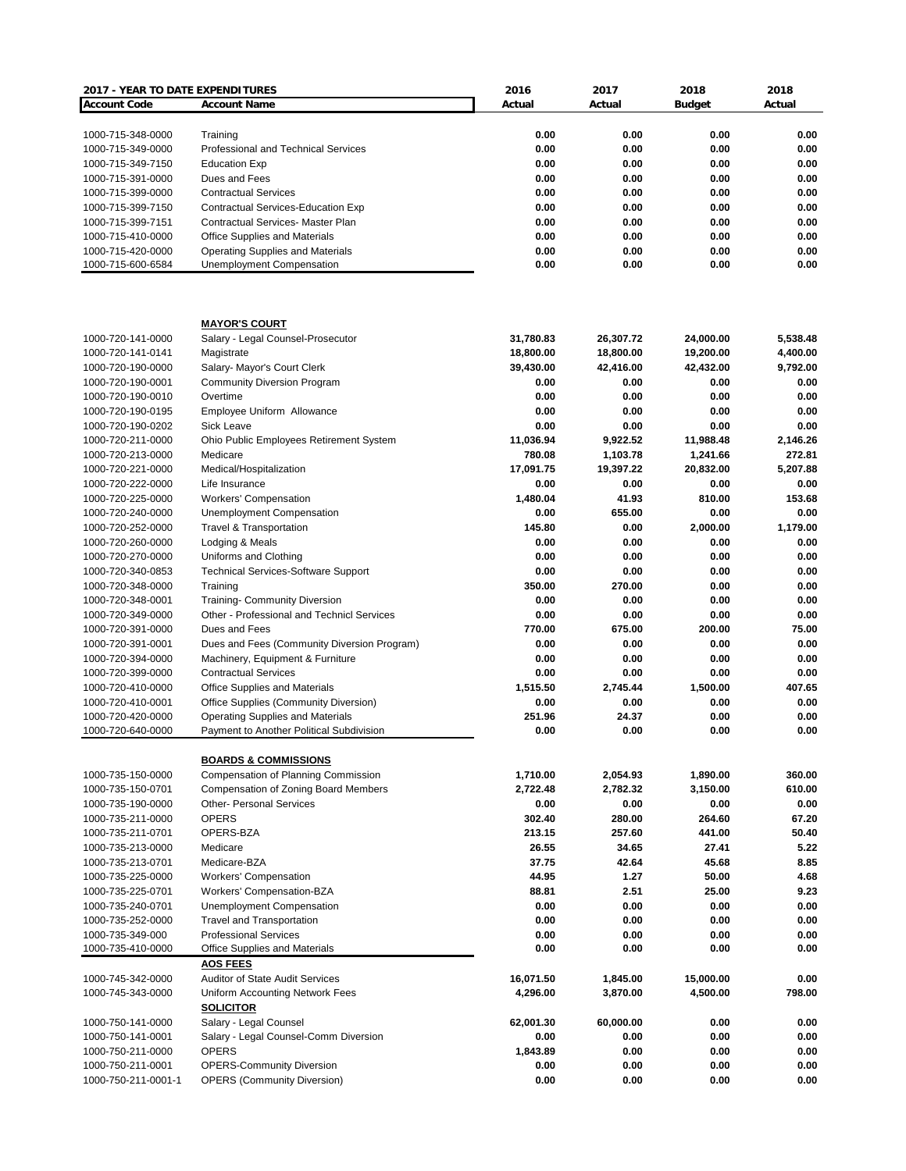| 2017 - YEAR TO DATE EXPENDITURES |                                                  | 2016      | 2017      | 2018          | 2018     |
|----------------------------------|--------------------------------------------------|-----------|-----------|---------------|----------|
| <b>Account Code</b>              | <b>Account Name</b>                              | Actual    | Actual    | <b>Budget</b> | Actual   |
|                                  |                                                  |           |           |               |          |
| 1000-715-348-0000                | Training                                         | 0.00      | 0.00      | 0.00          | 0.00     |
| 1000-715-349-0000                | Professional and Technical Services              | 0.00      | 0.00      | 0.00          | 0.00     |
| 1000-715-349-7150                | <b>Education Exp</b>                             | 0.00      | 0.00      | 0.00          | 0.00     |
| 1000-715-391-0000                | Dues and Fees                                    | 0.00      | 0.00      | 0.00          | 0.00     |
| 1000-715-399-0000                | <b>Contractual Services</b>                      | 0.00      | 0.00      | 0.00          | 0.00     |
| 1000-715-399-7150                | Contractual Services-Education Exp               | 0.00      | 0.00      | 0.00          | 0.00     |
| 1000-715-399-7151                | <b>Contractual Services- Master Plan</b>         | 0.00      | 0.00      | 0.00          | 0.00     |
| 1000-715-410-0000                | <b>Office Supplies and Materials</b>             | 0.00      | 0.00      | 0.00          | 0.00     |
| 1000-715-420-0000                | <b>Operating Supplies and Materials</b>          | 0.00      | 0.00      | 0.00          | 0.00     |
| 1000-715-600-6584                | Unemployment Compensation                        | 0.00      | 0.00      | 0.00          | 0.00     |
|                                  |                                                  |           |           |               |          |
|                                  | <b>MAYOR'S COURT</b>                             |           |           |               |          |
| 1000-720-141-0000                | Salary - Legal Counsel-Prosecutor                | 31,780.83 | 26,307.72 | 24,000.00     | 5,538.48 |
| 1000-720-141-0141                | Magistrate                                       | 18,800.00 | 18,800.00 | 19,200.00     | 4,400.00 |
| 1000-720-190-0000                | Salary- Mayor's Court Clerk                      | 39,430.00 | 42,416.00 | 42,432.00     | 9,792.00 |
| 1000-720-190-0001                | <b>Community Diversion Program</b>               | 0.00      | 0.00      | 0.00          | 0.00     |
| 1000-720-190-0010                | Overtime                                         | 0.00      | 0.00      | 0.00          | 0.00     |
| 1000-720-190-0195                | Employee Uniform Allowance                       | 0.00      | 0.00      | 0.00          | 0.00     |
| 1000-720-190-0202                | <b>Sick Leave</b>                                | 0.00      | 0.00      | 0.00          | 0.00     |
| 1000-720-211-0000                | Ohio Public Employees Retirement System          | 11,036.94 | 9,922.52  | 11,988.48     | 2,146.26 |
| 1000-720-213-0000                | Medicare                                         | 780.08    | 1,103.78  | 1,241.66      | 272.81   |
| 1000-720-221-0000                | Medical/Hospitalization                          | 17,091.75 | 19,397.22 | 20,832.00     | 5,207.88 |
| 1000-720-222-0000                | Life Insurance                                   | 0.00      | 0.00      | 0.00          | 0.00     |
| 1000-720-225-0000                | <b>Workers' Compensation</b>                     | 1,480.04  | 41.93     | 810.00        | 153.68   |
| 1000-720-240-0000                | Unemployment Compensation                        | 0.00      | 655.00    | 0.00          | 0.00     |
|                                  |                                                  |           |           |               |          |
| 1000-720-252-0000                | <b>Travel &amp; Transportation</b>               | 145.80    | 0.00      | 2,000.00      | 1,179.00 |
| 1000-720-260-0000                | Lodging & Meals                                  | 0.00      | 0.00      | 0.00          | 0.00     |
| 1000-720-270-0000                | Uniforms and Clothing                            | 0.00      | 0.00      | 0.00          | 0.00     |
| 1000-720-340-0853                | <b>Technical Services-Software Support</b>       | 0.00      | 0.00      | 0.00          | 0.00     |
| 1000-720-348-0000                | Training                                         | 350.00    | 270.00    | 0.00          | 0.00     |
| 1000-720-348-0001                | <b>Training- Community Diversion</b>             | 0.00      | 0.00      | 0.00          | 0.00     |
| 1000-720-349-0000                | Other - Professional and Technicl Services       | 0.00      | 0.00      | 0.00          | 0.00     |
| 1000-720-391-0000                | Dues and Fees                                    | 770.00    | 675.00    | 200.00        | 75.00    |
| 1000-720-391-0001                | Dues and Fees (Community Diversion Program)      | 0.00      | 0.00      | 0.00          | 0.00     |
| 1000-720-394-0000                | Machinery, Equipment & Furniture                 | 0.00      | 0.00      | 0.00          | 0.00     |
| 1000-720-399-0000                | <b>Contractual Services</b>                      | 0.00      | 0.00      | 0.00          | 0.00     |
| 1000-720-410-0000                | Office Supplies and Materials                    | 1.515.50  | 2.745.44  | 1,500.00      | 407.65   |
| 1000-720-410-0001                | Office Supplies (Community Diversion)            | 0.00      | 0.00      | 0.00          | 0.00     |
| 1000-720-420-0000                | Operating Supplies and Materials                 | 251.96    | 24.37     | 0.00          | 0.00     |
| 1000-720-640-0000                | Payment to Another Political Subdivision         | 0.00      | 0.00      | 0.00          | 0.00     |
|                                  | <b>BOARDS &amp; COMMISSIONS</b>                  |           |           |               |          |
| 1000-735-150-0000                | Compensation of Planning Commission              | 1,710.00  | 2,054.93  | 1,890.00      | 360.00   |
| 1000-735-150-0701                | Compensation of Zoning Board Members             | 2,722.48  | 2,782.32  | 3,150.00      | 610.00   |
| 1000-735-190-0000                | <b>Other- Personal Services</b>                  | 0.00      | 0.00      | 0.00          | 0.00     |
|                                  | <b>OPERS</b>                                     |           |           |               |          |
| 1000-735-211-0000                |                                                  | 302.40    | 280.00    | 264.60        | 67.20    |
| 1000-735-211-0701                | OPERS-BZA                                        | 213.15    | 257.60    | 441.00        | 50.40    |
| 1000-735-213-0000                | Medicare                                         | 26.55     | 34.65     | 27.41         | 5.22     |
| 1000-735-213-0701                | Medicare-BZA                                     | 37.75     | 42.64     | 45.68         | 8.85     |
| 1000-735-225-0000                | <b>Workers' Compensation</b>                     | 44.95     | 1.27      | 50.00         | 4.68     |
| 1000-735-225-0701                | Workers' Compensation-BZA                        | 88.81     | 2.51      | 25.00         | 9.23     |
| 1000-735-240-0701                | Unemployment Compensation                        | 0.00      | 0.00      | 0.00          | 0.00     |
| 1000-735-252-0000                | <b>Travel and Transportation</b>                 | 0.00      | 0.00      | 0.00          | 0.00     |
| 1000-735-349-000                 | <b>Professional Services</b>                     | 0.00      | 0.00      | 0.00          | 0.00     |
| 1000-735-410-0000                | Office Supplies and Materials<br><b>AOS FEES</b> | 0.00      | 0.00      | 0.00          | 0.00     |
| 1000-745-342-0000                | <b>Auditor of State Audit Services</b>           | 16,071.50 | 1,845.00  | 15,000.00     | 0.00     |
| 1000-745-343-0000                | Uniform Accounting Network Fees                  | 4,296.00  | 3,870.00  | 4,500.00      | 798.00   |
|                                  | <b>SOLICITOR</b>                                 |           |           |               |          |
| 1000-750-141-0000                | Salary - Legal Counsel                           | 62,001.30 | 60,000.00 | 0.00          | 0.00     |
| 1000-750-141-0001                | Salary - Legal Counsel-Comm Diversion            | 0.00      | 0.00      | 0.00          | 0.00     |
| 1000-750-211-0000                | <b>OPERS</b>                                     | 1,843.89  | 0.00      | 0.00          | 0.00     |
| 1000-750-211-0001                | <b>OPERS-Community Diversion</b>                 | 0.00      | 0.00      | 0.00          | 0.00     |
| 1000-750-211-0001-1              | <b>OPERS (Community Diversion)</b>               | 0.00      | 0.00      | 0.00          | 0.00     |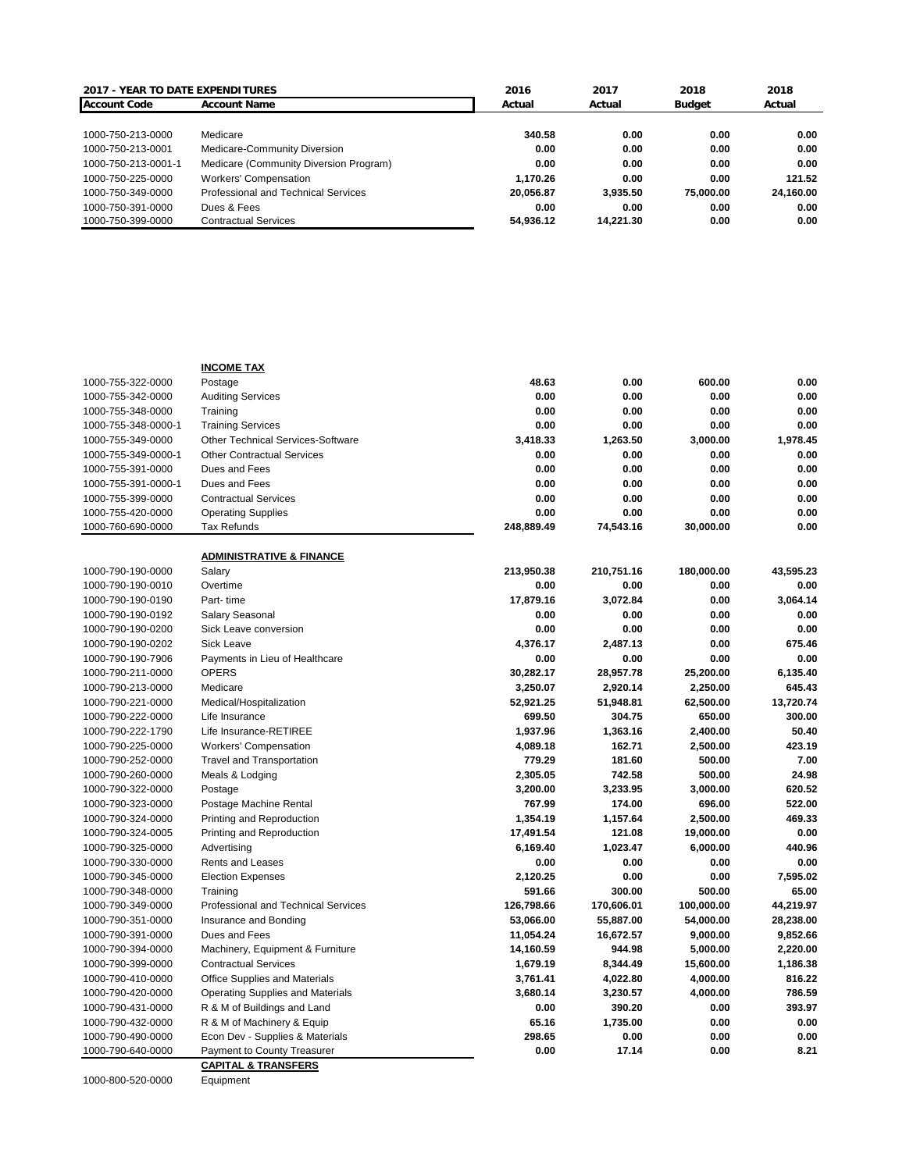| <b>2017 - YEAR TO DATE EXPENDITURES</b> |                                        | 2016      | 2017      | 2018      | 2018      |
|-----------------------------------------|----------------------------------------|-----------|-----------|-----------|-----------|
| <b>Account Code</b>                     | <b>Account Name</b>                    | Actual    | Actual    | Budget    | Actual    |
|                                         |                                        |           |           |           |           |
| 1000-750-213-0000                       | Medicare                               | 340.58    | 0.00      | 0.00      | 0.00      |
| 1000-750-213-0001                       | Medicare-Community Diversion           | 0.00      | 0.00      | 0.00      | 0.00      |
| 1000-750-213-0001-1                     | Medicare (Community Diversion Program) | 0.00      | 0.00      | 0.00      | 0.00      |
| 1000-750-225-0000                       | <b>Workers' Compensation</b>           | 1.170.26  | 0.00      | 0.00      | 121.52    |
| 1000-750-349-0000                       | Professional and Technical Services    | 20.056.87 | 3.935.50  | 75,000,00 | 24,160.00 |
| 1000-750-391-0000                       | Dues & Fees                            | 0.00      | 0.00      | 0.00      | 0.00      |
| 1000-750-399-0000                       | <b>Contractual Services</b>            | 54.936.12 | 14.221.30 | 0.00      | 0.00      |

|                     | <b>INCOME TAX</b>                               |            |            |            |           |
|---------------------|-------------------------------------------------|------------|------------|------------|-----------|
| 1000-755-322-0000   | Postage                                         | 48.63      | 0.00       | 600.00     | 0.00      |
| 1000-755-342-0000   | <b>Auditing Services</b>                        | 0.00       | 0.00       | 0.00       | 0.00      |
| 1000-755-348-0000   | Training                                        | 0.00       | 0.00       | 0.00       | 0.00      |
| 1000-755-348-0000-1 | <b>Training Services</b>                        | 0.00       | 0.00       | 0.00       | 0.00      |
| 1000-755-349-0000   | <b>Other Technical Services-Software</b>        | 3,418.33   | 1,263.50   | 3,000.00   | 1,978.45  |
| 1000-755-349-0000-1 | <b>Other Contractual Services</b>               | 0.00       | 0.00       | 0.00       | 0.00      |
| 1000-755-391-0000   | Dues and Fees                                   | 0.00       | 0.00       | 0.00       | 0.00      |
| 1000-755-391-0000-1 | Dues and Fees                                   | 0.00       | 0.00       | 0.00       | 0.00      |
| 1000-755-399-0000   | <b>Contractual Services</b>                     | 0.00       | 0.00       | 0.00       | 0.00      |
| 1000-755-420-0000   | <b>Operating Supplies</b>                       | 0.00       | 0.00       | 0.00       | 0.00      |
| 1000-760-690-0000   | Tax Refunds                                     | 248,889.49 | 74,543.16  | 30,000.00  | 0.00      |
|                     | <b>ADMINISTRATIVE &amp; FINANCE</b>             |            |            |            |           |
| 1000-790-190-0000   | Salary                                          | 213,950.38 | 210,751.16 | 180,000.00 | 43,595.23 |
| 1000-790-190-0010   | Overtime                                        | 0.00       | 0.00       | 0.00       | 0.00      |
| 1000-790-190-0190   | Part-time                                       | 17,879.16  | 3,072.84   | 0.00       | 3.064.14  |
| 1000-790-190-0192   | Salary Seasonal                                 | 0.00       | 0.00       | 0.00       | 0.00      |
| 1000-790-190-0200   | Sick Leave conversion                           | 0.00       | 0.00       | 0.00       | 0.00      |
| 1000-790-190-0202   | <b>Sick Leave</b>                               | 4,376.17   | 2,487.13   | 0.00       | 675.46    |
| 1000-790-190-7906   | Payments in Lieu of Healthcare                  | 0.00       | 0.00       | 0.00       | 0.00      |
| 1000-790-211-0000   | <b>OPERS</b>                                    | 30,282.17  | 28,957.78  | 25,200.00  | 6,135.40  |
| 1000-790-213-0000   | Medicare                                        | 3,250.07   | 2,920.14   | 2,250.00   | 645.43    |
| 1000-790-221-0000   | Medical/Hospitalization                         | 52,921.25  | 51,948.81  | 62,500.00  | 13,720.74 |
| 1000-790-222-0000   | Life Insurance                                  | 699.50     | 304.75     | 650.00     | 300.00    |
| 1000-790-222-1790   | Life Insurance-RETIREE                          | 1,937.96   | 1,363.16   | 2,400.00   | 50.40     |
| 1000-790-225-0000   | <b>Workers' Compensation</b>                    | 4,089.18   | 162.71     | 2,500.00   | 423.19    |
| 1000-790-252-0000   | <b>Travel and Transportation</b>                | 779.29     | 181.60     | 500.00     | 7.00      |
| 1000-790-260-0000   | Meals & Lodging                                 | 2,305.05   | 742.58     | 500.00     | 24.98     |
| 1000-790-322-0000   | Postage                                         | 3,200.00   | 3,233.95   | 3,000.00   | 620.52    |
| 1000-790-323-0000   | Postage Machine Rental                          | 767.99     | 174.00     | 696.00     | 522.00    |
| 1000-790-324-0000   | Printing and Reproduction                       | 1,354.19   | 1,157.64   | 2,500.00   | 469.33    |
| 1000-790-324-0005   | Printing and Reproduction                       | 17,491.54  | 121.08     | 19,000.00  | 0.00      |
| 1000-790-325-0000   | Advertising                                     | 6,169.40   | 1,023.47   | 6,000.00   | 440.96    |
| 1000-790-330-0000   | Rents and Leases                                | 0.00       | 0.00       | 0.00       | 0.00      |
| 1000-790-345-0000   |                                                 | 2,120.25   | 0.00       | 0.00       | 7,595.02  |
| 1000-790-348-0000   | <b>Election Expenses</b>                        | 591.66     | 300.00     | 500.00     | 65.00     |
|                     | Training<br>Professional and Technical Services | 126,798.66 | 170,606.01 | 100,000.00 | 44,219.97 |
| 1000-790-349-0000   | Insurance and Bonding                           | 53,066.00  | 55,887.00  | 54,000.00  | 28,238.00 |
| 1000-790-351-0000   |                                                 |            |            |            |           |
| 1000-790-391-0000   | Dues and Fees                                   | 11,054.24  | 16,672.57  | 9,000.00   | 9,852.66  |
| 1000-790-394-0000   | Machinery, Equipment & Furniture                | 14,160.59  | 944.98     | 5,000.00   | 2,220.00  |
| 1000-790-399-0000   | <b>Contractual Services</b>                     | 1,679.19   | 8,344.49   | 15,600.00  | 1,186.38  |
| 1000-790-410-0000   | Office Supplies and Materials                   | 3,761.41   | 4,022.80   | 4,000.00   | 816.22    |
| 1000-790-420-0000   | <b>Operating Supplies and Materials</b>         | 3,680.14   | 3,230.57   | 4,000.00   | 786.59    |
| 1000-790-431-0000   | R & M of Buildings and Land                     | 0.00       | 390.20     | 0.00       | 393.97    |
| 1000-790-432-0000   | R & M of Machinery & Equip                      | 65.16      | 1,735.00   | 0.00       | 0.00      |
| 1000-790-490-0000   | Econ Dev - Supplies & Materials                 | 298.65     | 0.00       | 0.00       | 0.00      |
| 1000-790-640-0000   | Payment to County Treasurer                     | 0.00       | 17.14      | 0.00       | 8.21      |
|                     | <b>CAPITAL &amp; TRANSFERS</b>                  |            |            |            |           |

1000-800-520-0000 Equipment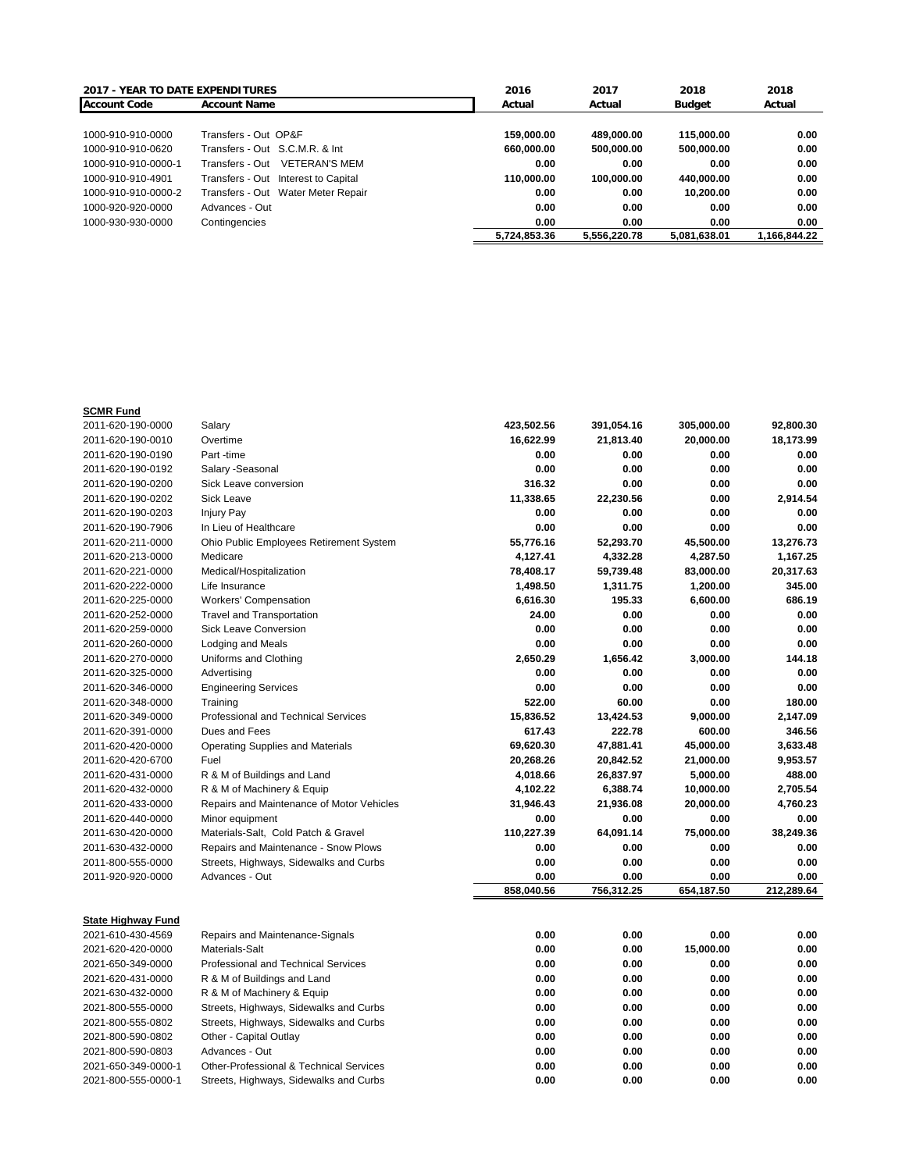| <b>2017 - YEAR TO DATE EXPENDITURES</b> |                                         | 2016         | 2017         | 2018         | 2018         |
|-----------------------------------------|-----------------------------------------|--------------|--------------|--------------|--------------|
| <b>Account Code</b>                     | <b>Account Name</b>                     | Actual       | Actual       | Budget       | Actual       |
|                                         |                                         |              |              |              |              |
| 1000-910-910-0000                       | Transfers - Out OP&F                    | 159.000.00   | 489.000.00   | 115,000,00   | 0.00         |
| 1000-910-910-0620                       | Transfers - Out S.C.M.R. & Int          | 660.000.00   | 500.000.00   | 500.000.00   | 0.00         |
| 1000-910-910-0000-1                     | <b>VETERAN'S MEM</b><br>Transfers - Out | 0.00         | 0.00         | 0.00         | 0.00         |
| 1000-910-910-4901                       | Transfers - Out Interest to Capital     | 110.000.00   | 100.000.00   | 440.000.00   | 0.00         |
| 1000-910-910-0000-2                     | Transfers - Out Water Meter Repair      | 0.00         | 0.00         | 10.200.00    | 0.00         |
| 1000-920-920-0000                       | Advances - Out                          | 0.00         | 0.00         | 0.00         | 0.00         |
| 1000-930-930-0000                       | Contingencies                           | 0.00         | 0.00         | 0.00         | 0.00         |
|                                         |                                         | 5.724.853.36 | 5.556.220.78 | 5.081.638.01 | 1,166,844.22 |

## **SCMR Fund**

| 2011-620-190-0000         | Salary                                             | 423,502.56 | 391,054.16 | 305,000.00 | 92,800.30  |
|---------------------------|----------------------------------------------------|------------|------------|------------|------------|
| 2011-620-190-0010         | Overtime                                           | 16,622.99  | 21,813.40  | 20,000.00  | 18,173.99  |
| 2011-620-190-0190         | Part -time                                         | 0.00       | 0.00       | 0.00       | 0.00       |
| 2011-620-190-0192         | Salary - Seasonal                                  | 0.00       | 0.00       | 0.00       | 0.00       |
| 2011-620-190-0200         | Sick Leave conversion                              | 316.32     | 0.00       | 0.00       | 0.00       |
| 2011-620-190-0202         | <b>Sick Leave</b>                                  | 11,338.65  | 22,230.56  | 0.00       | 2,914.54   |
| 2011-620-190-0203         | <b>Injury Pay</b>                                  | 0.00       | 0.00       | 0.00       | 0.00       |
| 2011-620-190-7906         | In Lieu of Healthcare                              | 0.00       | 0.00       | 0.00       | 0.00       |
| 2011-620-211-0000         | Ohio Public Employees Retirement System            | 55,776.16  | 52,293.70  | 45,500.00  | 13,276.73  |
| 2011-620-213-0000         | Medicare                                           | 4,127.41   | 4,332.28   | 4,287.50   | 1,167.25   |
| 2011-620-221-0000         | Medical/Hospitalization                            | 78,408.17  | 59,739.48  | 83,000.00  | 20,317.63  |
| 2011-620-222-0000         | Life Insurance                                     | 1,498.50   | 1,311.75   | 1,200.00   | 345.00     |
| 2011-620-225-0000         | <b>Workers' Compensation</b>                       | 6,616.30   | 195.33     | 6,600.00   | 686.19     |
| 2011-620-252-0000         | <b>Travel and Transportation</b>                   | 24.00      | 0.00       | 0.00       | 0.00       |
| 2011-620-259-0000         | <b>Sick Leave Conversion</b>                       | 0.00       | 0.00       | 0.00       | 0.00       |
| 2011-620-260-0000         | Lodging and Meals                                  | 0.00       | 0.00       | 0.00       | 0.00       |
| 2011-620-270-0000         | Uniforms and Clothing                              | 2,650.29   | 1,656.42   | 3,000.00   | 144.18     |
| 2011-620-325-0000         | Advertising                                        | 0.00       | 0.00       | 0.00       | 0.00       |
| 2011-620-346-0000         | <b>Engineering Services</b>                        | 0.00       | 0.00       | 0.00       | 0.00       |
| 2011-620-348-0000         | Training                                           | 522.00     | 60.00      | 0.00       | 180.00     |
| 2011-620-349-0000         | <b>Professional and Technical Services</b>         | 15,836.52  | 13,424.53  | 9,000.00   | 2,147.09   |
| 2011-620-391-0000         | Dues and Fees                                      | 617.43     | 222.78     | 600.00     | 346.56     |
| 2011-620-420-0000         | <b>Operating Supplies and Materials</b>            | 69,620.30  | 47,881.41  | 45,000.00  | 3,633.48   |
| 2011-620-420-6700         | Fuel                                               | 20,268.26  | 20,842.52  | 21,000.00  | 9,953.57   |
| 2011-620-431-0000         | R & M of Buildings and Land                        | 4,018.66   | 26,837.97  | 5,000.00   | 488.00     |
| 2011-620-432-0000         | R & M of Machinery & Equip                         | 4,102.22   | 6,388.74   | 10,000.00  | 2,705.54   |
| 2011-620-433-0000         | Repairs and Maintenance of Motor Vehicles          | 31,946.43  | 21,936.08  | 20,000.00  | 4,760.23   |
| 2011-620-440-0000         | Minor equipment                                    | 0.00       | 0.00       | 0.00       | 0.00       |
| 2011-630-420-0000         | Materials-Salt, Cold Patch & Gravel                | 110,227.39 | 64,091.14  | 75,000.00  | 38,249.36  |
| 2011-630-432-0000         | Repairs and Maintenance - Snow Plows               | 0.00       | 0.00       | 0.00       | 0.00       |
| 2011-800-555-0000         | Streets, Highways, Sidewalks and Curbs             | 0.00       | 0.00       | 0.00       | 0.00       |
| 2011-920-920-0000         | Advances - Out                                     | 0.00       | 0.00       | 0.00       | 0.00       |
|                           |                                                    | 858,040.56 | 756,312.25 | 654.187.50 | 212,289.64 |
|                           |                                                    |            |            |            |            |
| <b>State Highway Fund</b> |                                                    |            |            |            |            |
| 2021-610-430-4569         | Repairs and Maintenance-Signals                    | 0.00       | 0.00       | 0.00       | 0.00       |
| 2021-620-420-0000         | Materials-Salt                                     | 0.00       | 0.00       | 15,000.00  | 0.00       |
| 2021-650-349-0000         | <b>Professional and Technical Services</b>         | 0.00       | 0.00       | 0.00       | 0.00       |
| 2021-620-431-0000         | R & M of Buildings and Land                        | 0.00       | 0.00       | 0.00       | 0.00       |
| 2021-630-432-0000         | R & M of Machinery & Equip                         | 0.00       | 0.00       | 0.00       | 0.00       |
| 2021-800-555-0000         | Streets, Highways, Sidewalks and Curbs             | 0.00       | 0.00       | 0.00       | 0.00       |
| 2021-800-555-0802         | Streets, Highways, Sidewalks and Curbs             | 0.00       | 0.00       | 0.00       | 0.00       |
| 2021-800-590-0802         | Other - Capital Outlay                             | 0.00       | 0.00       | 0.00       | 0.00       |
| 2021-800-590-0803         | Advances - Out                                     | 0.00       | 0.00       | 0.00       | 0.00       |
| 2021-650-349-0000-1       | <b>Other-Professional &amp; Technical Services</b> | 0.00       | 0.00       | 0.00       | 0.00       |
| 2021-800-555-0000-1       | Streets, Highways, Sidewalks and Curbs             | 0.00       | 0.00       | 0.00       | 0.00       |
|                           |                                                    |            |            |            |            |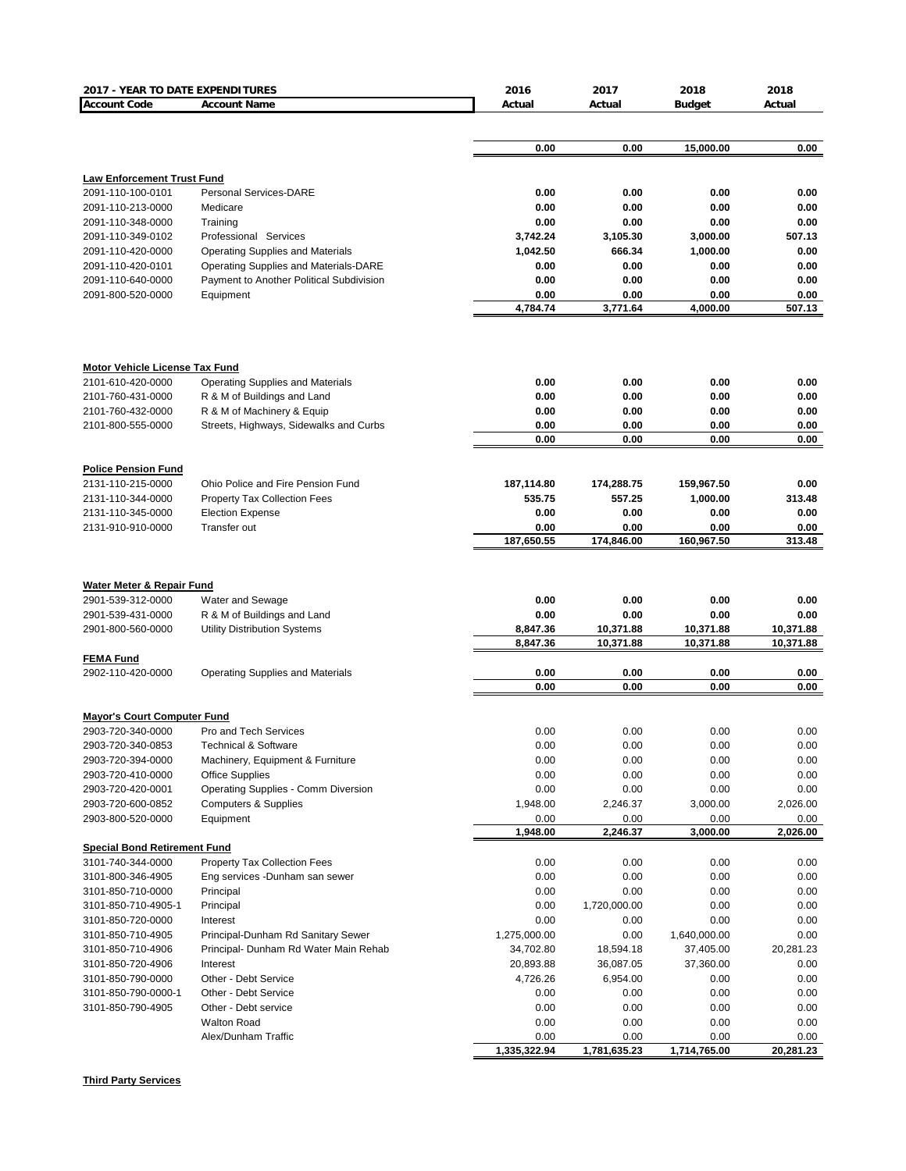| 2017 - YEAR TO DATE EXPENDITURES                |                                              | 2016             | 2017             | 2018             | 2018           |
|-------------------------------------------------|----------------------------------------------|------------------|------------------|------------------|----------------|
| <b>Account Code</b>                             | <b>Account Name</b>                          | Actual           | Actual           | <b>Budget</b>    | Actual         |
|                                                 |                                              |                  |                  |                  |                |
|                                                 |                                              | 0.00             | 0.00             | 15,000.00        | 0.00           |
|                                                 |                                              |                  |                  |                  |                |
| <b>Law Enforcement Trust Fund</b>               |                                              |                  |                  |                  |                |
| 2091-110-100-0101                               | Personal Services-DARE                       | 0.00             | 0.00             | 0.00             | 0.00           |
| 2091-110-213-0000                               | Medicare                                     | 0.00             | 0.00             | 0.00             | 0.00           |
| 2091-110-348-0000                               | Training                                     | 0.00             | 0.00             | 0.00             | 0.00           |
| 2091-110-349-0102                               | Professional Services                        | 3,742.24         | 3,105.30         | 3,000.00         | 507.13         |
| 2091-110-420-0000                               | <b>Operating Supplies and Materials</b>      | 1,042.50         | 666.34           | 1,000.00         | 0.00           |
| 2091-110-420-0101                               | Operating Supplies and Materials-DARE        | 0.00             | 0.00             | 0.00             | 0.00           |
| 2091-110-640-0000                               | Payment to Another Political Subdivision     | 0.00             | 0.00             | 0.00             | 0.00           |
| 2091-800-520-0000                               | Equipment                                    | 0.00<br>4,784.74 | 0.00<br>3,771.64 | 0.00<br>4,000.00 | 0.00<br>507.13 |
|                                                 |                                              |                  |                  |                  |                |
| <b>Motor Vehicle License Tax Fund</b>           |                                              |                  |                  |                  |                |
| 2101-610-420-0000                               | <b>Operating Supplies and Materials</b>      | 0.00             | 0.00             | 0.00             | 0.00           |
| 2101-760-431-0000                               | R & M of Buildings and Land                  | 0.00             | 0.00             | 0.00             | 0.00           |
| 2101-760-432-0000                               | R & M of Machinery & Equip                   | 0.00             | 0.00             | 0.00             | 0.00           |
| 2101-800-555-0000                               | Streets, Highways, Sidewalks and Curbs       | 0.00             | 0.00             | 0.00             | 0.00           |
|                                                 |                                              | 0.00             | 0.00             | 0.00             | 0.00           |
|                                                 |                                              |                  |                  |                  |                |
| <b>Police Pension Fund</b><br>2131-110-215-0000 | Ohio Police and Fire Pension Fund            | 187,114.80       | 174,288.75       | 159,967.50       | 0.00           |
| 2131-110-344-0000                               | <b>Property Tax Collection Fees</b>          | 535.75           | 557.25           | 1,000.00         | 313.48         |
| 2131-110-345-0000                               | <b>Election Expense</b>                      | 0.00             | 0.00             | 0.00             | 0.00           |
| 2131-910-910-0000                               | Transfer out                                 | 0.00             | 0.00             | 0.00             | 0.00           |
|                                                 |                                              | 187,650.55       | 174,846.00       | 160,967.50       | 313.48         |
|                                                 |                                              |                  |                  |                  |                |
|                                                 |                                              |                  |                  |                  |                |
| Water Meter & Repair Fund<br>2901-539-312-0000  | Water and Sewage                             | 0.00             | 0.00             | 0.00             | 0.00           |
| 2901-539-431-0000                               | R & M of Buildings and Land                  | 0.00             | 0.00             | 0.00             | 0.00           |
| 2901-800-560-0000                               | Utility Distribution Systems                 | 8,847.36         | 10,371.88        | 10,371.88        | 10,371.88      |
|                                                 |                                              | 8,847.36         | 10,371.88        | 10,371.88        | 10,371.88      |
| <b>FEMA Fund</b>                                |                                              |                  |                  |                  |                |
| 2902-110-420-0000                               | Operating Supplies and Materials             | 0.00             | 0.00             | 0.00             | 0.00           |
|                                                 |                                              | 0.00             | 0.00             | 0.00             | 0.00           |
| <b>Mayor's Court Computer Fund</b>              |                                              |                  |                  |                  |                |
| 2903-720-340-0000                               | Pro and Tech Services                        | 0.00             | 0.00             | 0.00             | 0.00           |
| 2903-720-340-0853                               | <b>Technical &amp; Software</b>              | 0.00             | 0.00             | 0.00             | 0.00           |
| 2903-720-394-0000                               | Machinery, Equipment & Furniture             | 0.00             | 0.00             | 0.00             | 0.00           |
| 2903-720-410-0000                               | <b>Office Supplies</b>                       | 0.00             | 0.00             | 0.00             | 0.00           |
| 2903-720-420-0001                               | Operating Supplies - Comm Diversion          | 0.00             | 0.00             | 0.00             | 0.00           |
| 2903-720-600-0852                               | <b>Computers &amp; Supplies</b>              | 1,948.00         | 2,246.37         | 3,000.00         | 2,026.00       |
| 2903-800-520-0000                               | Equipment                                    | 0.00             | 0.00             | 0.00             | 0.00           |
|                                                 |                                              | 1,948.00         | 2,246.37         | 3,000.00         | 2,026.00       |
| <b>Special Bond Retirement Fund</b>             |                                              |                  |                  |                  |                |
| 3101-740-344-0000                               | Property Tax Collection Fees                 | 0.00             | 0.00             | 0.00             | 0.00           |
| 3101-800-346-4905                               | Eng services -Dunham san sewer               | 0.00             | 0.00             | 0.00             | 0.00           |
| 3101-850-710-0000                               | Principal                                    | 0.00             | 0.00             | 0.00             | 0.00           |
| 3101-850-710-4905-1                             | Principal                                    | 0.00             | 1,720,000.00     | 0.00             | 0.00           |
| 3101-850-720-0000                               | Interest                                     | 0.00             | 0.00             | 0.00             | 0.00           |
| 3101-850-710-4905                               | Principal-Dunham Rd Sanitary Sewer           | 1,275,000.00     | 0.00             | 1,640,000.00     | 0.00           |
| 3101-850-710-4906                               | Principal- Dunham Rd Water Main Rehab        | 34,702.80        | 18,594.18        | 37,405.00        | 20,281.23      |
| 3101-850-720-4906                               | Interest                                     | 20,893.88        | 36,087.05        | 37,360.00        | 0.00           |
| 3101-850-790-0000                               | Other - Debt Service                         | 4,726.26         | 6,954.00         | 0.00             | 0.00           |
| 3101-850-790-0000-1<br>3101-850-790-4905        | Other - Debt Service<br>Other - Debt service | 0.00<br>0.00     | 0.00<br>0.00     | 0.00<br>0.00     | 0.00<br>0.00   |
|                                                 | <b>Walton Road</b>                           | 0.00             | 0.00             | 0.00             | 0.00           |
|                                                 | Alex/Dunham Traffic                          | 0.00             | 0.00             | 0.00             | 0.00           |
|                                                 |                                              | 1,335,322.94     | 1,781,635.23     | 1,714,765.00     | 20,281.23      |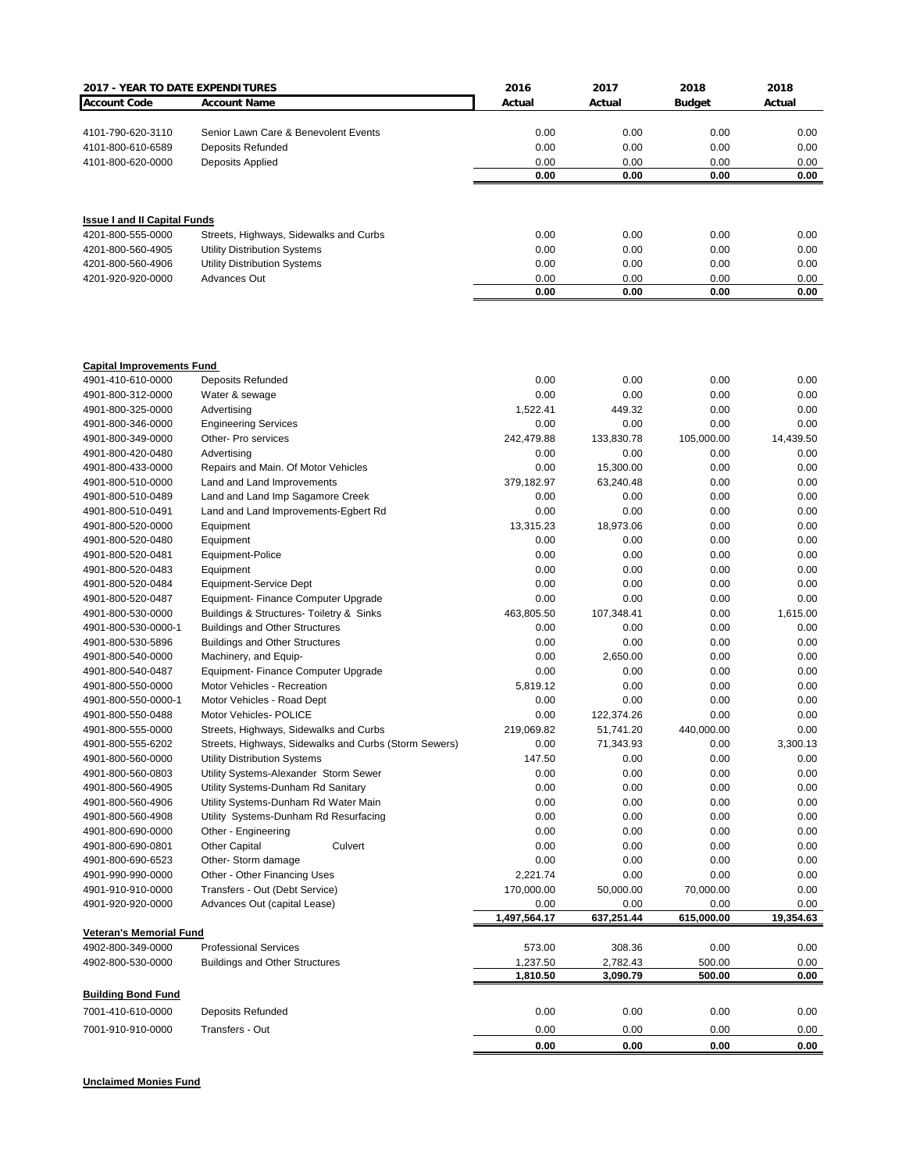| 2017 - YEAR TO DATE EXPENDITURES       |                                                                    | 2016                 | 2017             | 2018               | 2018         |
|----------------------------------------|--------------------------------------------------------------------|----------------------|------------------|--------------------|--------------|
| <b>Account Code</b>                    | <b>Account Name</b>                                                | Actual               | Actual           | <b>Budget</b>      | Actual       |
|                                        |                                                                    |                      |                  |                    |              |
| 4101-790-620-3110                      | Senior Lawn Care & Benevolent Events                               | 0.00                 | 0.00             | 0.00               | 0.00         |
| 4101-800-610-6589                      | Deposits Refunded                                                  | 0.00                 | 0.00             | 0.00               | 0.00         |
| 4101-800-620-0000                      | Deposits Applied                                                   | 0.00<br>0.00         | 0.00<br>0.00     | 0.00<br>0.00       | 0.00<br>0.00 |
|                                        |                                                                    |                      |                  |                    |              |
| <b>Issue I and II Capital Funds</b>    |                                                                    |                      |                  |                    |              |
| 4201-800-555-0000                      | Streets, Highways, Sidewalks and Curbs                             | 0.00                 | 0.00             | 0.00               | 0.00         |
| 4201-800-560-4905                      | <b>Utility Distribution Systems</b>                                | 0.00                 | 0.00             | 0.00               | 0.00         |
| 4201-800-560-4906                      | <b>Utility Distribution Systems</b>                                | 0.00                 | 0.00             | 0.00               | 0.00         |
| 4201-920-920-0000                      | <b>Advances Out</b>                                                | 0.00                 | 0.00             | 0.00               | 0.00         |
|                                        |                                                                    | 0.00                 | 0.00             | 0.00               | 0.00         |
| <b>Capital Improvements Fund</b>       |                                                                    |                      |                  |                    |              |
| 4901-410-610-0000                      | <b>Deposits Refunded</b>                                           | 0.00                 | 0.00             | 0.00               | 0.00         |
| 4901-800-312-0000                      | Water & sewage                                                     | 0.00                 | 0.00             | 0.00               | 0.00         |
| 4901-800-325-0000                      | Advertising                                                        | 1,522.41             | 449.32           | 0.00               | 0.00         |
| 4901-800-346-0000                      | <b>Engineering Services</b>                                        | 0.00                 | 0.00             | 0.00               | 0.00         |
| 4901-800-349-0000                      | Other- Pro services                                                | 242,479.88           | 133,830.78       | 105,000.00         | 14,439.50    |
| 4901-800-420-0480                      | Advertising                                                        | 0.00                 | 0.00             | 0.00               | 0.00         |
| 4901-800-433-0000                      | Repairs and Main. Of Motor Vehicles                                | 0.00                 | 15,300.00        | 0.00               | 0.00         |
| 4901-800-510-0000                      | Land and Land Improvements                                         | 379,182.97           | 63,240.48        | 0.00               | 0.00         |
| 4901-800-510-0489                      | Land and Land Imp Sagamore Creek                                   | 0.00                 | 0.00             | 0.00               | 0.00         |
| 4901-800-510-0491                      | Land and Land Improvements-Egbert Rd                               | 0.00                 | 0.00             | 0.00               | 0.00         |
| 4901-800-520-0000                      | Equipment                                                          | 13,315.23            | 18,973.06        | 0.00               | 0.00         |
| 4901-800-520-0480                      | Equipment                                                          | 0.00                 | 0.00             | 0.00               | 0.00         |
| 4901-800-520-0481                      | Equipment-Police                                                   | 0.00                 | 0.00             | 0.00               | 0.00         |
| 4901-800-520-0483                      | Equipment                                                          | 0.00                 | 0.00             | 0.00               | 0.00         |
| 4901-800-520-0484                      | Equipment-Service Dept                                             | 0.00                 | 0.00             | 0.00               | 0.00         |
| 4901-800-520-0487                      | Equipment- Finance Computer Upgrade                                | 0.00                 | 0.00             | 0.00               | 0.00         |
| 4901-800-530-0000                      | Buildings & Structures- Toiletry & Sinks                           | 463,805.50           | 107,348.41       | 0.00               | 1,615.00     |
| 4901-800-530-0000-1                    | <b>Buildings and Other Structures</b>                              | 0.00                 | 0.00             | 0.00               | 0.00         |
| 4901-800-530-5896                      | <b>Buildings and Other Structures</b>                              | 0.00                 | 0.00             | 0.00               | 0.00         |
| 4901-800-540-0000                      | Machinery, and Equip-                                              | 0.00<br>0.00         | 2,650.00<br>0.00 | 0.00               | 0.00         |
| 4901-800-540-0487<br>4901-800-550-0000 | Equipment- Finance Computer Upgrade<br>Motor Vehicles - Recreation | 5,819.12             | 0.00             | 0.00<br>0.00       | 0.00<br>0.00 |
| 4901-800-550-0000-1                    | Motor Vehicles - Road Dept                                         | 0.00                 | 0.00             | 0.00               | 0.00         |
| 4901-800-550-0488                      | Motor Vehicles- POLICE                                             | 0.00                 | 122,374.26       | 0.00               | 0.00         |
| 4901-800-555-0000                      | Streets, Highways, Sidewalks and Curbs                             | 219,069.82           | 51,741.20        | 440,000.00         | 0.00         |
| 4901-800-555-6202                      | Streets, Highways, Sidewalks and Curbs (Storm Sewers)              | 0.00                 | 71,343.93        | 0.00               | 3,300.13     |
| 4901-800-560-0000                      | Utility Distribution Systems                                       | 147.50               | 0.00             | 0.00               | 0.00         |
| 4901-800-560-0803                      | Utility Systems-Alexander Storm Sewer                              | 0.00                 | 0.00             | 0.00               | 0.00         |
| 4901-800-560-4905                      | Utility Systems-Dunham Rd Sanitary                                 | 0.00                 | 0.00             | 0.00               | 0.00         |
| 4901-800-560-4906                      | Utility Systems-Dunham Rd Water Main                               | 0.00                 | 0.00             | 0.00               | 0.00         |
| 4901-800-560-4908                      | Utility Systems-Dunham Rd Resurfacing                              | 0.00                 | 0.00             | 0.00               | 0.00         |
| 4901-800-690-0000                      | Other - Engineering                                                | 0.00                 | 0.00             | 0.00               | 0.00         |
| 4901-800-690-0801                      | <b>Other Capital</b><br>Culvert                                    | 0.00                 | 0.00             | 0.00               | 0.00         |
| 4901-800-690-6523                      | Other- Storm damage                                                | 0.00                 | 0.00             | 0.00               | 0.00         |
| 4901-990-990-0000                      | Other - Other Financing Uses                                       | 2,221.74             | 0.00             | 0.00               | 0.00         |
| 4901-910-910-0000                      | Transfers - Out (Debt Service)                                     | 170,000.00           | 50,000.00        | 70,000.00          | 0.00         |
| 4901-920-920-0000                      | Advances Out (capital Lease)                                       | 0.00<br>1,497,564.17 | 0.00             | 0.00<br>615,000.00 | 0.00         |
| <b>Veteran's Memorial Fund</b>         |                                                                    |                      | 637,251.44       |                    | 19,354.63    |
| 4902-800-349-0000                      | <b>Professional Services</b>                                       | 573.00               | 308.36           | 0.00               | 0.00         |
| 4902-800-530-0000                      | <b>Buildings and Other Structures</b>                              | 1,237.50             | 2,782.43         | 500.00             | 0.00         |
|                                        |                                                                    | 1,810.50             | 3,090.79         | 500.00             | 0.00         |
| <b>Building Bond Fund</b>              |                                                                    |                      |                  |                    |              |
| 7001-410-610-0000                      | Deposits Refunded                                                  | 0.00                 | 0.00             | 0.00               | 0.00         |
| 7001-910-910-0000                      | Transfers - Out                                                    | 0.00                 | 0.00             | 0.00               | 0.00         |
|                                        |                                                                    | 0.00                 | 0.00             | 0.00               | 0.00         |

**Unclaimed Monies Fund**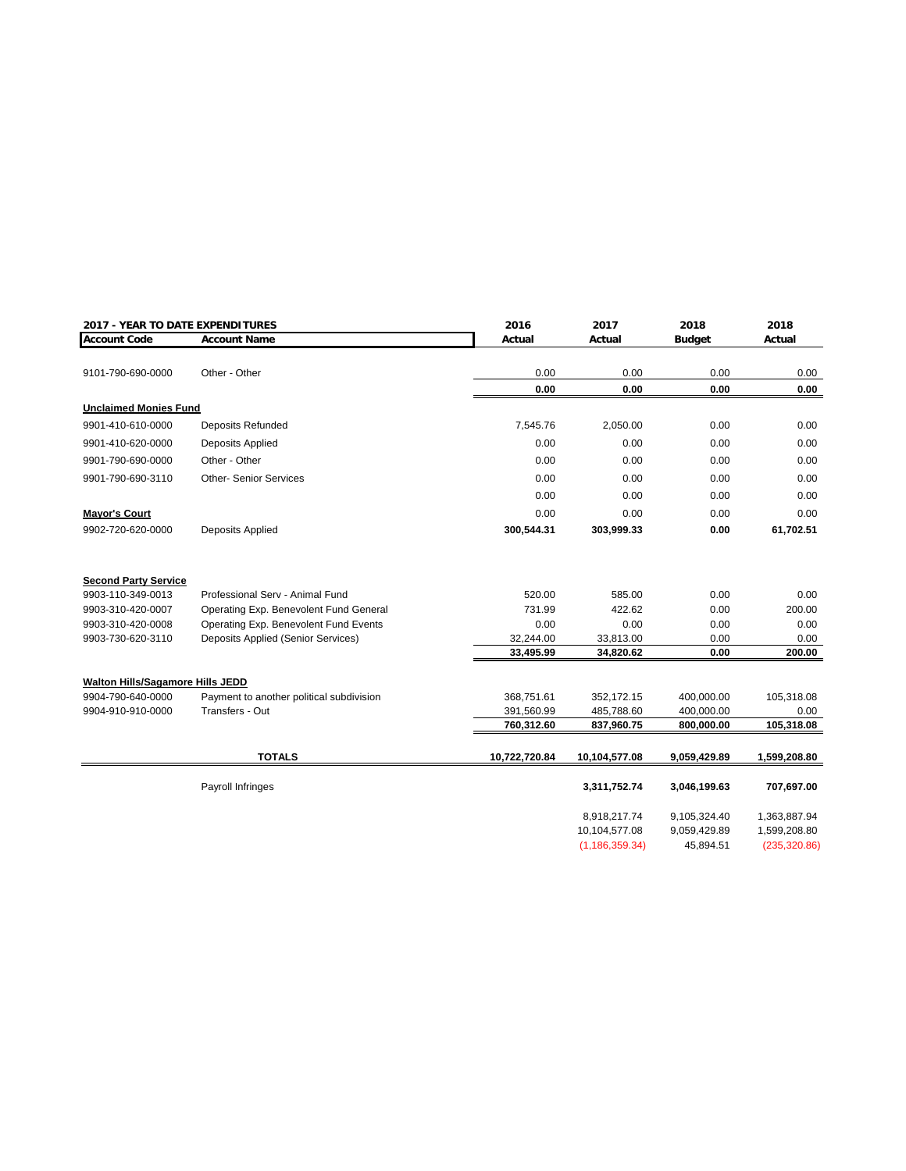|                                         | 2017 - YEAR TO DATE EXPENDITURES         |               | 2017             | 2018          | 2018          |
|-----------------------------------------|------------------------------------------|---------------|------------------|---------------|---------------|
| <b>Account Code</b>                     | <b>Account Name</b>                      | Actual        | Actual           | <b>Budget</b> | Actual        |
|                                         |                                          |               |                  |               |               |
| 9101-790-690-0000                       | Other - Other                            | 0.00          | 0.00             | 0.00          | 0.00          |
|                                         |                                          | 0.00          | 0.00             | 0.00          | 0.00          |
| <b>Unclaimed Monies Fund</b>            |                                          |               |                  |               |               |
| 9901-410-610-0000                       | <b>Deposits Refunded</b>                 | 7,545.76      | 2,050.00         | 0.00          | 0.00          |
| 9901-410-620-0000                       | Deposits Applied                         | 0.00          | 0.00             | 0.00          | 0.00          |
| 9901-790-690-0000                       | Other - Other                            | 0.00          | 0.00             | 0.00          | 0.00          |
| 9901-790-690-3110                       | <b>Other- Senior Services</b>            | 0.00          | 0.00             | 0.00          | 0.00          |
|                                         |                                          | 0.00          | 0.00             | 0.00          | 0.00          |
| <b>Mayor's Court</b>                    |                                          | 0.00          | 0.00             | 0.00          | 0.00          |
| 9902-720-620-0000                       | Deposits Applied                         | 300,544.31    | 303,999.33       | 0.00          | 61,702.51     |
|                                         |                                          |               |                  |               |               |
| <b>Second Party Service</b>             |                                          |               |                  |               |               |
| 9903-110-349-0013                       | Professional Serv - Animal Fund          | 520.00        | 585.00           | 0.00          | 0.00          |
| 9903-310-420-0007                       | Operating Exp. Benevolent Fund General   | 731.99        | 422.62           | 0.00          | 200.00        |
| 9903-310-420-0008                       | Operating Exp. Benevolent Fund Events    | 0.00          | 0.00             | 0.00          | 0.00          |
| 9903-730-620-3110                       | Deposits Applied (Senior Services)       | 32,244.00     | 33,813.00        | 0.00          | 0.00          |
|                                         |                                          | 33,495.99     | 34,820.62        | 0.00          | 200.00        |
| <b>Walton Hills/Sagamore Hills JEDD</b> |                                          |               |                  |               |               |
| 9904-790-640-0000                       | Payment to another political subdivision | 368,751.61    | 352,172.15       | 400,000.00    | 105,318.08    |
| 9904-910-910-0000                       | Transfers - Out                          | 391,560.99    | 485,788.60       | 400,000.00    | 0.00          |
|                                         |                                          | 760,312.60    | 837,960.75       | 800,000.00    | 105,318.08    |
|                                         | <b>TOTALS</b>                            | 10,722,720.84 | 10,104,577.08    | 9,059,429.89  | 1,599,208.80  |
|                                         | Payroll Infringes                        |               | 3,311,752.74     | 3,046,199.63  | 707,697.00    |
|                                         |                                          |               | 8,918,217.74     | 9,105,324.40  | 1,363,887.94  |
|                                         |                                          |               | 10,104,577.08    | 9,059,429.89  | 1,599,208.80  |
|                                         |                                          |               | (1, 186, 359.34) | 45,894.51     | (235, 320.86) |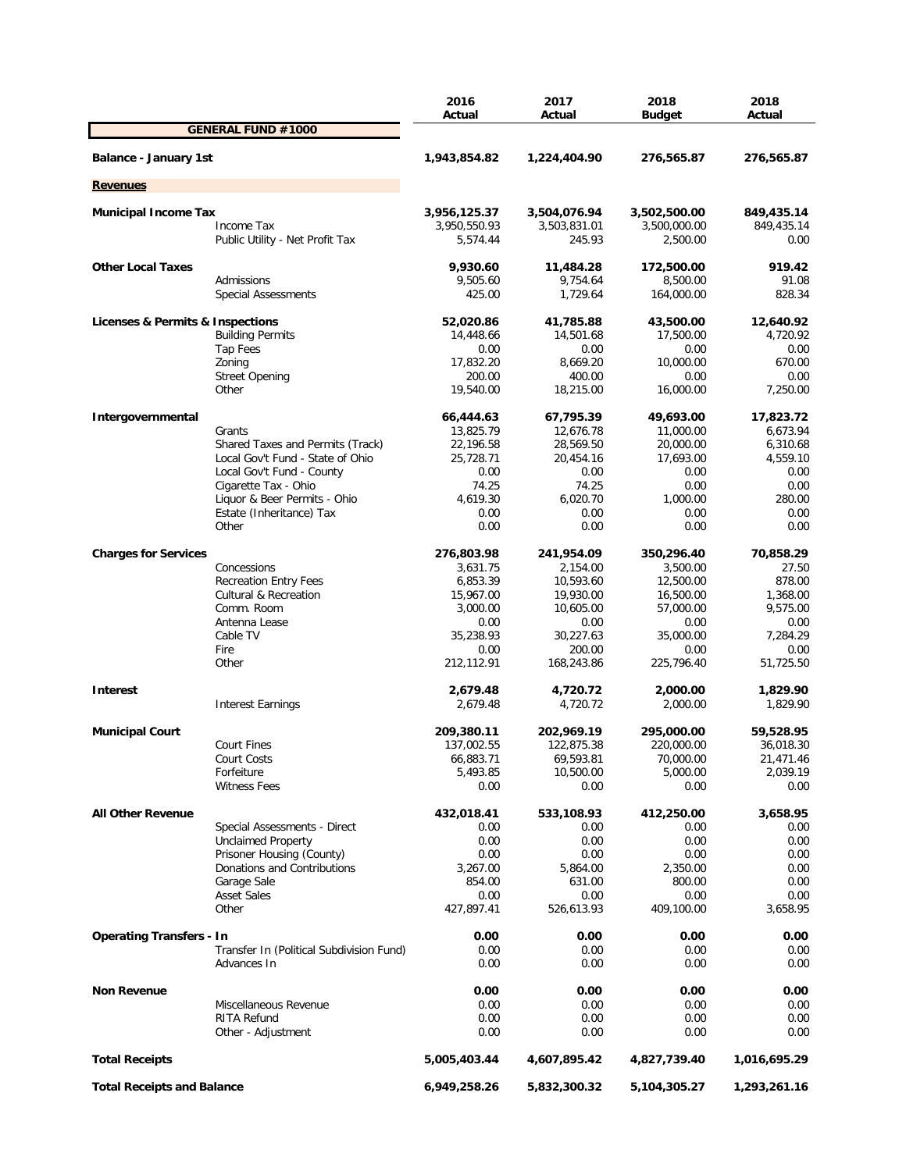|                                   |                                          | 2016               | 2017<br>Actual       | 2018               | 2018<br>Actual    |
|-----------------------------------|------------------------------------------|--------------------|----------------------|--------------------|-------------------|
|                                   | <b>GENERAL FUND #1000</b>                | Actual             |                      | <b>Budget</b>      |                   |
| <b>Balance - January 1st</b>      |                                          | 1,943,854.82       | 1,224,404.90         | 276,565.87         | 276,565.87        |
|                                   |                                          |                    |                      |                    |                   |
| <b>Revenues</b>                   |                                          |                    |                      |                    |                   |
| <b>Municipal Income Tax</b>       |                                          | 3,956,125.37       | 3,504,076.94         | 3,502,500.00       | 849,435.14        |
|                                   | Income Tax                               | 3,950,550.93       | 3,503,831.01         | 3,500,000.00       | 849,435.14        |
|                                   | Public Utility - Net Profit Tax          | 5,574.44           | 245.93               | 2,500.00           | 0.00              |
| <b>Other Local Taxes</b>          |                                          | 9,930.60           | 11,484.28            | 172,500.00         | 919.42            |
|                                   | Admissions                               | 9,505.60           | 9,754.64             | 8,500.00           | 91.08             |
|                                   | Special Assessments                      | 425.00             | 1,729.64             | 164,000.00         | 828.34            |
| Licenses & Permits & Inspections  |                                          | 52,020.86          | 41,785.88            | 43,500.00          | 12,640.92         |
|                                   | <b>Building Permits</b>                  | 14,448.66          | 14,501.68            | 17,500.00          | 4,720.92          |
|                                   | Tap Fees                                 | 0.00               | 0.00                 | 0.00               | 0.00              |
|                                   | Zoning                                   | 17,832.20          | 8,669.20             | 10,000.00          | 670.00            |
|                                   | <b>Street Opening</b>                    | 200.00             | 400.00               | 0.00               | 0.00              |
|                                   | Other                                    | 19,540.00          | 18,215.00            | 16,000.00          | 7,250.00          |
| Intergovernmental                 |                                          | 66,444.63          | 67,795.39            | 49,693.00          | 17,823.72         |
|                                   | Grants                                   | 13,825.79          | 12,676.78            | 11,000.00          | 6,673.94          |
|                                   | Shared Taxes and Permits (Track)         | 22,196.58          | 28,569.50            | 20,000.00          | 6,310.68          |
|                                   | Local Gov't Fund - State of Ohio         | 25,728.71          | 20,454.16            | 17,693.00          | 4,559.10          |
|                                   | Local Gov't Fund - County                | 0.00               | 0.00                 | 0.00               | 0.00              |
|                                   | Cigarette Tax - Ohio                     | 74.25              | 74.25                | 0.00               | 0.00              |
|                                   | Liquor & Beer Permits - Ohio             | 4,619.30           | 6.020.70             | 1,000.00           | 280.00            |
|                                   | Estate (Inheritance) Tax<br>Other        | 0.00<br>0.00       | 0.00<br>0.00         | 0.00<br>0.00       | 0.00<br>0.00      |
|                                   |                                          |                    |                      |                    |                   |
| <b>Charges for Services</b>       |                                          | 276,803.98         | 241,954.09           | 350,296.40         | 70,858.29         |
|                                   | Concessions                              | 3,631.75           | 2,154.00             | 3,500.00           | 27.50             |
|                                   | <b>Recreation Entry Fees</b>             | 6,853.39           | 10,593.60            | 12,500.00          | 878.00            |
|                                   | <b>Cultural &amp; Recreation</b>         | 15,967.00          | 19,930.00            | 16,500.00          | 1,368.00          |
|                                   | Comm. Room                               | 3,000.00           | 10,605.00            | 57,000.00          | 9,575.00          |
|                                   | Antenna Lease                            | 0.00               | 0.00                 | 0.00               | 0.00              |
|                                   | Cable TV                                 | 35,238.93          | 30,227.63            | 35,000.00          | 7,284.29          |
|                                   | Fire<br>Other                            | 0.00<br>212,112.91 | 200.00<br>168,243.86 | 0.00<br>225,796.40 | 0.00<br>51,725.50 |
|                                   |                                          |                    |                      |                    |                   |
| Interest                          |                                          | 2,679.48           | 4,720.72             | 2,000.00           | 1,829.90          |
|                                   | <b>Interest Earnings</b>                 | 2,679.48           | 4,720.72             | 2,000.00           | 1,829.90          |
| <b>Municipal Court</b>            |                                          | 209,380.11         | 202,969.19           | 295,000.00         | 59,528.95         |
|                                   | <b>Court Fines</b>                       | 137,002.55         | 122,875.38           | 220,000.00         | 36,018.30         |
|                                   | Court Costs                              | 66,883.71          | 69,593.81            | 70,000.00          | 21,471.46         |
|                                   | Forfeiture                               | 5,493.85           | 10,500.00            | 5,000.00           | 2,039.19          |
|                                   | <b>Witness Fees</b>                      | 0.00               | 0.00                 | 0.00               | 0.00              |
| <b>All Other Revenue</b>          |                                          | 432,018.41         | 533,108.93           | 412,250.00         | 3,658.95          |
|                                   | Special Assessments - Direct             | 0.00               | 0.00                 | 0.00               | 0.00              |
|                                   | <b>Unclaimed Property</b>                | 0.00               | 0.00                 | 0.00               | 0.00              |
|                                   | Prisoner Housing (County)                | 0.00               | 0.00                 | 0.00               | 0.00              |
|                                   | Donations and Contributions              | 3,267.00           | 5,864.00             | 2,350.00           | 0.00              |
|                                   | Garage Sale                              | 854.00             | 631.00               | 800.00             | 0.00              |
|                                   | <b>Asset Sales</b>                       | 0.00               | 0.00                 | 0.00               | 0.00              |
|                                   | Other                                    | 427,897.41         | 526,613.93           | 409,100.00         | 3,658.95          |
| <b>Operating Transfers - In</b>   |                                          | 0.00               | 0.00                 | 0.00               | 0.00              |
|                                   | Transfer In (Political Subdivision Fund) | 0.00               | 0.00                 | 0.00               | 0.00              |
|                                   | Advances In                              | 0.00               | 0.00                 | 0.00               | 0.00              |
| <b>Non Revenue</b>                |                                          | 0.00               | 0.00                 | 0.00               | 0.00              |
|                                   | Miscellaneous Revenue                    | 0.00               | 0.00                 | 0.00               | 0.00              |
|                                   | RITA Refund                              | 0.00               | 0.00                 | 0.00               | 0.00              |
|                                   | Other - Adjustment                       | 0.00               | 0.00                 | 0.00               | 0.00              |
| <b>Total Receipts</b>             |                                          | 5,005,403.44       | 4,607,895.42         | 4,827,739.40       | 1,016,695.29      |
| <b>Total Receipts and Balance</b> |                                          | 6,949,258.26       | 5,832,300.32         | 5,104,305.27       | 1,293,261.16      |
|                                   |                                          |                    |                      |                    |                   |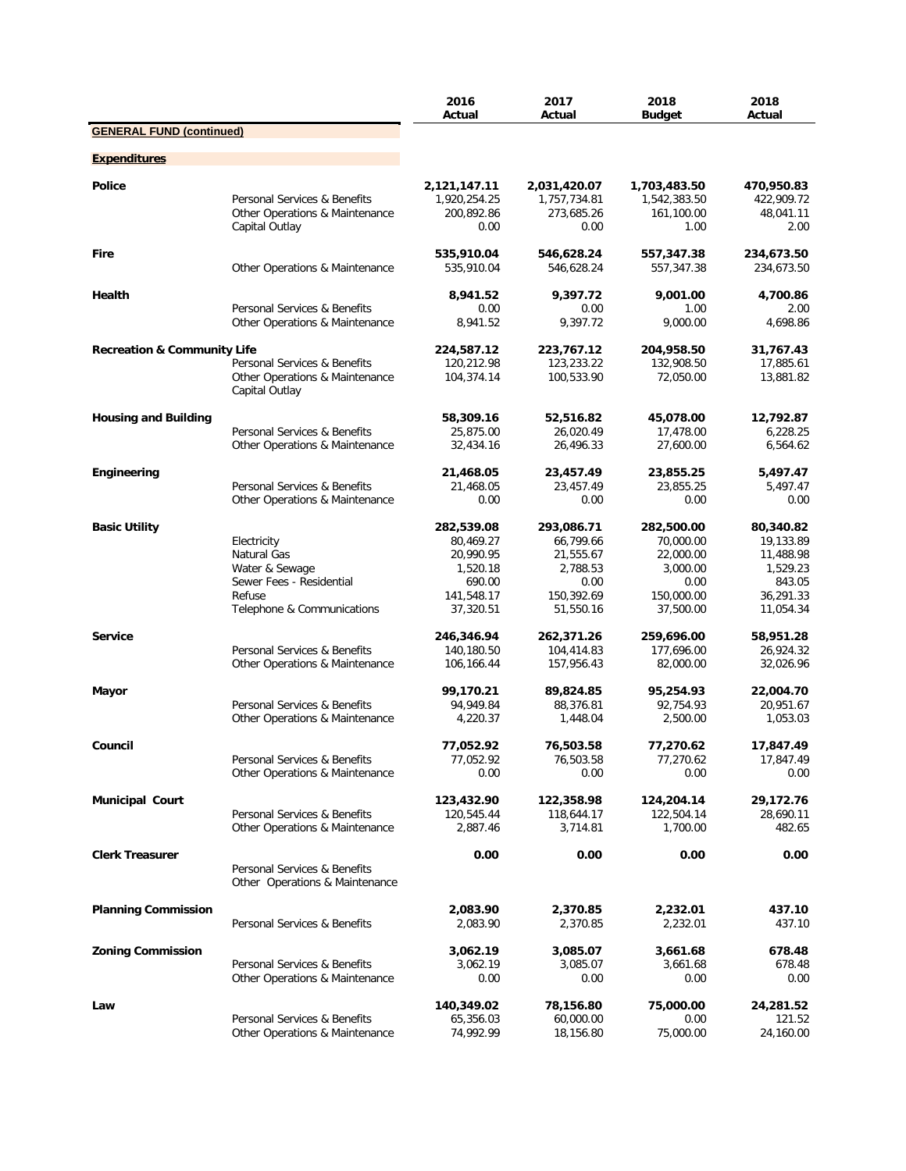|                                        |                                                                                                                  | 2016<br>Actual                                                                        | 2017<br>Actual                                                                      | 2018<br><b>Budget</b>                                                               | 2018<br>Actual                                                                      |
|----------------------------------------|------------------------------------------------------------------------------------------------------------------|---------------------------------------------------------------------------------------|-------------------------------------------------------------------------------------|-------------------------------------------------------------------------------------|-------------------------------------------------------------------------------------|
| <b>GENERAL FUND (continued)</b>        |                                                                                                                  |                                                                                       |                                                                                     |                                                                                     |                                                                                     |
| <b>Expenditures</b>                    |                                                                                                                  |                                                                                       |                                                                                     |                                                                                     |                                                                                     |
| <b>Police</b>                          | Personal Services & Benefits<br>Other Operations & Maintenance<br>Capital Outlay                                 | 2,121,147.11<br>1,920,254.25<br>200,892.86<br>0.00                                    | 2,031,420.07<br>1,757,734.81<br>273,685.26<br>0.00                                  | 1,703,483.50<br>1,542,383.50<br>161,100.00<br>1.00                                  | 470,950.83<br>422,909.72<br>48,041.11<br>2.00                                       |
| <b>Fire</b>                            | Other Operations & Maintenance                                                                                   | 535,910.04<br>535,910.04                                                              | 546,628.24<br>546,628.24                                                            | 557,347.38<br>557,347.38                                                            | 234,673.50<br>234,673.50                                                            |
| Health                                 | Personal Services & Benefits                                                                                     | 8,941.52<br>0.00                                                                      | 9.397.72<br>0.00                                                                    | 9,001.00<br>1.00                                                                    | 4,700.86<br>2.00                                                                    |
|                                        | Other Operations & Maintenance                                                                                   | 8,941.52                                                                              | 9,397.72                                                                            | 9,000.00                                                                            | 4,698.86                                                                            |
| <b>Recreation &amp; Community Life</b> | Personal Services & Benefits<br>Other Operations & Maintenance<br>Capital Outlay                                 | 224,587.12<br>120,212.98<br>104,374.14                                                | 223,767.12<br>123,233.22<br>100,533.90                                              | 204,958.50<br>132,908.50<br>72,050.00                                               | 31,767.43<br>17,885.61<br>13,881.82                                                 |
| <b>Housing and Building</b>            | Personal Services & Benefits<br>Other Operations & Maintenance                                                   | 58,309.16<br>25,875.00<br>32,434.16                                                   | 52,516.82<br>26,020.49<br>26,496.33                                                 | 45,078.00<br>17,478.00<br>27,600.00                                                 | 12,792.87<br>6,228.25<br>6,564.62                                                   |
| Engineering                            | Personal Services & Benefits<br>Other Operations & Maintenance                                                   | 21,468.05<br>21,468.05<br>0.00                                                        | 23,457.49<br>23,457.49<br>0.00                                                      | 23,855.25<br>23,855.25<br>0.00                                                      | 5,497.47<br>5,497.47<br>0.00                                                        |
| <b>Basic Utility</b>                   | Electricity<br>Natural Gas<br>Water & Sewage<br>Sewer Fees - Residential<br>Refuse<br>Telephone & Communications | 282,539.08<br>80,469.27<br>20,990.95<br>1,520.18<br>690.00<br>141,548.17<br>37,320.51 | 293,086.71<br>66,799.66<br>21,555.67<br>2,788.53<br>0.00<br>150,392.69<br>51,550.16 | 282,500.00<br>70,000.00<br>22,000.00<br>3,000.00<br>0.00<br>150,000.00<br>37,500.00 | 80,340.82<br>19,133.89<br>11,488.98<br>1,529.23<br>843.05<br>36,291.33<br>11,054.34 |
| <b>Service</b>                         | Personal Services & Benefits<br>Other Operations & Maintenance                                                   | 246,346.94<br>140,180.50<br>106,166.44                                                | 262,371.26<br>104,414.83<br>157,956.43                                              | 259,696.00<br>177,696.00<br>82,000.00                                               | 58,951.28<br>26,924.32<br>32,026.96                                                 |
| Mayor                                  | Personal Services & Benefits<br>Other Operations & Maintenance                                                   | 99,170.21<br>94,949.84<br>4,220.37                                                    | 89,824.85<br>88,376.81<br>1,448.04                                                  | 95,254.93<br>92,754.93<br>2,500.00                                                  | 22,004.70<br>20,951.67<br>1,053.03                                                  |
| Council                                | Personal Services & Benefits<br>Other Operations & Maintenance                                                   | 77,052.92<br>77,052.92<br>0.00                                                        | 76,503.58<br>76,503.58<br>0.00                                                      | 77,270.62<br>77,270.62<br>0.00                                                      | 17,847.49<br>17,847.49<br>0.00                                                      |
| <b>Municipal Court</b>                 | Personal Services & Benefits<br>Other Operations & Maintenance                                                   | 123,432.90<br>120,545.44<br>2,887.46                                                  | 122,358.98<br>118,644.17<br>3,714.81                                                | 124,204.14<br>122,504.14<br>1,700.00                                                | 29,172.76<br>28,690.11<br>482.65                                                    |
| <b>Clerk Treasurer</b>                 | Personal Services & Benefits<br>Other Operations & Maintenance                                                   | 0.00                                                                                  | 0.00                                                                                | 0.00                                                                                | 0.00                                                                                |
| <b>Planning Commission</b>             | Personal Services & Benefits                                                                                     | 2,083.90<br>2,083.90                                                                  | 2,370.85<br>2,370.85                                                                | 2,232.01<br>2,232.01                                                                | 437.10<br>437.10                                                                    |
| <b>Zoning Commission</b>               | Personal Services & Benefits<br>Other Operations & Maintenance                                                   | 3,062.19<br>3,062.19<br>0.00                                                          | 3,085.07<br>3,085.07<br>0.00                                                        | 3,661.68<br>3,661.68<br>0.00                                                        | 678.48<br>678.48<br>0.00                                                            |
| Law                                    | Personal Services & Benefits<br>Other Operations & Maintenance                                                   | 140,349.02<br>65,356.03<br>74,992.99                                                  | 78,156.80<br>60,000.00<br>18,156.80                                                 | 75,000.00<br>0.00<br>75,000.00                                                      | 24,281.52<br>121.52<br>24,160.00                                                    |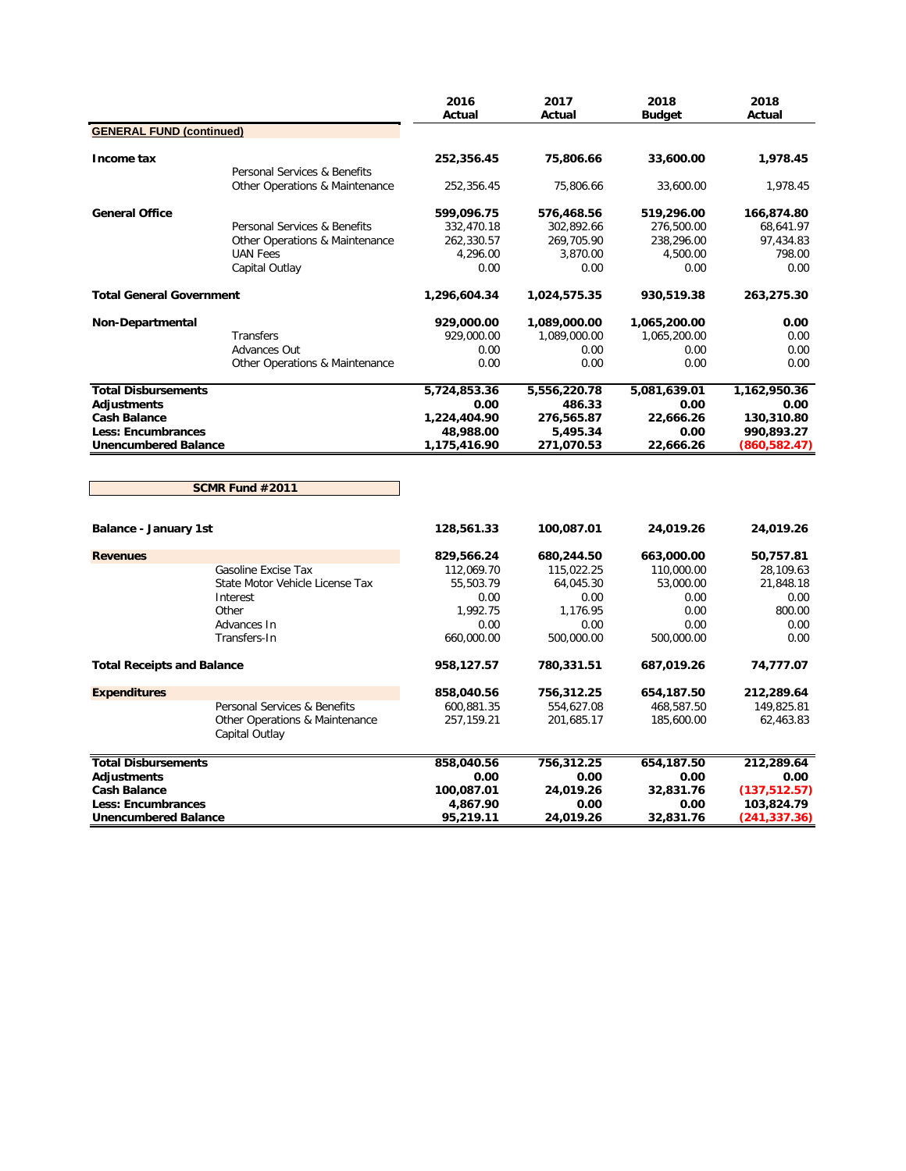|                                   |                                                  | 2016<br>Actual | 2017<br>Actual | 2018<br><b>Budget</b> | 2018<br>Actual |
|-----------------------------------|--------------------------------------------------|----------------|----------------|-----------------------|----------------|
| <b>GENERAL FUND (continued)</b>   |                                                  |                |                |                       |                |
| Income tax                        |                                                  | 252,356.45     | 75,806.66      | 33,600.00             | 1,978.45       |
|                                   | Personal Services & Benefits                     |                |                |                       |                |
|                                   | Other Operations & Maintenance                   | 252,356.45     | 75,806.66      | 33,600.00             | 1,978.45       |
| <b>General Office</b>             |                                                  | 599,096.75     | 576,468.56     | 519,296.00            | 166,874.80     |
|                                   | Personal Services & Benefits                     | 332,470.18     | 302,892.66     | 276,500.00            | 68,641.97      |
|                                   | Other Operations & Maintenance                   | 262,330.57     | 269,705.90     | 238,296.00            | 97,434.83      |
|                                   | <b>UAN Fees</b>                                  | 4,296.00       | 3,870.00       | 4,500.00              | 798.00         |
|                                   | Capital Outlay                                   | 0.00           | 0.00           | 0.00                  | 0.00           |
| <b>Total General Government</b>   |                                                  | 1,296,604.34   | 1,024,575.35   | 930,519.38            | 263,275.30     |
| Non-Departmental                  |                                                  | 929,000.00     | 1,089,000.00   | 1,065,200.00          | 0.00           |
|                                   | Transfers                                        | 929,000.00     | 1,089,000.00   | 1,065,200.00          | 0.00           |
|                                   | Advances Out                                     | 0.00           | 0.00           | 0.00                  | 0.00           |
|                                   | Other Operations & Maintenance                   | 0.00           | 0.00           | 0.00                  | 0.00           |
| <b>Total Disbursements</b>        |                                                  | 5,724,853.36   | 5,556,220.78   | 5,081,639.01          | 1,162,950.36   |
| <b>Adjustments</b>                |                                                  | 0.00           | 486.33         | 0.00                  | 0.00           |
| <b>Cash Balance</b>               |                                                  | 1,224,404.90   | 276,565.87     | 22,666.26             | 130,310.80     |
| <b>Less: Encumbrances</b>         |                                                  | 48,988.00      | 5,495.34       | 0.00                  | 990,893.27     |
| <b>Unencumbered Balance</b>       |                                                  | 1,175,416.90   | 271,070.53     | 22,666.26             | (860,582.47)   |
|                                   | SCMR Fund #2011                                  |                |                |                       |                |
| Balance - January 1st             |                                                  | 128,561.33     | 100,087.01     | 24,019.26             | 24,019.26      |
| <b>Revenues</b>                   |                                                  | 829,566.24     | 680,244.50     | 663,000.00            | 50,757.81      |
|                                   | Gasoline Excise Tax                              | 112,069.70     | 115,022.25     | 110,000.00            | 28,109.63      |
|                                   | State Motor Vehicle License Tax                  | 55,503.79      | 64,045.30      | 53,000.00             | 21,848.18      |
|                                   | Interest                                         | 0.00           | 0.00           | 0.00                  | 0.00           |
|                                   | Other                                            | 1,992.75       | 1,176.95       | 0.00                  | 800.00         |
|                                   | Advances In                                      | 0.00           | 0.00           | 0.00                  | 0.00           |
|                                   | Transfers-In                                     | 660,000.00     | 500,000.00     | 500,000.00            | 0.00           |
| <b>Total Receipts and Balance</b> |                                                  | 958,127.57     | 780,331.51     | 687,019.26            | 74,777.07      |
| <b>Expenditures</b>               |                                                  | 858,040.56     | 756,312.25     | 654,187.50            | 212,289.64     |
|                                   | Personal Services & Benefits                     | 600,881.35     | 554,627.08     | 468,587.50            | 149,825.81     |
|                                   | Other Operations & Maintenance<br>Capital Outlay | 257,159.21     | 201,685.17     | 185,600.00            | 62,463.83      |
| <b>Total Disbursements</b>        |                                                  | 858,040.56     | 756,312.25     | 654,187.50            | 212,289.64     |
| <b>Adjustments</b>                |                                                  | 0.00           | 0.00           | 0.00                  | 0.00           |
| <b>Cash Balance</b>               |                                                  | 100,087.01     | 24,019.26      | 32,831.76             | (137, 512.57)  |
| <b>Less: Encumbrances</b>         |                                                  | 4,867.90       | 0.00           | 0.00                  | 103,824.79     |
| <b>Unencumbered Balance</b>       |                                                  | 95,219.11      | 24,019.26      | 32,831.76             | (241,337.36)   |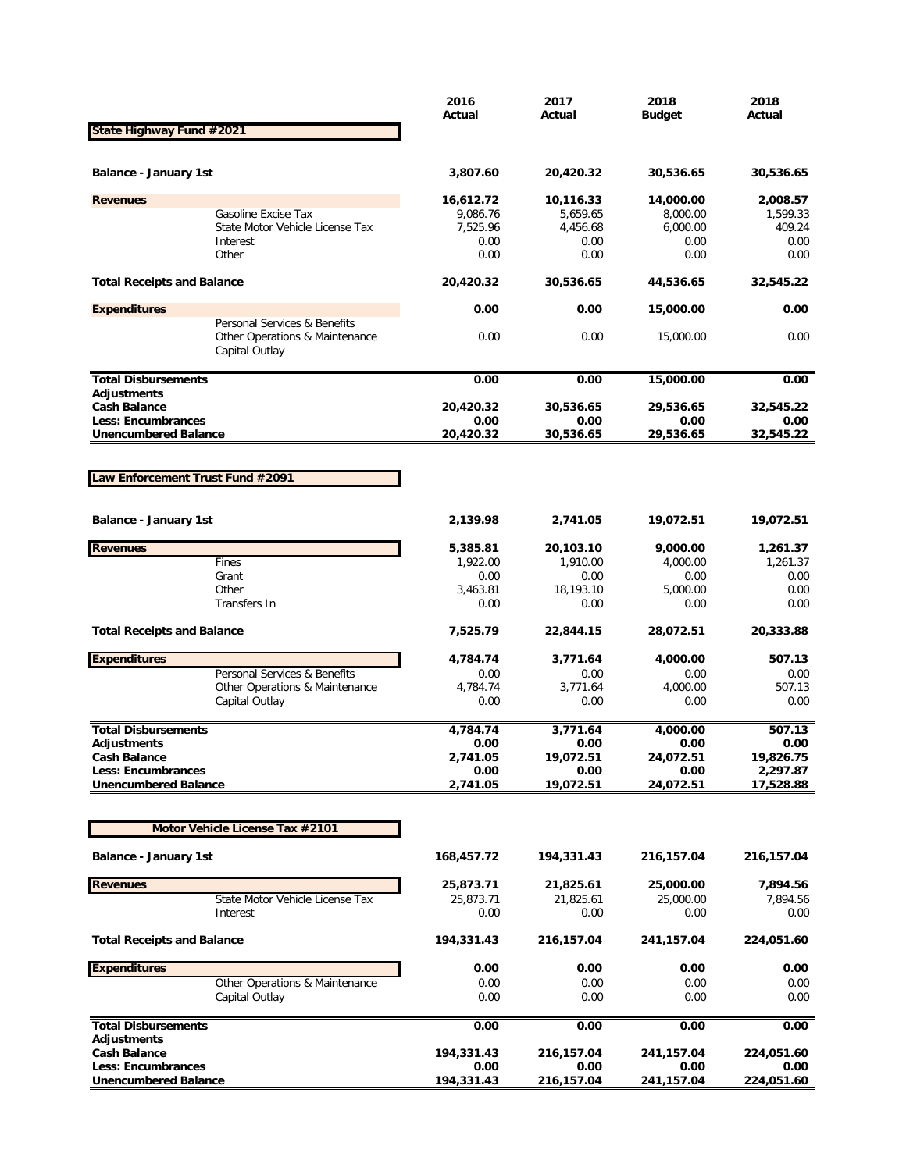|                                                          |                                                                                  | 2016<br>Actual   | 2017<br>Actual    | 2018<br><b>Budget</b> | 2018<br>Actual        |
|----------------------------------------------------------|----------------------------------------------------------------------------------|------------------|-------------------|-----------------------|-----------------------|
| State Highway Fund #2021                                 |                                                                                  |                  |                   |                       |                       |
|                                                          |                                                                                  |                  |                   |                       |                       |
| Balance - January 1st                                    |                                                                                  | 3,807.60         | 20,420.32         | 30,536.65             | 30,536.65             |
| <b>Revenues</b>                                          |                                                                                  | 16,612.72        | 10,116.33         | 14,000.00             | 2,008.57              |
|                                                          | Gasoline Excise Tax                                                              | 9,086.76         | 5,659.65          | 8,000.00              | 1,599.33              |
|                                                          | State Motor Vehicle License Tax                                                  | 7,525.96         | 4,456.68          | 6,000.00              | 409.24                |
|                                                          | Interest<br>Other                                                                | 0.00<br>0.00     | 0.00<br>0.00      | 0.00<br>0.00          | 0.00<br>0.00          |
|                                                          |                                                                                  |                  |                   |                       |                       |
| <b>Total Receipts and Balance</b>                        |                                                                                  | 20,420.32        | 30,536.65         | 44,536.65             | 32,545.22             |
| <b>Expenditures</b>                                      |                                                                                  | 0.00             | 0.00              | 15,000.00             | 0.00                  |
|                                                          | Personal Services & Benefits<br>Other Operations & Maintenance<br>Capital Outlay | 0.00             | 0.00              | 15,000.00             | 0.00                  |
| <b>Total Disbursements</b>                               |                                                                                  | 0.00             | 0.00              | 15,000.00             | 0.00                  |
| <b>Adjustments</b>                                       |                                                                                  |                  |                   |                       |                       |
| <b>Cash Balance</b>                                      |                                                                                  | 20,420.32        | 30,536.65         | 29,536.65             | 32,545.22             |
| <b>Less: Encumbrances</b>                                |                                                                                  | 0.00             | 0.00              | 0.00                  | 0.00                  |
| <b>Unencumbered Balance</b>                              |                                                                                  | 20,420.32        | 30,536.65         | 29,536.65             | 32,545.22             |
|                                                          |                                                                                  |                  |                   |                       |                       |
| Law Enforcement Trust Fund #2091                         |                                                                                  |                  |                   |                       |                       |
|                                                          |                                                                                  |                  |                   |                       |                       |
| <b>Balance - January 1st</b>                             |                                                                                  | 2,139.98         | 2,741.05          | 19,072.51             | 19,072.51             |
| <b>Revenues</b>                                          |                                                                                  | 5,385.81         | 20,103.10         | 9,000.00              | 1,261.37              |
|                                                          | Fines                                                                            | 1,922.00         | 1,910.00          | 4,000.00              | 1,261.37              |
|                                                          | Grant                                                                            | 0.00             | 0.00              | 0.00                  | 0.00                  |
|                                                          | Other<br>Transfers In                                                            | 3,463.81<br>0.00 | 18,193.10<br>0.00 | 5,000.00<br>0.00      | 0.00<br>0.00          |
|                                                          |                                                                                  |                  |                   |                       |                       |
| <b>Total Receipts and Balance</b>                        |                                                                                  | 7,525.79         | 22,844.15         | 28,072.51             | 20,333.88             |
| <b>Expenditures</b>                                      |                                                                                  | 4,784.74         | 3,771.64          | 4,000.00              | 507.13                |
|                                                          | Personal Services & Benefits                                                     | 0.00             | 0.00              | 0.00                  | 0.00                  |
|                                                          | Other Operations & Maintenance<br>Capital Outlay                                 | 4,784.74<br>0.00 | 3,771.64<br>0.00  | 4,000.00<br>0.00      | 507.13<br>0.00        |
|                                                          |                                                                                  |                  |                   |                       |                       |
| <b>Total Disbursements</b>                               |                                                                                  | 4,784.74         | 3,771.64          | 4,000.00              | 507.13                |
| <b>Adjustments</b>                                       |                                                                                  | 0.00             | 0.00              | 0.00                  | 0.00                  |
| <b>Cash Balance</b>                                      |                                                                                  | 2,741.05         | 19,072.51         | 24,072.51             | 19,826.75             |
| <b>Less: Encumbrances</b><br><b>Unencumbered Balance</b> |                                                                                  | 0.00<br>2,741.05 | 0.00<br>19,072.51 | 0.00<br>24,072.51     | 2,297.87<br>17,528.88 |
|                                                          |                                                                                  |                  |                   |                       |                       |
|                                                          |                                                                                  |                  |                   |                       |                       |
|                                                          | Motor Vehicle License Tax #2101                                                  |                  |                   |                       |                       |
| <b>Balance - January 1st</b>                             |                                                                                  | 168,457.72       | 194,331.43        | 216,157.04            | 216,157.04            |
| <b>Revenues</b>                                          |                                                                                  | 25,873.71        | 21,825.61         | 25,000.00             | 7,894.56              |
|                                                          | State Motor Vehicle License Tax                                                  | 25,873.71        | 21,825.61         | 25,000.00             | 7,894.56              |
|                                                          | Interest                                                                         | 0.00             | 0.00              | 0.00                  | 0.00                  |
| <b>Total Receipts and Balance</b>                        |                                                                                  | 194,331.43       | 216,157.04        | 241,157.04            | 224,051.60            |
| <b>Expenditures</b>                                      |                                                                                  | 0.00             | 0.00              | 0.00                  | 0.00                  |
|                                                          | Other Operations & Maintenance                                                   | 0.00             | 0.00              | 0.00                  | 0.00                  |
|                                                          | Capital Outlay                                                                   | 0.00             | 0.00              | 0.00                  | 0.00                  |
| <b>Total Disbursements</b>                               |                                                                                  | 0.00             | 0.00              | 0.00                  | 0.00                  |
| <b>Adjustments</b><br><b>Cash Balance</b>                |                                                                                  | 194,331.43       | 216,157.04        | 241,157.04            | 224,051.60            |
| Less: Encumbrances                                       |                                                                                  | 0.00             | 0.00              | 0.00                  | 0.00                  |
| <b>Unencumbered Balance</b>                              |                                                                                  | 194,331.43       | 216,157.04        | 241,157.04            | 224,051.60            |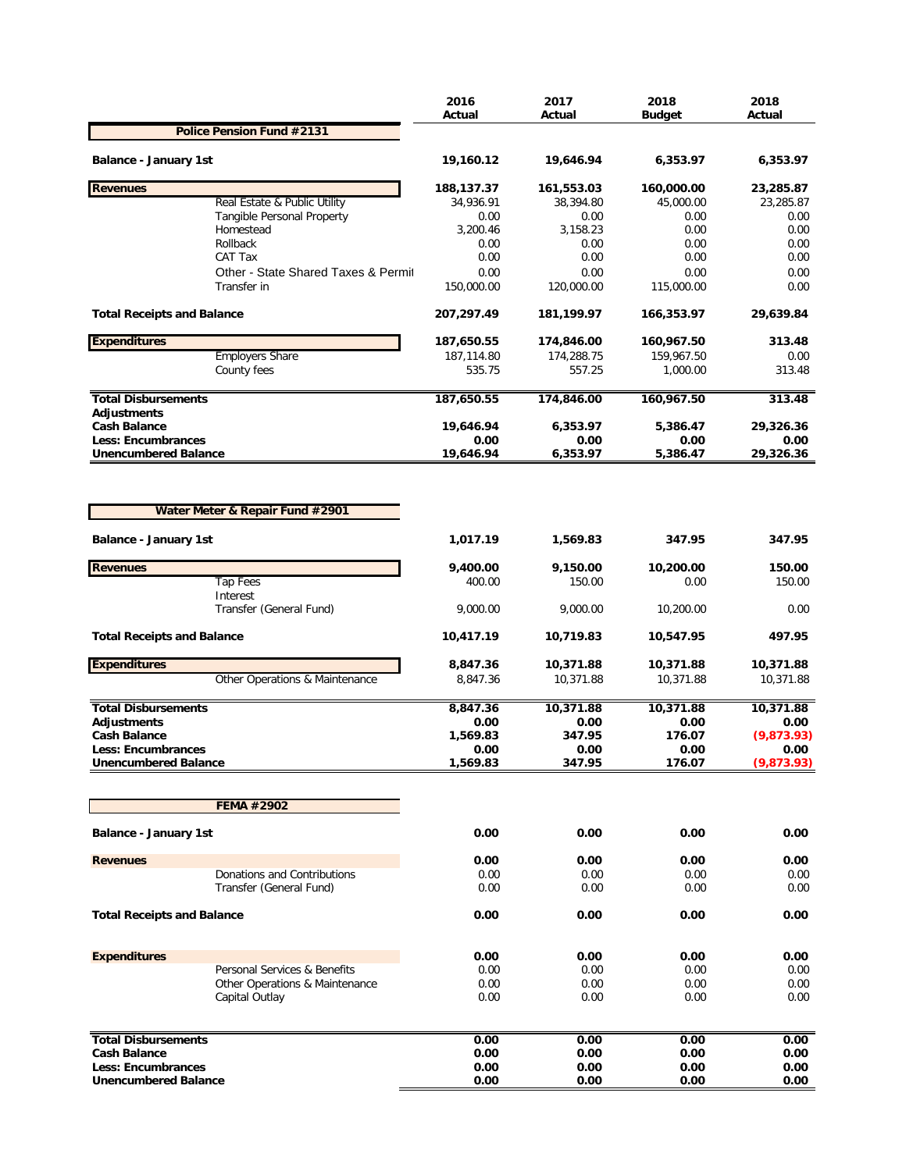|                                                          |                                                  | 2016<br>Actual       | 2017<br>Actual       | 2018<br><b>Budget</b>  | 2018<br>Actual     |
|----------------------------------------------------------|--------------------------------------------------|----------------------|----------------------|------------------------|--------------------|
|                                                          | Police Pension Fund #2131                        |                      |                      |                        |                    |
| <b>Balance - January 1st</b>                             |                                                  | 19,160.12            | 19,646.94            | 6,353.97               | 6,353.97           |
| <b>Revenues</b>                                          |                                                  | 188,137.37           | 161,553.03           | 160,000.00             | 23,285.87          |
|                                                          | Real Estate & Public Utility                     | 34,936.91            | 38,394.80            | 45,000.00              | 23,285.87          |
|                                                          | Tangible Personal Property                       | 0.00                 | 0.00                 | 0.00                   | 0.00               |
|                                                          | Homestead                                        | 3,200.46             | 3,158.23             | 0.00                   | 0.00               |
|                                                          | Rollback<br>CAT Tax                              | 0.00<br>0.00         | 0.00<br>0.00         | 0.00<br>0.00           | 0.00<br>0.00       |
|                                                          | Other - State Shared Taxes & Permit              | 0.00                 | 0.00                 | 0.00                   | 0.00               |
|                                                          | Transfer in                                      | 150,000.00           | 120,000.00           | 115,000.00             | 0.00               |
| <b>Total Receipts and Balance</b>                        |                                                  | 207,297.49           | 181,199.97           | 166,353.97             | 29,639.84          |
| <b>Expenditures</b>                                      |                                                  | 187,650.55           | 174,846.00           | 160,967.50             | 313.48             |
|                                                          | <b>Employers Share</b><br>County fees            | 187,114.80<br>535.75 | 174,288.75<br>557.25 | 159,967.50<br>1,000.00 | 0.00<br>313.48     |
|                                                          |                                                  |                      |                      |                        |                    |
| <b>Total Disbursements</b><br><b>Adjustments</b>         |                                                  | 187,650.55           | 174,846.00           | 160,967.50             | 313.48             |
| <b>Cash Balance</b>                                      |                                                  | 19,646.94            | 6,353.97             | 5,386.47               | 29,326.36          |
| <b>Less: Encumbrances</b>                                |                                                  | 0.00                 | 0.00                 | 0.00                   | 0.00               |
| <b>Unencumbered Balance</b>                              |                                                  | 19,646.94            | 6,353.97             | 5,386.47               | 29,326.36          |
|                                                          | Water Meter & Repair Fund #2901                  |                      |                      |                        |                    |
| Balance - January 1st                                    |                                                  | 1,017.19             | 1,569.83             | 347.95                 | 347.95             |
| <b>Revenues</b>                                          |                                                  | 9,400.00             | 9,150.00             | 10,200.00              | 150.00             |
|                                                          | <b>Tap Fees</b>                                  | 400.00               | 150.00               | 0.00                   | 150.00             |
|                                                          | Interest<br>Transfer (General Fund)              | 9,000.00             | 9,000.00             | 10,200.00              | 0.00               |
| <b>Total Receipts and Balance</b>                        |                                                  | 10,417.19            | 10,719.83            | 10,547.95              | 497.95             |
| <b>Expenditures</b>                                      |                                                  | 8,847.36             | 10,371.88            | 10,371.88              | 10,371.88          |
|                                                          | Other Operations & Maintenance                   | 8,847.36             | 10,371.88            | 10,371.88              | 10,371.88          |
| <b>Total Disbursements</b>                               |                                                  | 8,847.36             | 10,371.88            | 10,371.88              | 10,371.88          |
| <b>Adiustments</b>                                       |                                                  | 0.00                 | 0.00                 | 0.00                   | 0.00               |
| <b>Cash Balance</b>                                      |                                                  | 1,569.83             | 347.95               | 176.07                 | (9,873.93)         |
| <b>Less: Encumbrances</b><br><b>Unencumbered Balance</b> |                                                  | 0.00<br>1,569.83     | 0.00<br>347.95       | 0.00<br>176.07         | 0.00<br>(9,873.93) |
|                                                          |                                                  |                      |                      |                        |                    |
|                                                          | <b>FEMA #2902</b>                                |                      |                      |                        |                    |
| <b>Balance - January 1st</b>                             |                                                  | 0.00                 | 0.00                 | 0.00                   | 0.00               |
| <b>Revenues</b>                                          |                                                  | 0.00                 | 0.00                 | 0.00                   | 0.00               |
|                                                          | Donations and Contributions                      | 0.00                 | 0.00                 | 0.00                   | 0.00               |
|                                                          | Transfer (General Fund)                          | 0.00                 | 0.00                 | 0.00                   | 0.00               |
| <b>Total Receipts and Balance</b>                        |                                                  | 0.00                 | 0.00                 | 0.00                   | 0.00               |
| <b>Expenditures</b>                                      |                                                  | 0.00                 | 0.00                 | 0.00                   | 0.00               |
|                                                          | Personal Services & Benefits                     | 0.00                 | 0.00                 | 0.00                   | 0.00               |
|                                                          | Other Operations & Maintenance<br>Capital Outlay | 0.00<br>0.00         | 0.00<br>0.00         | 0.00<br>0.00           | 0.00<br>0.00       |
|                                                          |                                                  |                      |                      |                        |                    |
| <b>Total Disbursements</b>                               |                                                  | 0.00                 | 0.00                 | 0.00                   | 0.00               |
| <b>Cash Balance</b>                                      |                                                  | 0.00                 | 0.00                 | 0.00                   | 0.00               |
| Less: Encumbrances                                       |                                                  | 0.00                 | 0.00                 | 0.00                   | 0.00               |
| <b>Unencumbered Balance</b>                              |                                                  | 0.00                 | 0.00                 | 0.00                   | 0.00               |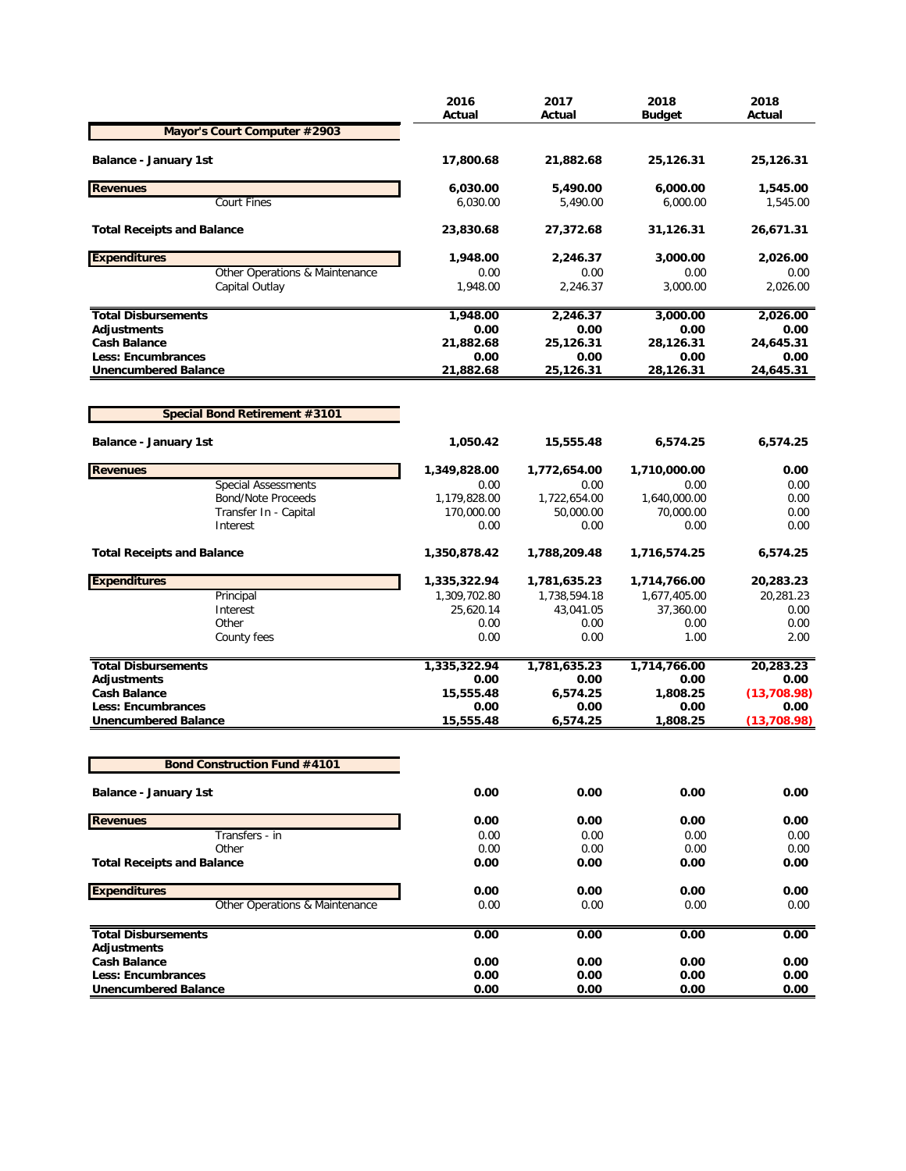|                                      | 2016<br>Actual | 2017<br>Actual | 2018<br><b>Budget</b> | 2018<br>Actual |
|--------------------------------------|----------------|----------------|-----------------------|----------------|
| Mayor's Court Computer #2903         |                |                |                       |                |
| <b>Balance - January 1st</b>         | 17,800.68      | 21,882.68      | 25,126.31             | 25,126.31      |
| <b>Revenues</b>                      | 6,030.00       | 5,490.00       | 6,000.00              | 1,545.00       |
| <b>Court Fines</b>                   | 6,030.00       | 5,490.00       | 6,000.00              | 1,545.00       |
| <b>Total Receipts and Balance</b>    | 23,830.68      | 27,372.68      | 31,126.31             | 26,671.31      |
| <b>Expenditures</b>                  | 1,948.00       | 2,246.37       | 3,000.00              | 2,026.00       |
| Other Operations & Maintenance       | 0.00           | 0.00           | 0.00                  | 0.00           |
| Capital Outlay                       | 1.948.00       | 2,246.37       | 3,000.00              | 2,026.00       |
| <b>Total Disbursements</b>           | 1,948.00       | 2,246.37       | 3,000.00              | 2,026.00       |
| Adjustments                          | 0.00           | 0.00           | 0.00                  | 0.00           |
| <b>Cash Balance</b>                  | 21,882.68      | 25,126.31      | 28,126.31             | 24,645.31      |
| <b>Less: Encumbrances</b>            | 0.00           | 0.00           | 0.00                  | 0.00           |
| <b>Unencumbered Balance</b>          | 21,882.68      | 25,126.31      | 28,126.31             | 24,645.31      |
| <b>Special Bond Retirement #3101</b> |                |                |                       |                |
| <b>Balance - January 1st</b>         | 1,050.42       | 15,555.48      | 6,574.25              | 6,574.25       |
| <b>Revenues</b>                      | 1,349,828.00   | 1,772,654.00   | 1,710,000.00          | 0.00           |
| <b>Special Assessments</b>           | 0.00           | 0.00           | 0.00                  | 0.00           |
| <b>Bond/Note Proceeds</b>            | 1,179,828.00   | 1,722,654.00   | 1,640,000.00          | 0.00           |
| Transfer In - Capital                | 170,000.00     | 50,000.00      | 70,000.00             | 0.00           |
| Interest                             | 0.00           | 0.00           | 0.00                  | 0.00           |
| <b>Total Receipts and Balance</b>    | 1,350,878.42   | 1,788,209.48   | 1,716,574.25          | 6,574.25       |
| <b>Expenditures</b>                  | 1,335,322.94   | 1,781,635.23   | 1,714,766.00          | 20,283.23      |
| Principal                            | 1,309,702.80   | 1,738,594.18   | 1,677,405.00          | 20,281.23      |
| Interest                             | 25,620.14      | 43,041.05      | 37,360.00             | 0.00           |
| Other                                | 0.00           | 0.00           | 0.00                  | 0.00           |
| County fees                          | 0.00           | 0.00           | 1.00                  | 2.00           |
| <b>Total Disbursements</b>           | 1,335,322.94   | 1,781,635.23   | 1,714,766.00          | 20,283.23      |
| Adjustments                          | 0.00           | 0.00           | 0.00                  | 0.00           |
| <b>Cash Balance</b>                  | 15,555.48      | 6,574.25       | 1,808.25              | (13,708.98)    |
| <b>Less: Encumbrances</b>            | 0.00           | 0.00           | 0.00                  | 0.00           |
| <b>Unencumbered Balance</b>          | 15,555.48      | 6,574.25       | 1,808.25              | (13,708.98)    |
| <b>Bond Construction Fund #4101</b>  |                |                |                       |                |
| Balance - January 1st                | 0.00           | 0.00           | 0.00                  | 0.00           |
| <b>Revenues</b>                      | 0.00           | 0.00           | 0.00                  | 0.00           |
| Transfers - in                       | 0.00           | 0.00           | 0.00                  | 0.00           |
| Other                                | 0.00           | 0.00           | 0.00                  | 0.00           |
| <b>Total Receipts and Balance</b>    | 0.00           | 0.00           | 0.00                  | 0.00           |
| <b>Expenditures</b>                  | 0.00           | 0.00           | 0.00                  | 0.00           |
| Other Operations & Maintenance       | 0.00           | 0.00           | 0.00                  | 0.00           |
| <b>Total Disbursements</b>           | 0.00           | 0.00           | 0.00                  | 0.00           |
| Adjustments                          |                |                |                       |                |
| <b>Cash Balance</b>                  | 0.00           | 0.00           | 0.00                  | 0.00           |
| <b>Less: Encumbrances</b>            | 0.00           | 0.00           | 0.00                  | 0.00           |
| <b>Unencumbered Balance</b>          | 0.00           | 0.00           | 0.00                  | 0.00           |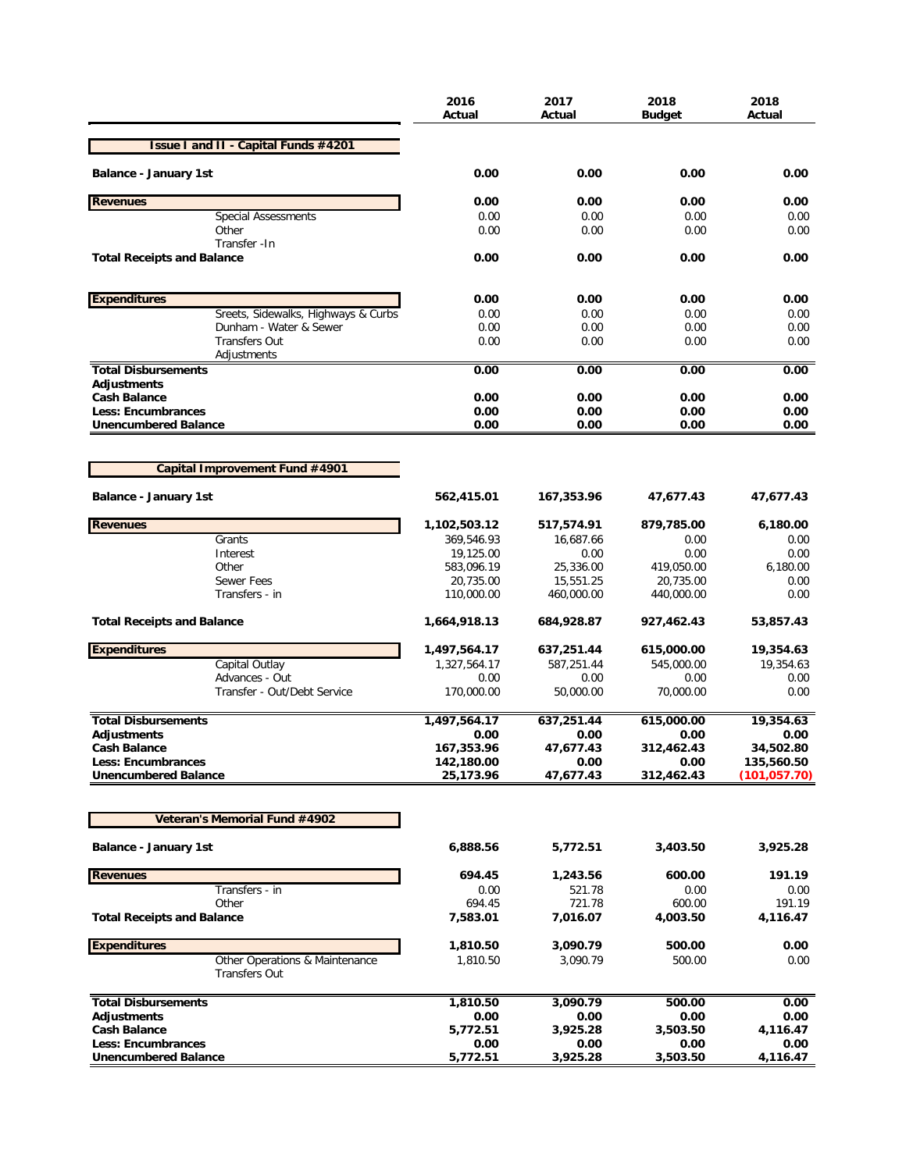|                                                          | 2016<br>Actual          | 2017<br>Actual          | 2018<br>Budget          | 2018<br>Actual              |
|----------------------------------------------------------|-------------------------|-------------------------|-------------------------|-----------------------------|
| <b>Issue I and II - Capital Funds #4201</b>              |                         |                         |                         |                             |
| <b>Balance - January 1st</b>                             | 0.00                    | 0.00                    | 0.00                    | 0.00                        |
| <b>Revenues</b>                                          | 0.00                    | 0.00                    | 0.00                    | 0.00                        |
| <b>Special Assessments</b>                               | 0.00                    | 0.00                    | 0.00                    | 0.00                        |
| Other                                                    | 0.00                    | 0.00                    | 0.00                    | 0.00                        |
| Transfer - In<br><b>Total Receipts and Balance</b>       | 0.00                    | 0.00                    | 0.00                    | 0.00                        |
| <b>Expenditures</b>                                      | 0.00                    | 0.00                    | 0.00                    | 0.00                        |
| Sreets, Sidewalks, Highways & Curbs                      | 0.00                    | 0.00                    | 0.00                    | 0.00                        |
| Dunham - Water & Sewer                                   | 0.00                    | 0.00                    | 0.00                    | 0.00                        |
| <b>Transfers Out</b>                                     | 0.00                    | 0.00                    | 0.00                    | 0.00                        |
| Adjustments                                              |                         |                         |                         |                             |
| <b>Total Disbursements</b><br><b>Adjustments</b>         | 0.00                    | 0.00                    | 0.00                    | 0.00                        |
| <b>Cash Balance</b>                                      | 0.00                    | 0.00                    | 0.00                    | 0.00                        |
| Less: Encumbrances                                       | 0.00                    | 0.00                    | 0.00                    | 0.00                        |
| <b>Unencumbered Balance</b>                              | 0.00                    | 0.00                    | 0.00                    | 0.00                        |
|                                                          |                         |                         |                         |                             |
| Capital Improvement Fund #4901                           |                         |                         |                         |                             |
| <b>Balance - January 1st</b>                             | 562,415.01              | 167,353.96              | 47,677.43               | 47,677.43                   |
| <b>Revenues</b>                                          | 1,102,503.12            | 517,574.91              | 879,785.00              | 6,180.00                    |
| Grants                                                   | 369,546.93              | 16,687.66               | 0.00                    | 0.00                        |
| Interest                                                 | 19,125.00               | 0.00                    | 0.00                    | 0.00                        |
| Other                                                    | 583,096.19              | 25,336.00               | 419,050.00              | 6,180.00                    |
| <b>Sewer Fees</b><br>Transfers - in                      | 20,735.00<br>110,000.00 | 15,551.25<br>460,000.00 | 20,735.00<br>440,000.00 | 0.00<br>0.00                |
| <b>Total Receipts and Balance</b>                        | 1,664,918.13            | 684,928.87              | 927,462.43              | 53,857.43                   |
| <b>Expenditures</b>                                      | 1,497,564.17            | 637,251.44              | 615,000.00              | 19,354.63                   |
| Capital Outlay                                           | 1,327,564.17            | 587,251.44              | 545,000.00              | 19,354.63                   |
| Advances - Out                                           | 0.00                    | 0.00                    | 0.00                    | 0.00                        |
| Transfer - Out/Debt Service                              | 170,000.00              | 50,000.00               | 70,000.00               | 0.00                        |
| <b>Total Disbursements</b>                               | 1,497,564.17            | 637,251.44              | 615,000.00              | 19,354.63                   |
| <b>Adiustments</b>                                       | 0.00                    | 0.00                    | 0.00                    | 0.00                        |
| <b>Cash Balance</b>                                      | 167,353.96              | 47,677.43               | 312,462.43              | 34,502.80                   |
| <b>Less: Encumbrances</b><br><b>Unencumbered Balance</b> | 142,180.00<br>25,173.96 | 0.00<br>47,677.43       | 0.00<br>312,462.43      | 135,560.50<br>(101, 057.70) |
|                                                          |                         |                         |                         |                             |
| Veteran's Memorial Fund #4902                            |                         |                         |                         |                             |
| <b>Balance - January 1st</b>                             | 6,888.56                | 5,772.51                | 3,403.50                | 3,925.28                    |
| <b>Revenues</b>                                          | 694.45                  | 1,243.56                | 600.00                  | 191.19                      |
| Transfers - in                                           | 0.00                    | 521.78                  | 0.00                    | 0.00                        |
| Other                                                    | 694.45                  | 721.78                  | 600.00                  | 191.19                      |
| <b>Total Receipts and Balance</b>                        | 7,583.01                | 7,016.07                | 4,003.50                | 4,116.47                    |
| <b>Expenditures</b>                                      | 1,810.50                | 3,090.79                | 500.00                  | 0.00                        |
| Other Operations & Maintenance<br>Transfers Out          | 1,810.50                | 3,090.79                | 500.00                  | 0.00                        |
| <b>Total Disbursements</b>                               | 1,810.50                | 3,090.79                | 500.00                  | 0.00                        |
| <b>Adjustments</b>                                       | 0.00                    | 0.00                    | 0.00                    | 0.00                        |
| <b>Cash Balance</b>                                      | 5,772.51                | 3,925.28                | 3,503.50                | 4,116.47                    |
| <b>Less: Encumbrances</b>                                | 0.00                    | 0.00                    | 0.00                    | 0.00                        |
| <b>Unencumbered Balance</b>                              | 5,772.51                | 3,925.28                | 3,503.50                | 4,116.47                    |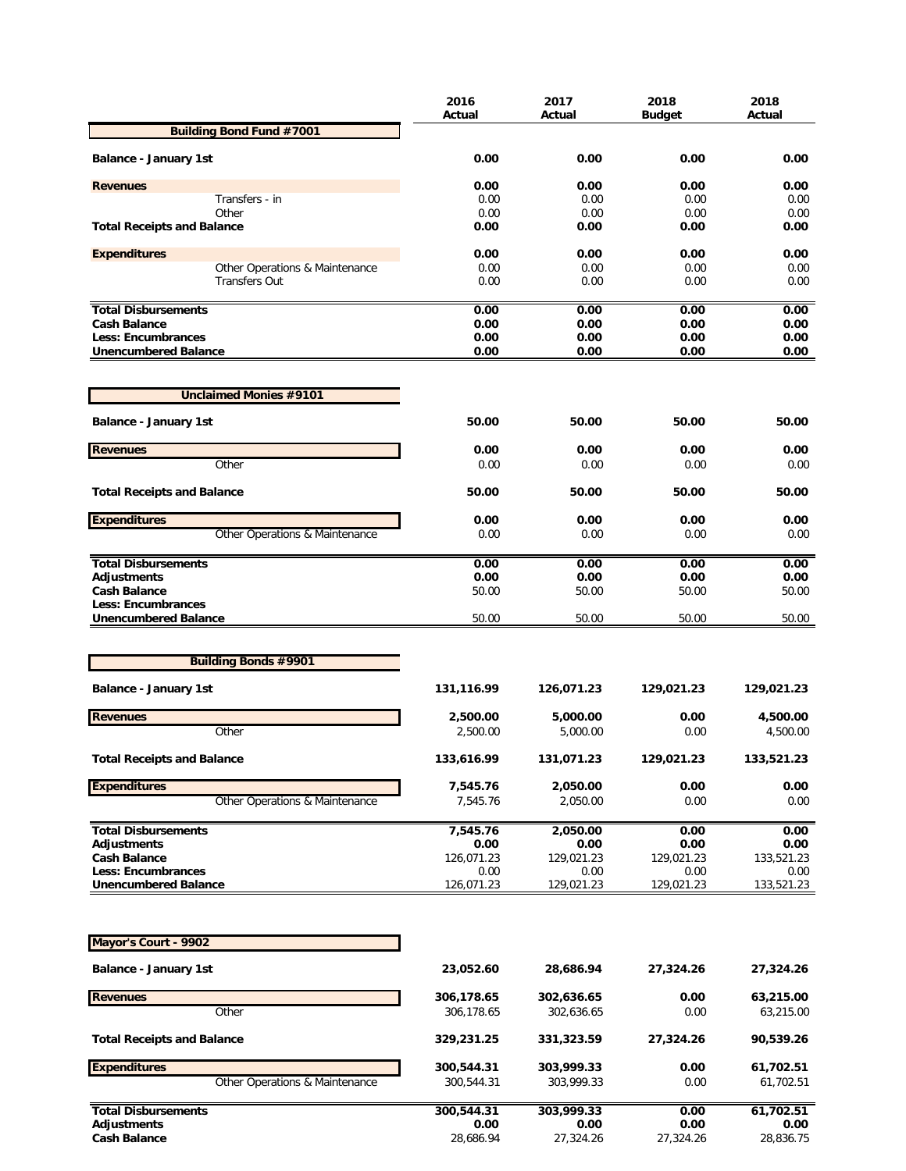|                                                          | 2016<br>Actual     | 2017<br>Actual     | 2018<br><b>Budget</b> | 2018<br>Actual     |
|----------------------------------------------------------|--------------------|--------------------|-----------------------|--------------------|
| <b>Building Bond Fund #7001</b>                          |                    |                    |                       |                    |
| <b>Balance - January 1st</b>                             | 0.00               | 0.00               | 0.00                  | 0.00               |
| <b>Revenues</b>                                          | 0.00               | 0.00               | 0.00                  | 0.00               |
| Transfers - in                                           | 0.00               | 0.00               | 0.00                  | 0.00               |
| Other                                                    | 0.00               | 0.00               | 0.00                  | 0.00               |
| <b>Total Receipts and Balance</b>                        | 0.00               | 0.00               | 0.00                  | 0.00               |
| <b>Expenditures</b>                                      | 0.00               | 0.00               | 0.00                  | 0.00               |
| Other Operations & Maintenance                           | 0.00               | 0.00               | 0.00                  | 0.00               |
| <b>Transfers Out</b>                                     | 0.00               | 0.00               | 0.00                  | 0.00               |
| <b>Total Disbursements</b>                               | 0.00               | 0.00               | 0.00                  | 0.00               |
| <b>Cash Balance</b>                                      | 0.00               | 0.00               | 0.00                  | 0.00               |
| Less: Encumbrances<br><b>Unencumbered Balance</b>        | 0.00<br>0.00       | 0.00<br>0.00       | 0.00<br>0.00          | 0.00<br>0.00       |
| <b>Unclaimed Monies #9101</b>                            |                    |                    |                       |                    |
| <b>Balance - January 1st</b>                             | 50.00              | 50.00              | 50.00                 | 50.00              |
|                                                          |                    |                    |                       |                    |
| <b>Revenues</b><br>Other                                 | 0.00<br>0.00       | 0.00<br>0.00       | 0.00<br>0.00          | 0.00<br>0.00       |
| <b>Total Receipts and Balance</b>                        | 50.00              | 50.00              | 50.00                 | 50.00              |
| <b>Expenditures</b>                                      | 0.00               | 0.00               | 0.00                  | 0.00               |
| Other Operations & Maintenance                           | 0.00               | 0.00               | 0.00                  | 0.00               |
| <b>Total Disbursements</b>                               | 0.00               | 0.00               | 0.00                  | 0.00               |
| <b>Adjustments</b>                                       | 0.00               | 0.00               | 0.00                  | 0.00               |
| <b>Cash Balance</b><br>Less: Encumbrances                | 50.00              | 50.00              | 50.00                 | 50.00              |
| <b>Unencumbered Balance</b>                              | 50.00              | 50.00              | 50.00                 | 50.00              |
|                                                          |                    |                    |                       |                    |
| <b>Building Bonds #9901</b>                              |                    |                    |                       |                    |
| <b>Balance - January 1st</b>                             | 131,116.99         | 126,071.23         | 129,021.23            | 129,021.23         |
| <b>Revenues</b>                                          | 2,500.00           | 5,000.00           | 0.00                  | 4,500.00           |
| Other                                                    | 2,500.00           | 5,000.00           | 0.00                  | 4,500.00           |
| <b>Total Receipts and Balance</b>                        | 133,616.99         | 131,071.23         | 129,021.23            | 133,521.23         |
| <b>Expenditures</b>                                      | 7,545.76           | 2,050.00           | 0.00                  | 0.00               |
| Other Operations & Maintenance                           | 7,545.76           | 2,050.00           | 0.00                  | 0.00               |
| <b>Total Disbursements</b>                               | 7,545.76           | 2,050.00           | 0.00                  | 0.00               |
| Adjustments                                              | 0.00               | 0.00               | 0.00                  | 0.00               |
| <b>Cash Balance</b>                                      | 126,071.23         | 129,021.23         | 129,021.23            | 133,521.23         |
| <b>Less: Encumbrances</b><br><b>Unencumbered Balance</b> | 0.00<br>126,071.23 | 0.00<br>129,021.23 | 0.00<br>129,021.23    | 0.00<br>133,521.23 |
|                                                          |                    |                    |                       |                    |
| Mayor's Court - 9902                                     |                    |                    |                       |                    |
| <b>Balance - January 1st</b>                             | 23,052.60          | 28,686.94          | 27,324.26             | 27,324.26          |
| <b>Revenues</b>                                          | 306,178.65         | 302,636.65         | 0.00                  | 63,215.00          |
| Other                                                    | 306,178.65         | 302,636.65         | 0.00                  | 63,215.00          |
| <b>Total Receipts and Balance</b>                        | 329,231.25         | 331,323.59         | 27,324.26             | 90,539.26          |
| <b>Expenditures</b>                                      | 300,544.31         | 303,999.33         | 0.00                  | 61,702.51          |
| Other Operations & Maintenance                           | 300,544.31         | 303,999.33         | 0.00                  | 61,702.51          |
| <b>Total Disbursements</b>                               | 300,544.31         | 303,999.33         | 0.00                  | 61,702.51          |
| <b>Adjustments</b>                                       | 0.00               | 0.00               | 0.00                  | 0.00               |
| <b>Cash Balance</b>                                      | 28,686.94          | 27,324.26          | 27,324.26             | 28,836.75          |